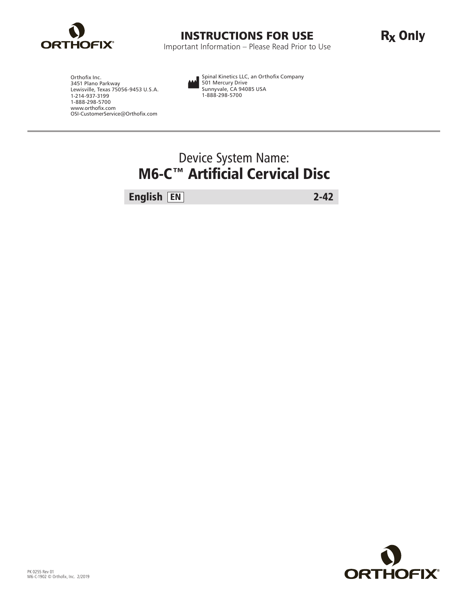

### INSTRUCTIONS FOR USE

Important Information – Please Read Prior to Use

R<sub>x</sub> Only

Orthofix Inc. 3451 Plano Parkway Lewisville, Texas 75056-9453 U.S.A. 1-214-937-3199 1-888-298-5700 www.orthofix.com OSI-CustomerService@Orthofix.com Spinal Kinetics LLC, an Orthofix Company 501 Mercury Drive Sunnyvale, CA 94085 USA 1-888-298-5700

## Device System Name: M6-C™ Artificial Cervical Disc

English EN 2-42

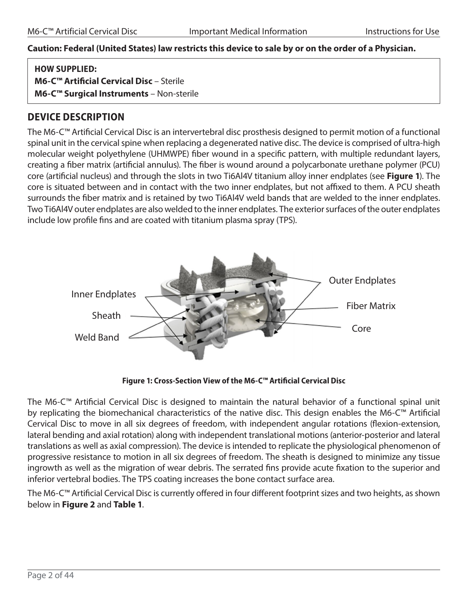#### **Caution: Federal (United States) law restricts this device to sale by or on the order of a Physician.**

| <b>HOW SUPPLIED:</b>                                 |
|------------------------------------------------------|
| M6-C <sup>™</sup> Artificial Cervical Disc - Sterile |
| M6-C <sup>™</sup> Surgical Instruments - Non-sterile |

### **DEVICE DESCRIPTION**

The M6-C™ Artificial Cervical Disc is an intervertebral disc prosthesis designed to permit motion of a functional spinal unit in the cervical spine when replacing a degenerated native disc. The device is comprised of ultra-high molecular weight polyethylene (UHMWPE) fiber wound in a specific pattern, with multiple redundant layers, creating a fiber matrix (artificial annulus). The fiber is wound around a polycarbonate urethane polymer (PCU) core (artificial nucleus) and through the slots in two Ti6Al4V titanium alloy inner endplates (see **Figure 1**). The core is situated between and in contact with the two inner endplates, but not affixed to them. A PCU sheath surrounds the fiber matrix and is retained by two Ti6Al4V weld bands that are welded to the inner endplates. Two Ti6Al4V outer endplates are also welded to the inner endplates. The exterior surfaces of the outer endplates include low profile fins and are coated with titanium plasma spray (TPS).



**Figure 1: Cross-Section View of the M6-C™ Artificial Cervical Disc** 

The M6-C™ Artificial Cervical Disc is designed to maintain the natural behavior of a functional spinal unit by replicating the biomechanical characteristics of the native disc. This design enables the M6-C™ Artificial Cervical Disc to move in all six degrees of freedom, with independent angular rotations (flexion-extension, lateral bending and axial rotation) along with independent translational motions (anterior-posterior and lateral translations as well as axial compression). The device is intended to replicate the physiological phenomenon of progressive resistance to motion in all six degrees of freedom. The sheath is designed to minimize any tissue ingrowth as well as the migration of wear debris. The serrated fins provide acute fixation to the superior and inferior vertebral bodies. The TPS coating increases the bone contact surface area.

The M6-C™ Artificial Cervical Disc is currently offered in four different footprint sizes and two heights, as shown below in **Figure 2** and **Table 1**.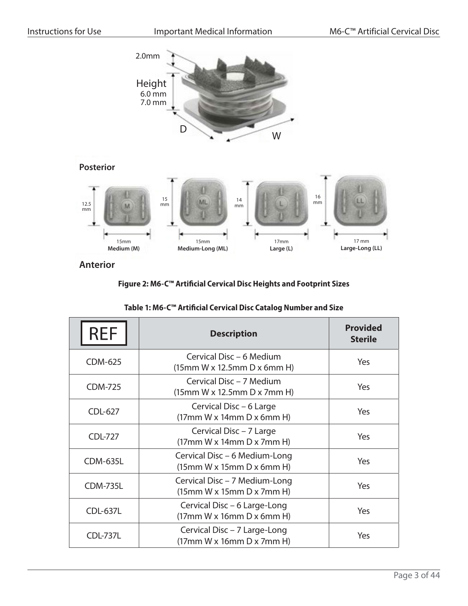

**Anterior**

#### **Figure 2: M6-C™ Artificial Cervical Disc Heights and Footprint Sizes**

| <b>REF</b>      | <b>Description</b>                                                    | <b>Provided</b><br><b>Sterile</b> |  |  |  |  |  |
|-----------------|-----------------------------------------------------------------------|-----------------------------------|--|--|--|--|--|
| CDM-625         | Cervical Disc - 6 Medium<br>(15mm W x 12.5mm D x 6mm H)               | Yes                               |  |  |  |  |  |
| <b>CDM-725</b>  | Cervical Disc - 7 Medium<br>(15mm W x 12.5mm D x 7mm H)               | <b>Yes</b>                        |  |  |  |  |  |
| <b>CDL-627</b>  | Cervical Disc - 6 Large<br>(17mm W x 14mm D x 6mm H)                  |                                   |  |  |  |  |  |
| <b>CDL-727</b>  | Cervical Disc - 7 Large<br>(17mm W x 14mm D x 7mm H)                  | <b>Yes</b>                        |  |  |  |  |  |
| <b>CDM-635L</b> | Cervical Disc - 6 Medium-Long<br>(15mm W x 15mm D x 6mm H)            | <b>Yes</b>                        |  |  |  |  |  |
| <b>CDM-735L</b> | Cervical Disc - 7 Medium-Long<br>(15mm W x 15mm D x 7mm H)            | Yes                               |  |  |  |  |  |
| <b>CDL-637L</b> | Cervical Disc – 6 Large-Long<br>$(17mm W \times 16mm D \times 6mm H)$ | <b>Yes</b>                        |  |  |  |  |  |
| <b>CDL-737L</b> | Cervical Disc - 7 Large-Long<br>$(17mm W \times 16mm D \times 7mm H)$ |                                   |  |  |  |  |  |

|  | Table 1: M6-C™ Artificial Cervical Disc Catalog Number and Size |  |  |  |
|--|-----------------------------------------------------------------|--|--|--|
|  |                                                                 |  |  |  |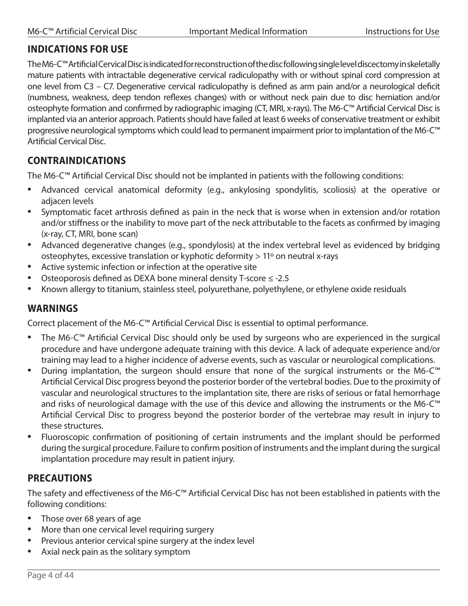### **INDICATIONS FOR USE**

The M6-C™ Artificial Cervical Disc is indicated for reconstruction of the disc following single level discectomy in skeletally mature patients with intractable degenerative cervical radiculopathy with or without spinal cord compression at one level from C3 – C7. Degenerative cervical radiculopathy is defined as arm pain and/or a neurological deficit (numbness, weakness, deep tendon reflexes changes) with or without neck pain due to disc herniation and/or osteophyte formation and confirmed by radiographic imaging (CT, MRI, x-rays). The M6-C™ Artificial Cervical Disc is implanted via an anterior approach. Patients should have failed at least 6 weeks of conservative treatment or exhibit progressive neurological symptoms which could lead to permanent impairment prior to implantation of the M6-C™ Artificial Cervical Disc.

### **CONTRAINDICATIONS**

The M6-C™ Artificial Cervical Disc should not be implanted in patients with the following conditions:

- Advanced cervical anatomical deformity (e.g., ankylosing spondylitis, scoliosis) at the operative or adjacen levels
- Symptomatic facet arthrosis defined as pain in the neck that is worse when in extension and/or rotation and/or stiffness or the inability to move part of the neck attributable to the facets as confirmed by imaging (x-ray, CT, MRI, bone scan)
- Advanced degenerative changes (e.g., spondylosis) at the index vertebral level as evidenced by bridging osteophytes, excessive translation or kyphotic deformity > 11º on neutral x-rays
- Active systemic infection or infection at the operative site
- Osteoporosis defined as DEXA bone mineral density T-score ≤ -2.5
- Known allergy to titanium, stainless steel, polyurethane, polyethylene, or ethylene oxide residuals

### **WARNINGS**

Correct placement of the M6-C™ Artificial Cervical Disc is essential to optimal performance.

- The M6-C<sup>™</sup> Artificial Cervical Disc should only be used by surgeons who are experienced in the surgical procedure and have undergone adequate training with this device. A lack of adequate experience and/or training may lead to a higher incidence of adverse events, such as vascular or neurological complications.
- During implantation, the surgeon should ensure that none of the surgical instruments or the M6-C™ Artificial Cervical Disc progress beyond the posterior border of the vertebral bodies. Due to the proximity of vascular and neurological structures to the implantation site, there are risks of serious or fatal hemorrhage and risks of neurological damage with the use of this device and allowing the instruments or the M6-C™ Artificial Cervical Disc to progress beyond the posterior border of the vertebrae may result in injury to these structures.
- Fluoroscopic confirmation of positioning of certain instruments and the implant should be performed during the surgical procedure. Failure to confirm position of instruments and the implant during the surgical implantation procedure may result in patient injury.

### **PRECAUTIONS**

The safety and effectiveness of the M6-C™ Artificial Cervical Disc has not been established in patients with the following conditions:

- Those over 68 years of age
- More than one cervical level requiring surgery
- Previous anterior cervical spine surgery at the index level
- Axial neck pain as the solitary symptom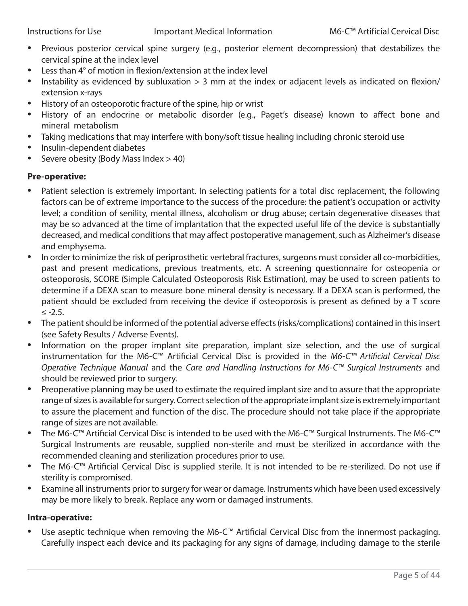- Previous posterior cervical spine surgery (e.g., posterior element decompression) that destabilizes the cervical spine at the index level
- Less than 4° of motion in flexion/extension at the index level
- Instability as evidenced by subluxation > 3 mm at the index or adjacent levels as indicated on flexion/ extension x-rays
- History of an osteoporotic fracture of the spine, hip or wrist
- History of an endocrine or metabolic disorder (e.g., Paget's disease) known to affect bone and mineral metabolism
- Taking medications that may interfere with bony/soft tissue healing including chronic steroid use
- Insulin-dependent diabetes
- Severe obesity (Body Mass Index > 40)

#### **Pre-operative:**

- Patient selection is extremely important. In selecting patients for a total disc replacement, the following factors can be of extreme importance to the success of the procedure: the patient's occupation or activity level; a condition of senility, mental illness, alcoholism or drug abuse; certain degenerative diseases that may be so advanced at the time of implantation that the expected useful life of the device is substantially decreased, and medical conditions that may affect postoperative management, such as Alzheimer's disease and emphysema.
- In order to minimize the risk of periprosthetic vertebral fractures, surgeons must consider all co-morbidities, past and present medications, previous treatments, etc. A screening questionnaire for osteopenia or osteoporosis, SCORE (Simple Calculated Osteoporosis Risk Estimation), may be used to screen patients to determine if a DEXA scan to measure bone mineral density is necessary. If a DEXA scan is performed, the patient should be excluded from receiving the device if osteoporosis is present as defined by a T score ≤ -2.5.
- The patient should be informed of the potential adverse effects (risks/complications) contained in this insert (see Safety Results / Adverse Events).
- Information on the proper implant site preparation, implant size selection, and the use of surgical instrumentation for the M6-C™ Artificial Cervical Disc is provided in the *M6‑C™ Artificial Cervical Disc Operative Technique Manual* and the *Care and Handling Instructions for M6‑C™ Surgical Instruments* and should be reviewed prior to surgery.
- Preoperative planning may be used to estimate the required implant size and to assure that the appropriate range of sizes is available for surgery. Correct selection of the appropriate implant size is extremely important to assure the placement and function of the disc. The procedure should not take place if the appropriate range of sizes are not available.
- The M6-C™ Artificial Cervical Disc is intended to be used with the M6-C™ Surgical Instruments. The M6-C™ Surgical Instruments are reusable, supplied non-sterile and must be sterilized in accordance with the recommended cleaning and sterilization procedures prior to use.
- The M6-C™ Artificial Cervical Disc is supplied sterile. It is not intended to be re-sterilized. Do not use if sterility is compromised.
- Examine all instruments prior to surgery for wear or damage. Instruments which have been used excessively may be more likely to break. Replace any worn or damaged instruments.

#### **Intra-operative:**

Use aseptic technique when removing the M6-C<sup>™</sup> Artificial Cervical Disc from the innermost packaging. Carefully inspect each device and its packaging for any signs of damage, including damage to the sterile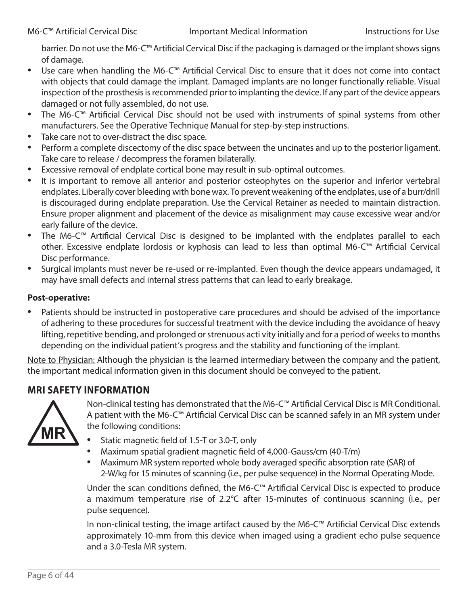barrier. Do not use the M6-C™ Artificial Cervical Disc if the packaging is damaged or the implant shows signs of damage.

- Use care when handling the M6-C™ Artificial Cervical Disc to ensure that it does not come into contact with objects that could damage the implant. Damaged implants are no longer functionally reliable. Visual inspection of the prosthesis is recommended prior to implanting the device. If any part of the device appears damaged or not fully assembled, do not use.
- The M6-C™ Artificial Cervical Disc should not be used with instruments of spinal systems from other manufacturers. See the Operative Technique Manual for step-by-step instructions.
- Take care not to over-distract the disc space.
- Perform a complete discectomy of the disc space between the uncinates and up to the posterior ligament. Take care to release / decompress the foramen bilaterally.
- Excessive removal of endplate cortical bone may result in sub-optimal outcomes.
- It is important to remove all anterior and posterior osteophytes on the superior and inferior vertebral endplates. Liberally cover bleeding with bone wax. To prevent weakening of the endplates, use of a burr/drill is discouraged during endplate preparation. Use the Cervical Retainer as needed to maintain distraction. Ensure proper alignment and placement of the device as misalignment may cause excessive wear and/or early failure of the device.
- The M6-C™ Artificial Cervical Disc is designed to be implanted with the endplates parallel to each other. Excessive endplate lordosis or kyphosis can lead to less than optimal M6-C™ Artificial Cervical Disc performance.
- Surgical implants must never be re-used or re-implanted. Even though the device appears undamaged, it may have small defects and internal stress patterns that can lead to early breakage.

#### **Post-operative:**

Patients should be instructed in postoperative care procedures and should be advised of the importance of adhering to these procedures for successful treatment with the device including the avoidance of heavy lifting, repetitive bending, and prolonged or strenuous acti vity initially and for a period of weeks to months depending on the individual patient's progress and the stability and functioning of the implant.

Note to Physician: Although the physician is the learned intermediary between the company and the patient, the important medical information given in this document should be conveyed to the patient.

### **MRI SAFETY INFORMATION**



Non-clinical testing has demonstrated that the M6-C™ Artificial Cervical Disc is MR Conditional. A patient with the M6-C™ Artificial Cervical Disc can be scanned safely in an MR system under the following conditions:

- Static magnetic field of 1.5-T or 3.0-T, only
- Maximum spatial gradient magnetic field of 4,000-Gauss/cm (40-T/m)
- Maximum MR system reported whole body averaged specific absorption rate (SAR) of 2-W/kg for 15 minutes of scanning (i.e., per pulse sequence) in the Normal Operating Mode.

Under the scan conditions defined, the M6-C™ Artificial Cervical Disc is expected to produce a maximum temperature rise of 2.2°C after 15-minutes of continuous scanning (i.e., per pulse sequence).

In non-clinical testing, the image artifact caused by the M6-C™ Artificial Cervical Disc extends approximately 10-mm from this device when imaged using a gradient echo pulse sequence and a 3.0-Tesla MR system.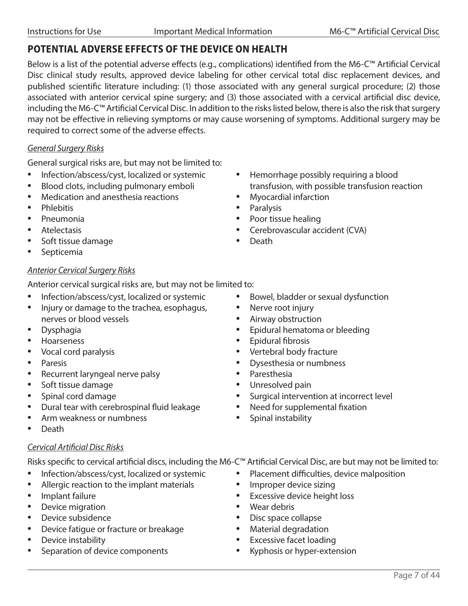### **POTENTIAL ADVERSE EFFECTS OF THE DEVICE ON HEALTH**

Below is a list of the potential adverse effects (e.g., complications) identified from the M6-C™ Artificial Cervical Disc clinical study results, approved device labeling for other cervical total disc replacement devices, and published scientific literature including: (1) those associated with any general surgical procedure; (2) those associated with anterior cervical spine surgery; and (3) those associated with a cervical artificial disc device, including the M6-C™ Artificial Cervical Disc. In addition to the risks listed below, there is also the risk that surgery may not be effective in relieving symptoms or may cause worsening of symptoms. Additional surgery may be required to correct some of the adverse effects.

#### *General Surgery Risks*

General surgical risks are, but may not be limited to:

- Infection/abscess/cyst, localized or systemic
- Blood clots, including pulmonary emboli
- Medication and anesthesia reactions
- Phlebitis
- Pneumonia
- Atelectasis
- Soft tissue damage
- Septicemia

#### *Anterior Cervical Surgery Risks*

Anterior cervical surgical risks are, but may not be limited to:

- Infection/abscess/cyst, localized or systemic
- Injury or damage to the trachea, esophagus, nerves or blood vessels
- Dysphagia
- Hoarseness
- Vocal cord paralysis
- Paresis
- Recurrent laryngeal nerve palsy
- Soft tissue damage
- Spinal cord damage
- Dural tear with cerebrospinal fluid leakage
- Arm weakness or numbness
- Death

#### *Cervical Artificial Disc Risks*

Risks specific to cervical artificial discs, including the M6-C™ Artificial Cervical Disc, are but may not be limited to:

- Infection/abscess/cyst, localized or systemic
- Allergic reaction to the implant materials
- Implant failure
- Device migration
- Device subsidence
- Device fatigue or fracture or breakage
- Device instability
- Separation of device components
- Hemorrhage possibly requiring a blood transfusion, with possible transfusion reaction
- Myocardial infarction
- Paralysis
- Poor tissue healing
- Cerebrovascular accident (CVA)
- Death
- Bowel, bladder or sexual dysfunction
- Nerve root injury
- Airway obstruction
- Epidural hematoma or bleeding
- Epidural fibrosis
- Vertebral body fracture
- Dysesthesia or numbness
- Paresthesia
- Unresolved pain
- Surgical intervention at incorrect level
- Need for supplemental fixation
- Spinal instability
- - Placement difficulties, device malposition
	- Improper device sizing
	- Excessive device height loss
	- Wear debris
	- Disc space collapse
	- Material degradation
	- Excessive facet loading
	- Kyphosis or hyper-extension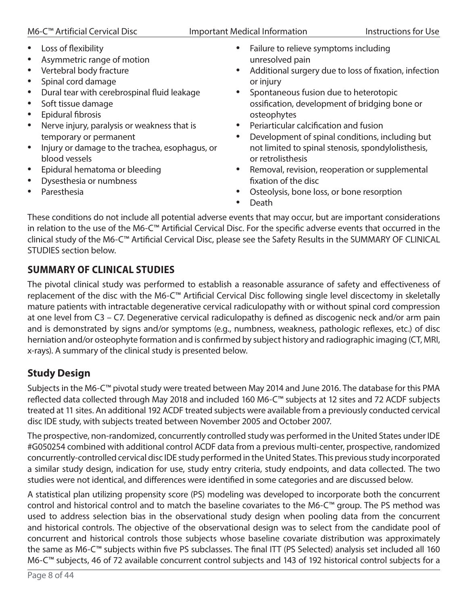- Loss of flexibility
- Asymmetric range of motion
- Vertebral body fracture
- Spinal cord damage
- Dural tear with cerebrospinal fluid leakage
- Soft tissue damage
- Epidural fibrosis
- Nerve injury, paralysis or weakness that is temporary or permanent
- Injury or damage to the trachea, esophagus, or blood vessels
- Epidural hematoma or bleeding
- Dysesthesia or numbness
- Paresthesia
- Failure to relieve symptoms including unresolved pain
- Additional surgery due to loss of fixation, infection or injury
- Spontaneous fusion due to heterotopic ossification, development of bridging bone or osteophytes
- Periarticular calcification and fusion
- Development of spinal conditions, including but not limited to spinal stenosis, spondylolisthesis, or retrolisthesis
- Removal, revision, reoperation or supplemental fixation of the disc
- Osteolysis, bone loss, or bone resorption
- Death

These conditions do not include all potential adverse events that may occur, but are important considerations in relation to the use of the M6-C™ Artificial Cervical Disc. For the specific adverse events that occurred in the clinical study of the M6-C™ Artificial Cervical Disc, please see the Safety Results in the SUMMARY OF CLINICAL STUDIES section below.

### **SUMMARY OF CLINICAL STUDIES**

The pivotal clinical study was performed to establish a reasonable assurance of safety and effectiveness of replacement of the disc with the M6-C™ Artificial Cervical Disc following single level discectomy in skeletally mature patients with intractable degenerative cervical radiculopathy with or without spinal cord compression at one level from C3 – C7. Degenerative cervical radiculopathy is defined as discogenic neck and/or arm pain and is demonstrated by signs and/or symptoms (e.g., numbness, weakness, pathologic reflexes, etc.) of disc herniation and/or osteophyte formation and is confirmed by subject history and radiographic imaging (CT, MRI, x-rays). A summary of the clinical study is presented below.

### **Study Design**

Subjects in the M6-C™ pivotal study were treated between May 2014 and June 2016. The database for this PMA reflected data collected through May 2018 and included 160 M6-C™ subjects at 12 sites and 72 ACDF subjects treated at 11 sites. An additional 192 ACDF treated subjects were available from a previously conducted cervical disc IDE study, with subjects treated between November 2005 and October 2007.

The prospective, non-randomized, concurrently controlled study was performed in the United States under IDE #G050254 combined with additional control ACDF data from a previous multi-center, prospective, randomized concurrently-controlled cervical disc IDE study performed in the United States. This previous study incorporated a similar study design, indication for use, study entry criteria, study endpoints, and data collected. The two studies were not identical, and differences were identified in some categories and are discussed below.

A statistical plan utilizing propensity score (PS) modeling was developed to incorporate both the concurrent control and historical control and to match the baseline covariates to the M6-C™ group. The PS method was used to address selection bias in the observational study design when pooling data from the concurrent and historical controls. The objective of the observational design was to select from the candidate pool of concurrent and historical controls those subjects whose baseline covariate distribution was approximately the same as M6-C™ subjects within five PS subclasses. The final ITT (PS Selected) analysis set included all 160 M6-C™ subjects, 46 of 72 available concurrent control subjects and 143 of 192 historical control subjects for a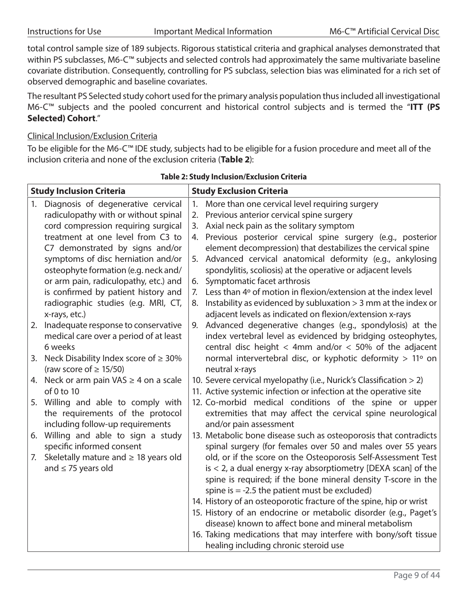total control sample size of 189 subjects. Rigorous statistical criteria and graphical analyses demonstrated that within PS subclasses, M6-C™ subjects and selected controls had approximately the same multivariate baseline covariate distribution. Consequently, controlling for PS subclass, selection bias was eliminated for a rich set of observed demographic and baseline covariates.

The resultant PS Selected study cohort used for the primary analysis population thus included all investigational M6-C™ subjects and the pooled concurrent and historical control subjects and is termed the "**ITT (PS Selected) Cohort**."

#### Clinical Inclusion/Exclusion Criteria

To be eligible for the M6-C™ IDE study, subjects had to be eligible for a fusion procedure and meet all of the inclusion criteria and none of the exclusion criteria (**Table 2**):

|    | <b>Study Inclusion Criteria</b>               |    | <b>Study Exclusion Criteria</b>                                    |
|----|-----------------------------------------------|----|--------------------------------------------------------------------|
| 1. | Diagnosis of degenerative cervical            | 1. | More than one cervical level requiring surgery                     |
|    | radiculopathy with or without spinal          | 2. | Previous anterior cervical spine surgery                           |
|    | cord compression requiring surgical           |    | 3. Axial neck pain as the solitary symptom                         |
|    | treatment at one level from C3 to             |    | 4. Previous posterior cervical spine surgery (e.g., posterior      |
|    | C7 demonstrated by signs and/or               |    | element decompression) that destabilizes the cervical spine        |
|    | symptoms of disc herniation and/or            | 5. | Advanced cervical anatomical deformity (e.g., ankylosing           |
|    | osteophyte formation (e.g. neck and/          |    | spondylitis, scoliosis) at the operative or adjacent levels        |
|    | or arm pain, radiculopathy, etc.) and         | 6. | Symptomatic facet arthrosis                                        |
|    | is confirmed by patient history and           | 7. | Less than 4° of motion in flexion/extension at the index level     |
|    | radiographic studies (e.g. MRI, CT,           | 8. | Instability as evidenced by subluxation $>$ 3 mm at the index or   |
|    | x-rays, etc.)                                 |    | adjacent levels as indicated on flexion/extension x-rays           |
|    | 2. Inadequate response to conservative        | 9. | Advanced degenerative changes (e.g., spondylosis) at the           |
|    | medical care over a period of at least        |    | index vertebral level as evidenced by bridging osteophytes,        |
|    | 6 weeks                                       |    | central disc height < 4mm and/or < 50% of the adjacent             |
|    | 3. Neck Disability Index score of $\geq 30\%$ |    | normal intervertebral disc, or kyphotic deformity > 11° on         |
|    | (raw score of $\geq$ 15/50)                   |    | neutral x-rays                                                     |
|    | 4. Neck or arm pain VAS $\geq$ 4 on a scale   |    | 10. Severe cervical myelopathy (i.e., Nurick's Classification > 2) |
|    | of 0 to 10                                    |    | 11. Active systemic infection or infection at the operative site   |
|    | 5. Willing and able to comply with            |    | 12. Co-morbid medical conditions of the spine or upper             |
|    | the requirements of the protocol              |    | extremities that may affect the cervical spine neurological        |
|    | including follow-up requirements              |    | and/or pain assessment                                             |
|    | 6. Willing and able to sign a study           |    | 13. Metabolic bone disease such as osteoporosis that contradicts   |
|    | specific informed consent                     |    | spinal surgery (for females over 50 and males over 55 years        |
|    | 7. Skeletally mature and $\geq$ 18 years old  |    | old, or if the score on the Osteoporosis Self-Assessment Test      |
|    | and $\leq$ 75 years old                       |    | $is < 2$ , a dual energy x-ray absorptiometry [DEXA scan] of the   |
|    |                                               |    | spine is required; if the bone mineral density T-score in the      |
|    |                                               |    | spine is $= -2.5$ the patient must be excluded)                    |
|    |                                               |    | 14. History of an osteoporotic fracture of the spine, hip or wrist |
|    |                                               |    | 15. History of an endocrine or metabolic disorder (e.g., Paget's   |
|    |                                               |    | disease) known to affect bone and mineral metabolism               |
|    |                                               |    | 16. Taking medications that may interfere with bony/soft tissue    |
|    |                                               |    | healing including chronic steroid use                              |

#### **Table 2: Study Inclusion/Exclusion Criteria**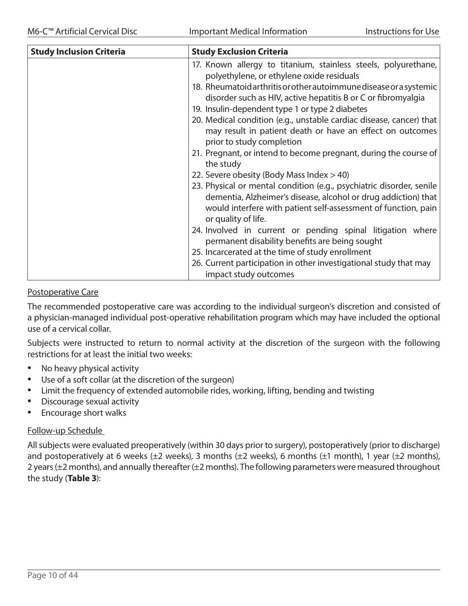| <b>Study Inclusion Criteria</b> | <b>Study Exclusion Criteria</b>                                                                                                                                                                                                                                                                                                                                                                                                                                                                                                                                                                                                                                                                                                                                                                                                                                                                                                                                                                                                                                                  |
|---------------------------------|----------------------------------------------------------------------------------------------------------------------------------------------------------------------------------------------------------------------------------------------------------------------------------------------------------------------------------------------------------------------------------------------------------------------------------------------------------------------------------------------------------------------------------------------------------------------------------------------------------------------------------------------------------------------------------------------------------------------------------------------------------------------------------------------------------------------------------------------------------------------------------------------------------------------------------------------------------------------------------------------------------------------------------------------------------------------------------|
|                                 | 17. Known allergy to titanium, stainless steels, polyurethane,<br>polyethylene, or ethylene oxide residuals<br>18. Rheumatoid arthritis or other autoimmune disease or a systemic<br>disorder such as HIV, active hepatitis B or C or fibromyalgia<br>19. Insulin-dependent type 1 or type 2 diabetes<br>20. Medical condition (e.g., unstable cardiac disease, cancer) that<br>may result in patient death or have an effect on outcomes<br>prior to study completion<br>21. Pregnant, or intend to become pregnant, during the course of<br>the study<br>22. Severe obesity (Body Mass Index > 40)<br>23. Physical or mental condition (e.g., psychiatric disorder, senile<br>dementia, Alzheimer's disease, alcohol or drug addiction) that<br>would interfere with patient self-assessment of function, pain<br>or quality of life.<br>24. Involved in current or pending spinal litigation where<br>permanent disability benefits are being sought<br>25. Incarcerated at the time of study enrollment<br>26. Current participation in other investigational study that may |
|                                 | impact study outcomes                                                                                                                                                                                                                                                                                                                                                                                                                                                                                                                                                                                                                                                                                                                                                                                                                                                                                                                                                                                                                                                            |

#### Postoperative Care

The recommended postoperative care was according to the individual surgeon's discretion and consisted of a physician-managed individual post-operative rehabilitation program which may have included the optional use of a cervical collar.

Subjects were instructed to return to normal activity at the discretion of the surgeon with the following restrictions for at least the initial two weeks:

- No heavy physical activity
- Use of a soft collar (at the discretion of the surgeon)
- Limit the frequency of extended automobile rides, working, lifting, bending and twisting
- Discourage sexual activity
- Encourage short walks

#### Follow-up Schedule

All subjects were evaluated preoperatively (within 30 days prior to surgery), postoperatively (prior to discharge) and postoperatively at 6 weeks ( $\pm 2$  weeks), 3 months ( $\pm 2$  weeks), 6 months ( $\pm 1$  month), 1 year ( $\pm 2$  months), 2 years (±2 months), and annually thereafter (±2 months). The following parameters were measured throughout the study (**Table 3**):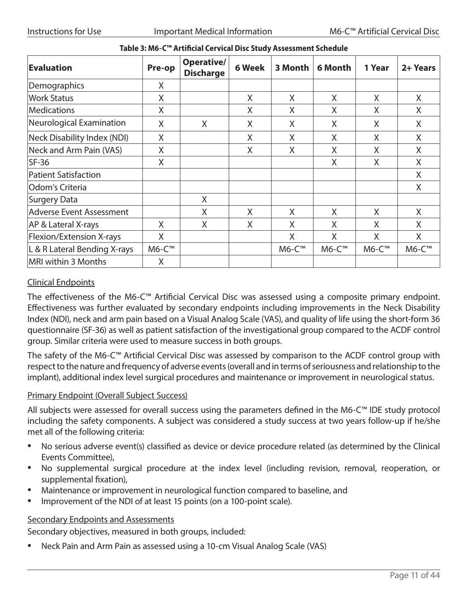| <b>Evaluation</b>                  | Pre-op      | Operative/<br><b>Discharge</b> | 6 Week | 3 Month | 6 Month | 1 Year | 2+ Years |
|------------------------------------|-------------|--------------------------------|--------|---------|---------|--------|----------|
| Demographics                       | Χ           |                                |        |         |         |        |          |
| <b>Work Status</b>                 | X           |                                | X      | X       | X       | X      | X        |
| <b>Medications</b>                 | X           |                                | X      | X       | X       | X      | X        |
| Neurological Examination           | X           | X                              | X      | X       | X       | X      | X        |
| <b>Neck Disability Index (NDI)</b> | X           |                                | X      | X       | X       | X      | X        |
| Neck and Arm Pain (VAS)            | X           |                                | X      | X       | X       | X      | X        |
| $SF-36$                            | X           |                                |        |         | X       | X      | X        |
| <b>Patient Satisfaction</b>        |             |                                |        |         |         |        | X        |
| Odom's Criteria                    |             |                                |        |         |         |        | X        |
| <b>Surgery Data</b>                |             | X                              |        |         |         |        |          |
| <b>Adverse Event Assessment</b>    |             | Χ                              | Χ      | X       | X       | X      | X        |
| AP & Lateral X-rays                | X           | X                              | X      | X       | X       | X      | X        |
| Flexion/Extension X-rays           | X           |                                |        | X       | X       | X      | X        |
| L & R Lateral Bending X-rays       | $M6-C^{TM}$ |                                |        | M6-C™   | M6-C™   | M6-C™  | M6-C™    |
| MRI within 3 Months                | X           |                                |        |         |         |        |          |

#### **Table 3: M6-C™ Artificial Cervical Disc Study Assessment Schedule**

#### Clinical Endpoints

The effectiveness of the M6-C™ Artificial Cervical Disc was assessed using a composite primary endpoint. Effectiveness was further evaluated by secondary endpoints including improvements in the Neck Disability Index (NDI), neck and arm pain based on a Visual Analog Scale (VAS), and quality of life using the short-form 36 questionnaire (SF-36) as well as patient satisfaction of the investigational group compared to the ACDF control group. Similar criteria were used to measure success in both groups.

The safety of the M6-C™ Artificial Cervical Disc was assessed by comparison to the ACDF control group with respect to the nature and frequency of adverse events (overall and in terms of seriousness and relationship to the implant), additional index level surgical procedures and maintenance or improvement in neurological status.

#### Primary Endpoint (Overall Subject Success)

All subjects were assessed for overall success using the parameters defined in the M6-C™ IDE study protocol including the safety components. A subject was considered a study success at two years follow-up if he/she met all of the following criteria:

- No serious adverse event(s) classified as device or device procedure related (as determined by the Clinical Events Committee),
- No supplemental surgical procedure at the index level (including revision, removal, reoperation, or supplemental fixation),
- Maintenance or improvement in neurological function compared to baseline, and
- Improvement of the NDI of at least 15 points (on a 100-point scale).

#### Secondary Endpoints and Assessments

Secondary objectives, measured in both groups, included:

• Neck Pain and Arm Pain as assessed using a 10-cm Visual Analog Scale (VAS)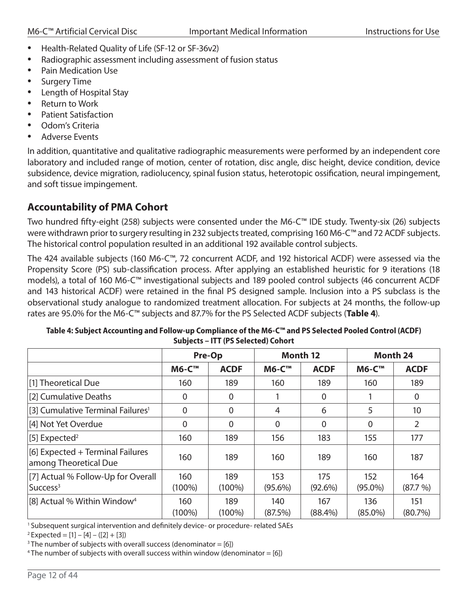- Health-Related Quality of Life (SF-12 or SF-36v2)
- Radiographic assessment including assessment of fusion status
- Pain Medication Use
- Surgery Time
- Length of Hospital Stay
- **Return to Work**
- Patient Satisfaction
- Odom's Criteria
- Adverse Events

In addition, quantitative and qualitative radiographic measurements were performed by an independent core laboratory and included range of motion, center of rotation, disc angle, disc height, device condition, device subsidence, device migration, radiolucency, spinal fusion status, heterotopic ossification, neural impingement, and soft tissue impingement.

### **Accountability of PMA Cohort**

Two hundred fifty-eight (258) subjects were consented under the M6-C™ IDE study. Twenty-six (26) subjects were withdrawn prior to surgery resulting in 232 subjects treated, comprising 160 M6-C™ and 72 ACDF subjects. The historical control population resulted in an additional 192 available control subjects.

The 424 available subjects (160 M6-C™, 72 concurrent ACDF, and 192 historical ACDF) were assessed via the Propensity Score (PS) sub-classification process. After applying an established heuristic for 9 iterations (18 models), a total of 160 M6-C™ investigational subjects and 189 pooled control subjects (46 concurrent ACDF and 143 historical ACDF) were retained in the final PS designed sample. Inclusion into a PS subclass is the observational study analogue to randomized treatment allocation. For subjects at 24 months, the follow-up rates are 95.0% for the M6-C™ subjects and 87.7% for the PS Selected ACDF subjects (**Table 4**).

|                                                            |                  | Pre-Op           |                   | Month 12          | <b>Month 24</b>   |                   |  |
|------------------------------------------------------------|------------------|------------------|-------------------|-------------------|-------------------|-------------------|--|
|                                                            | <b>M6-C™</b>     | <b>ACDF</b>      | <b>M6-C™</b>      | <b>ACDF</b>       | <b>M6-C™</b>      | <b>ACDF</b>       |  |
| [1] Theoretical Due                                        | 160              | 189              | 160               | 189               | 160               | 189               |  |
| [2] Cumulative Deaths                                      | $\overline{0}$   | $\overline{0}$   |                   | 0                 |                   | 0                 |  |
| [3] Cumulative Terminal Failures <sup>1</sup>              | 0                | 0                | 4                 | 6                 | 5                 | 10                |  |
| [4] Not Yet Overdue                                        | 0                | $\overline{0}$   | 0                 | 0                 | 0                 | 2                 |  |
| [5] Expected <sup>2</sup>                                  | 160              | 189              | 156               | 183               | 155               | 177               |  |
| [6] Expected + Terminal Failures<br>among Theoretical Due  | 160              | 189              | 160               | 189               | 160               | 187               |  |
| [7] Actual % Follow-Up for Overall<br>Success <sup>3</sup> | 160<br>$(100\%)$ | 189<br>$(100\%)$ | 153<br>$(95.6\%)$ | 175<br>$(92.6\%)$ | 152<br>$(95.0\%)$ | 164<br>(87.7%)    |  |
| [8] Actual % Within Window <sup>4</sup>                    | 160<br>$(100\%)$ | 189<br>$(100\%)$ | 140<br>(87.5%)    | 167<br>$(88.4\%)$ | 136<br>$(85.0\%)$ | 151<br>$(80.7\%)$ |  |

| Table 4: Subject Accounting and Follow-up Compliance of the M6-C™ and PS Selected Pooled Control (ACDF) |
|---------------------------------------------------------------------------------------------------------|
| Subjects - ITT (PS Selected) Cohort                                                                     |

<sup>1</sup> Subsequent surgical intervention and definitely device- or procedure- related SAEs

 $2$  Expected = [1] – [4] – ([2] + [3])

<sup>3</sup> The number of subjects with overall success (denominator =  $[6]$ )

<sup>4</sup> The number of subjects with overall success within window (denominator = [6])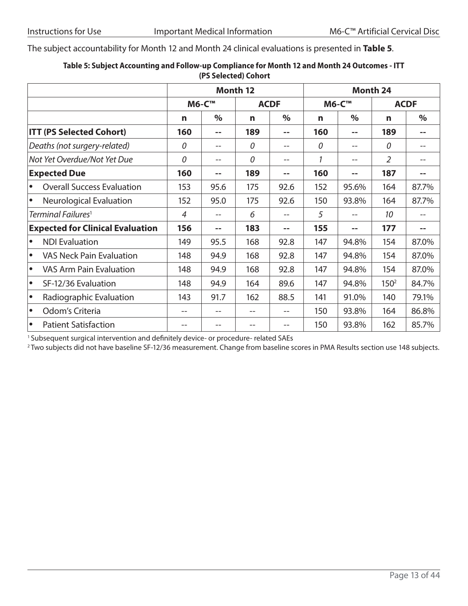The subject accountability for Month 12 and Month 24 clinical evaluations is presented in **Table 5**.

|                                                |     | (PS Selected) Conort |                 |             |     |               |                  |             |
|------------------------------------------------|-----|----------------------|-----------------|-------------|-----|---------------|------------------|-------------|
|                                                |     |                      | <b>Month 12</b> |             |     |               | Month 24         |             |
|                                                |     | <b>M6-C™</b>         |                 | <b>ACDF</b> |     | <b>M6-C™</b>  |                  | <b>ACDF</b> |
|                                                | n   | $\%$                 | n               | $\%$        | n   | $\frac{0}{0}$ | n                | $\%$        |
| <b>ITT (PS Selected Cohort)</b>                | 160 | --                   | 189             |             | 160 | --            | 189              | --          |
| Deaths (not surgery-related)                   | 0   | $-$                  | 0               |             | 0   | $-$           | 0                |             |
| Not Yet Overdue/Not Yet Due                    | 0   | $- -$                | 0               | --          | 1   | $-$           | 2                |             |
| <b>Expected Due</b>                            | 160 | --                   | 189             | --          | 160 | --            | 187              | --          |
| <b>Overall Success Evaluation</b><br>$\bullet$ | 153 | 95.6                 | 175             | 92.6        | 152 | 95.6%         | 164              | 87.7%       |
| <b>Neurological Evaluation</b><br>$\bullet$    | 152 | 95.0                 | 175             | 92.6        | 150 | 93.8%         | 164              | 87.7%       |
| Terminal Failures <sup>1</sup>                 | 4   | $- -$                | 6               | $- -$       | 5   | --            | 10               |             |
| <b>Expected for Clinical Evaluation</b>        | 156 | --                   | 183             | $-$         | 155 | --            | 177              | $-$         |
| <b>NDI Evaluation</b><br>$\bullet$             | 149 | 95.5                 | 168             | 92.8        | 147 | 94.8%         | 154              | 87.0%       |
| <b>VAS Neck Pain Evaluation</b><br>$\bullet$   | 148 | 94.9                 | 168             | 92.8        | 147 | 94.8%         | 154              | 87.0%       |
| <b>VAS Arm Pain Evaluation</b><br>$\bullet$    | 148 | 94.9                 | 168             | 92.8        | 147 | 94.8%         | 154              | 87.0%       |
| SF-12/36 Evaluation<br>$\bullet$               | 148 | 94.9                 | 164             | 89.6        | 147 | 94.8%         | 150 <sup>2</sup> | 84.7%       |
| Radiographic Evaluation<br>$\bullet$           | 143 | 91.7                 | 162             | 88.5        | 141 | 91.0%         | 140              | 79.1%       |
| Odom's Criteria<br>$\bullet$                   | --  |                      |                 |             | 150 | 93.8%         | 164              | 86.8%       |
| <b>Patient Satisfaction</b><br>$\bullet$       | --  |                      |                 |             | 150 | 93.8%         | 162              | 85.7%       |

#### **Table 5: Subject Accounting and Follow-up Compliance for Month 12 and Month 24 Outcomes - ITT (PS Selected) Cohort**

<sup>1</sup> Subsequent surgical intervention and definitely device- or procedure- related SAEs

<sup>2</sup> Two subjects did not have baseline SF-12/36 measurement. Change from baseline scores in PMA Results section use 148 subjects.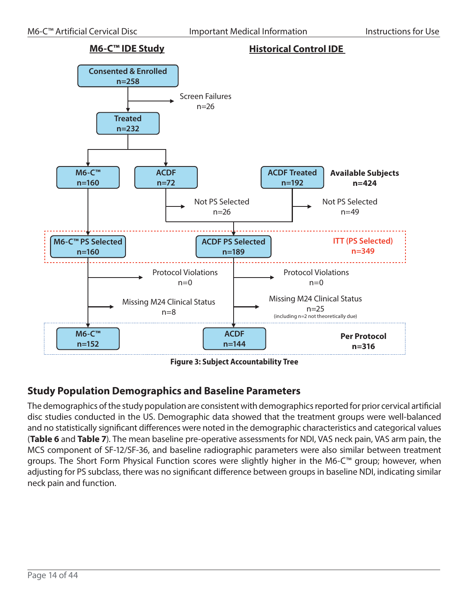

**Figure 3: Subject Accountability Tree**

### **Study Population Demographics and Baseline Parameters**

The demographics of the study population are consistent with demographics reported for prior cervical artificial disc studies conducted in the US. Demographic data showed that the treatment groups were well-balanced and no statistically significant differences were noted in the demographic characteristics and categorical values (**Table 6** and **Table 7**). The mean baseline pre-operative assessments for NDI, VAS neck pain, VAS arm pain, the MCS component of SF-12/SF-36, and baseline radiographic parameters were also similar between treatment groups. The Short Form Physical Function scores were slightly higher in the M6-C™ group; however, when adjusting for PS subclass, there was no significant difference between groups in baseline NDI, indicating similar neck pain and function.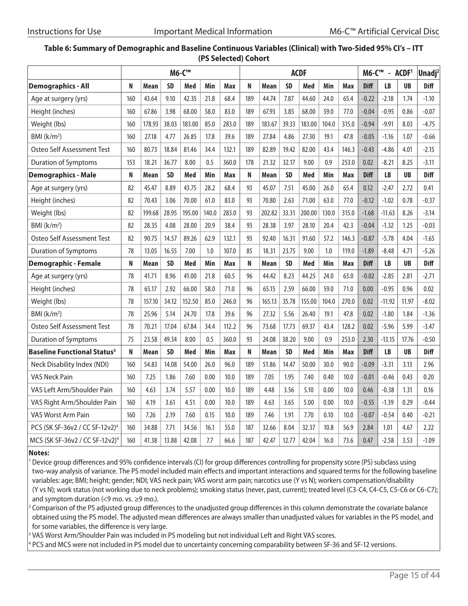#### **Table 6: Summary of Demographic and Baseline Continuous Variables (Clinical) with Two-Sided 95% CI's – ITT (PS Selected) Cohort**

|                                               | <b>M6-C™</b> |        |           |        |       | <b>ACDF</b> |     |        |           |        |       | M6-C™<br>$- ACDF1$ |             |           | Unadj <sup>2</sup> |             |
|-----------------------------------------------|--------------|--------|-----------|--------|-------|-------------|-----|--------|-----------|--------|-------|--------------------|-------------|-----------|--------------------|-------------|
| <b>Demographics - All</b>                     | N            | Mean   | <b>SD</b> | Med    | Min   | Max         | N   | Mean   | <b>SD</b> | Med    | Min   | Max                | <b>Diff</b> | <b>LB</b> | <b>UB</b>          | <b>Diff</b> |
| Age at surgery (yrs)                          | 160          | 43.64  | 9.10      | 42.35  | 21.8  | 68.4        | 189 | 44.74  | 7.87      | 44.60  | 24.0  | 65.4               | $-0.22$     | $-2.18$   | 1.74               | $-1.10$     |
| Height (inches)                               | 160          | 67.86  | 3.98      | 68.00  | 58.0  | 83.0        | 189 | 67.93  | 3.85      | 68.00  | 59.0  | 77.0               | $-0.04$     | $-0.95$   | 0.86               | $-0.07$     |
| Weight (lbs)                                  | 160          | 178.93 | 38.03     | 183.00 | 85.0  | 283.0       | 189 | 183.67 | 39.33     | 183.00 | 104.0 | 315.0              | $-0.94$     | $-9.91$   | 8.03               | $-4.75$     |
| BMI $(k/m2)$                                  | 160          | 27.18  | 4.77      | 26.85  | 17.8  | 39.6        | 189 | 27.84  | 4.86      | 27.30  | 19.1  | 47.8               | $-0.05$     | $-1.16$   | 1.07               | $-0.66$     |
| Osteo Self Assessment Test                    | 160          | 80.73  | 18.84     | 81.46  | 34.4  | 132.1       | 189 | 82.89  | 19.42     | 82.00  | 43.4  | 146.3              | $-0.43$     | $-4.86$   | 4.01               | $-2.15$     |
| <b>Duration of Symptoms</b>                   | 153          | 18.21  | 36.77     | 8.00   | 0.5   | 360.0       | 178 | 21.32  | 32.17     | 9.00   | 0.9   | 253.0              | 0.02        | $-8.21$   | 8.25               | $-3.11$     |
| <b>Demographics - Male</b>                    | N            | Mean   | <b>SD</b> | Med    | Min   | Max         | N   | Mean   | <b>SD</b> | Med    | Min   | Max                | <b>Diff</b> | <b>LB</b> | <b>UB</b>          | <b>Diff</b> |
| Age at surgery (yrs)                          | 82           | 45.47  | 8.89      | 43.75  | 28.2  | 68.4        | 93  | 45.07  | 7.51      | 45.00  | 26.0  | 65.4               | 0.12        | $-2.47$   | 2.72               | 0.41        |
| Height (inches)                               | 82           | 70.43  | 3.06      | 70.00  | 61.0  | 83.0        | 93  | 70.80  | 2.63      | 71.00  | 63.0  | 77.0               | $-0.12$     | $-1.02$   | 0.78               | $-0.37$     |
| Weight (lbs)                                  | 82           | 199.68 | 28.95     | 195.00 | 140.0 | 283.0       | 93  | 202.82 | 33.31     | 200.00 | 130.0 | 315.0              | $-1.68$     | $-11.63$  | 8.26               | $-3.14$     |
| BMl (k/m <sup>2</sup> )                       | 82           | 28.35  | 4.08      | 28.00  | 20.9  | 38.4        | 93  | 28.38  | 3.97      | 28.10  | 20.4  | 42.3               | $-0.04$     | $-1.32$   | 1.25               | $-0.03$     |
| Osteo Self Assessment Test                    | 82           | 90.75  | 14.57     | 89.26  | 62.9  | 132.1       | 93  | 92.40  | 16.31     | 91.60  | 57.2  | 146.3              | $-0.87$     | $-5.78$   | 4.04               | $-1.65$     |
| <b>Duration of Symptoms</b>                   | 78           | 13.05  | 16.55     | 7.00   | 1.0   | 107.0       | 85  | 18.31  | 23.75     | 9.00   | 1.0   | 119.0              | $-1.89$     | $-8.48$   | 4.71               | $-5.26$     |
| <b>Demographic - Female</b>                   | N            | Mean   | <b>SD</b> | Med    | Min   | Max         | N   | Mean   | <b>SD</b> | Med    | Min   | Max                | <b>Diff</b> | <b>LB</b> | <b>UB</b>          | <b>Diff</b> |
| Age at surgery (yrs)                          | 78           | 41.71  | 8.96      | 41.00  | 21.8  | 60.5        | 96  | 44.42  | 8.23      | 44.25  | 24.0  | 63.0               | $-0.02$     | $-2.85$   | 2.81               | $-2.71$     |
| Height (inches)                               | 78           | 65.17  | 2.92      | 66.00  | 58.0  | 71.0        | 96  | 65.15  | 2.59      | 66.00  | 59.0  | 71.0               | 0.00        | $-0.95$   | 0.96               | 0.02        |
| Weight (lbs)                                  | 78           | 157.10 | 34.12     | 152.50 | 85.0  | 246.0       | 96  | 165.13 | 35.78     | 155.00 | 104.0 | 270.0              | 0.02        | $-11.92$  | 11.97              | $-8.02$     |
| BMl (k/m <sup>2</sup> )                       | 78           | 25.96  | 5.14      | 24.70  | 17.8  | 39.6        | 96  | 27.32  | 5.56      | 26.40  | 19.1  | 47.8               | 0.02        | $-1.80$   | 1.84               | $-1.36$     |
| Osteo Self Assessment Test                    | 78           | 70.21  | 17.04     | 67.84  | 34.4  | 112.2       | 96  | 73.68  | 17.73     | 69.37  | 43.4  | 128.2              | 0.02        | $-5.96$   | 5.99               | $-3.47$     |
| <b>Duration of Symptoms</b>                   | 75           | 23.58  | 49.34     | 8.00   | 0.5   | 360.0       | 93  | 24.08  | 38.20     | 9.00   | 0.9   | 253.0              | 2.30        | $-13.15$  | 17.76              | $-0.50$     |
| <b>Baseline Functional Status<sup>3</sup></b> | N            | Mean   | <b>SD</b> | Med    | Min   | Max         | N   | Mean   | <b>SD</b> | Med    | Min   | Max                | <b>Diff</b> | <b>LB</b> | <b>UB</b>          | <b>Diff</b> |
| Neck Disability Index (NDI)                   | 160          | 54.83  | 14.08     | 54.00  | 26.0  | 96.0        | 189 | 51.86  | 14.47     | 50.00  | 30.0  | 90.0               | $-0.09$     | $-3.31$   | 3.13               | 2.96        |
| <b>VAS Neck Pain</b>                          | 160          | 7.25   | 1.86      | 7.60   | 0.00  | 10.0        | 189 | 7.05   | 1.95      | 7.40   | 0.40  | 10.0               | $-0.01$     | $-0.46$   | 0.43               | 0.20        |
| VAS Left Arm/Shoulder Pain                    | 160          | 4.63   | 3.74      | 5.57   | 0.00  | 10.0        | 189 | 4.48   | 3.56      | 5.10   | 0.00  | 10.0               | 0.46        | $-0.38$   | 1.31               | 0.16        |
| VAS Right Arm/Shoulder Pain                   | 160          | 4.19   | 3.61      | 4.51   | 0.00  | 10.0        | 189 | 4.63   | 3.65      | 5.00   | 0.00  | 10.0               | $-0.55$     | $-1.39$   | 0.29               | $-0.44$     |
| VAS Worst Arm Pain                            | 160          | 7.26   | 2.19      | 7.60   | 0.15  | 10.0        | 189 | 7.46   | 1.91      | 7.70   | 0.10  | 10.0               | $-0.07$     | $-0.54$   | 0.40               | $-0.21$     |
| PCS (SK SF-36v2 / CC SF-12v2) <sup>4</sup>    | 160          | 34.88  | 7.71      | 34.56  | 16.1  | 55.0        | 187 | 32.66  | 8.04      | 32.37  | 10.8  | 56.9               | 2.84        | 1.01      | 4.67               | 2.22        |
| MCS (SK SF-36v2 / CC SF-12v2) <sup>4</sup>    | 160          | 41.38  | 13.88     | 42.08  | 7.7   | 66.6        | 187 | 42.47  | 12.77     | 42.04  | 16.0  | 73.6               | 0.47        | $-2.58$   | 3.53               | $-1.09$     |

#### **Notes:**

<sup>1</sup> Device group differences and 95% confidence intervals (CI) for group differences controlling for propensity score (PS) subclass using two-way analysis of variance. The PS model included main effects and important interactions and squared terms for the following baseline variables: age; BMI; height; gender; NDI; VAS neck pain; VAS worst arm pain; narcotics use (Y vs N); workers compensation/disability (Y vs N); work status (not working due to neck problems); smoking status (never, past, current); treated level (C3-C4, C4-C5, C5-C6 or C6-C7); and symptom duration  $\leq$ 9 mo. vs.  $\geq$ 9 mo.).

<sup>2</sup> Comparison of the PS adjusted group differences to the unadjusted group differences in this column demonstrate the covariate balance obtained using the PS model. The adjusted mean differences are always smaller than unadjusted values for variables in the PS model, and for some variables, the difference is very large.

<sup>3</sup> VAS Worst Arm/Shoulder Pain was included in PS modeling but not individual Left and Right VAS scores.

4 PCS and MCS were not included in PS model due to uncertainty concerning comparability between SF-36 and SF-12 versions.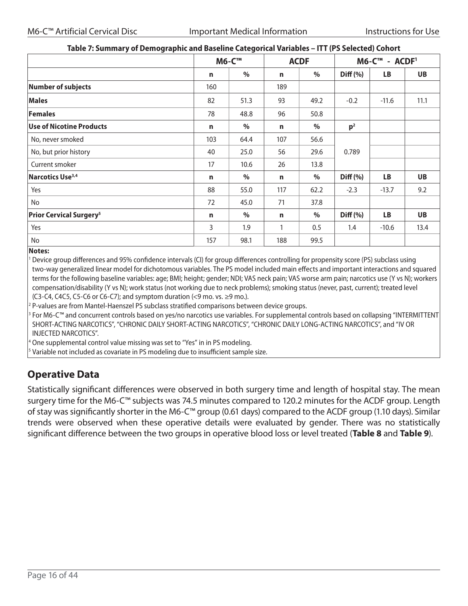| ~~~ <i>~</i> ~~~~~~~~~~~~~~~~~~~~~~~~~    |             | <b>M6-C™</b> |     | <b>ACDF</b> | M6-C™ - ACDF <sup>1</sup> |           |           |  |
|-------------------------------------------|-------------|--------------|-----|-------------|---------------------------|-----------|-----------|--|
|                                           |             |              |     |             |                           |           |           |  |
|                                           | n           | %            | n   | %           | Diff (%)                  | LB        | UB        |  |
| <b>Number of subjects</b>                 | 160         |              | 189 |             |                           |           |           |  |
| <b>Males</b>                              | 82          | 51.3         | 93  | 49.2        | $-0.2$                    | $-11.6$   | 11.1      |  |
| <b>Females</b>                            | 78          | 48.8         | 96  | 50.8        |                           |           |           |  |
| <b>Use of Nicotine Products</b>           | n           | $\%$         | n   | $\%$        | p <sup>2</sup>            |           |           |  |
| No, never smoked                          | 103         | 64.4         | 107 | 56.6        |                           |           |           |  |
| No, but prior history                     | 40          | 25.0         | 56  | 29.6        | 0.789                     |           |           |  |
| Current smoker                            | 17          | 10.6         | 26  | 13.8        |                           |           |           |  |
| Narcotics Use <sup>3,4</sup>              | $\mathbf n$ | $\%$         | n   | $\%$        | Diff (%)                  | <b>LB</b> | UB        |  |
| Yes                                       | 88          | 55.0         | 117 | 62.2        | $-2.3$                    | $-13.7$   | 9.2       |  |
| No                                        | 72          | 45.0         | 71  | 37.8        |                           |           |           |  |
| <b>Prior Cervical Surgery<sup>5</sup></b> | $\mathbf n$ | $\%$         | n   | $\%$        | Diff (%)                  | <b>LB</b> | <b>UB</b> |  |
| Yes                                       | 3           | 1.9          | 1   | 0.5         | 1.4                       | $-10.6$   | 13.4      |  |
| No                                        | 157         | 98.1         | 188 | 99.5        |                           |           |           |  |

#### **Table 7: Summary of Demographic and Baseline Categorical Variables – ITT (PS Selected) Cohort**

#### **Notes:**

<sup>1</sup> Device group differences and 95% confidence intervals (CI) for group differences controlling for propensity score (PS) subclass using two-way generalized linear model for dichotomous variables. The PS model included main effects and important interactions and squared terms for the following baseline variables: age; BMI; height; gender; NDI; VAS neck pain; VAS worse arm pain; narcotics use (Y vs N); workers compensation/disability (Y vs N); work status (not working due to neck problems); smoking status (never, past, current); treated level (C3-C4, C4C5, C5-C6 or C6-C7); and symptom duration  $\leq$ 9 mo. vs.  $\geq$ 9 mo.).

<sup>2</sup> P-values are from Mantel-Haenszel PS subclass stratified comparisons between device groups.

3 For M6-C™ and concurrent controls based on yes/no narcotics use variables. For supplemental controls based on collapsing "INTERMITTENT SHORT-ACTING NARCOTICS", "CHRONIC DAILY SHORT-ACTING NARCOTICS", "CHRONIC DAILY LONG-ACTING NARCOTICS", and "IV OR INJECTED NARCOTICS".

<sup>4</sup> One supplemental control value missing was set to "Yes" in in PS modeling.

<sup>5</sup> Variable not included as covariate in PS modeling due to insufficient sample size.

### **Operative Data**

Statistically significant differences were observed in both surgery time and length of hospital stay. The mean surgery time for the M6-C™ subjects was 74.5 minutes compared to 120.2 minutes for the ACDF group. Length of stay was significantly shorter in the M6-C™ group (0.61 days) compared to the ACDF group (1.10 days). Similar trends were observed when these operative details were evaluated by gender. There was no statistically significant difference between the two groups in operative blood loss or level treated (**Table 8** and **Table 9**).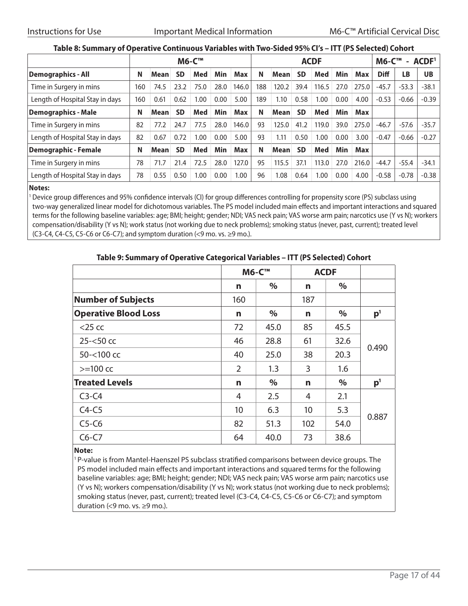#### **Table 8: Summary of Operative Continuous Variables with Two-Sided 95% CI's – ITT (PS Selected) Cohort**

|                                 | <b>M6-C™</b> |      |           |      |      |            |     | <b>ACDF</b> |           |       |      |       |             | ACDF <sup>1</sup><br>$M6-C^{m}$<br>$\sim$ |           |  |
|---------------------------------|--------------|------|-----------|------|------|------------|-----|-------------|-----------|-------|------|-------|-------------|-------------------------------------------|-----------|--|
| <b>Demographics - All</b>       | N            | Mean | <b>SD</b> | Med  | Min  | <b>Max</b> | N   | <b>Mean</b> | <b>SD</b> | Med   | Min  | Max   | <b>Diff</b> | <b>LB</b>                                 | <b>UB</b> |  |
| Time in Surgery in mins         | 160          | 74.5 | 23.2      | 75.0 | 28.0 | 146.0      | 188 | 120.2       | 39.4      | 116.5 | 27.0 | 275.0 | $-45.7$     | $-53.3$                                   | $-38.1$   |  |
| Length of Hospital Stay in days | 160          | 0.61 | 0.62      | 1.00 | 0.00 | 5.00       | 189 | 1.10        | 0.58      | 1.00  | 0.00 | 4.00  | $-0.53$     | $-0.66$                                   | $-0.39$   |  |
| <b>Demographics - Male</b>      | N            | Mean | <b>SD</b> | Med  | Min  | <b>Max</b> | N   | <b>Mean</b> | <b>SD</b> | Med   | Min  | Max   |             |                                           |           |  |
| Time in Surgery in mins         | 82           | 77.2 | 24.7      | 77.5 | 28.0 | 146.0      | 93  | 125.0       | 41.2      | 119.0 | 39.0 | 275.0 | $-46.7$     | $-57.6$                                   | $-35.7$   |  |
| Length of Hospital Stay in days | 82           | 0.67 | 0.72      | 00.1 | 0.00 | 5.00       | 93  | 1.11        | 0.50      | .00   | 0.00 | 3.00  | $-0.47$     | $-0.66$                                   | $-0.27$   |  |
| <b>Demographic - Female</b>     | N            | Mean | <b>SD</b> | Med  | Min  | <b>Max</b> | N   | <b>Mean</b> | <b>SD</b> | Med   | Min  | Max   |             |                                           |           |  |
| Time in Surgery in mins         | 78           | 71.7 | 21.4      | 72.5 | 28.0 | 127.0      | 95  | 115.5       | 37.1      | 113.0 | 27.0 | 216.0 | $-44.7$     | $-55.4$                                   | $-34.1$   |  |
| Length of Hospital Stay in days | 78           | 0.55 | 0.50      | 1.00 | 0.00 | 1.00       | 96  | 1.08        | 0.64      | .00   | 0.00 | 4.00  | $-0.58$     | $-0.78$                                   | $-0.38$   |  |

#### **Notes:**

<sup>1</sup> Device group differences and 95% confidence intervals (CI) for group differences controlling for propensity score (PS) subclass using two-way generalized linear model for dichotomous variables. The PS model included main effects and important interactions and squared terms for the following baseline variables: age; BMI; height; gender; NDI; VAS neck pain; VAS worse arm pain; narcotics use (Y vs N); workers compensation/disability (Y vs N); work status (not working due to neck problems); smoking status (never, past, current); treated level (C3-C4, C4-C5, C5-C6 or C6-C7); and symptom duration  $\leq$ 9 mo. vs.  $\geq$ 9 mo.).

| Table 2. January of Operative Categorical Variables Thirty Jeffected, Conort |     |              |     |      |                |  |  |  |  |
|------------------------------------------------------------------------------|-----|--------------|-----|------|----------------|--|--|--|--|
|                                                                              |     | <b>M6-C™</b> |     |      |                |  |  |  |  |
|                                                                              | n   | $\%$         | n   | $\%$ |                |  |  |  |  |
| <b>Number of Subjects</b>                                                    | 160 |              | 187 |      |                |  |  |  |  |
| <b>Operative Blood Loss</b>                                                  | n   | $\%$         | n   | %    | p <sup>1</sup> |  |  |  |  |
| $<$ 25 cc                                                                    | 72  | 45.0         | 85  | 45.5 |                |  |  |  |  |
| $25 - 50$ cc                                                                 | 46  | 28.8         | 61  | 32.6 | 0.490          |  |  |  |  |
| 50-<100 cc                                                                   | 40  | 25.0         | 38  | 20.3 |                |  |  |  |  |
| $>=100$ cc                                                                   | 2   | 1.3          | 3   | 1.6  |                |  |  |  |  |
| <b>Treated Levels</b>                                                        | n   | $\%$         | n   | $\%$ | p <sup>1</sup> |  |  |  |  |
| $C3-C4$                                                                      | 4   | 2.5          | 4   | 2.1  |                |  |  |  |  |
| $C4-C5$                                                                      | 10  | 6.3          | 10  | 5.3  |                |  |  |  |  |
| $C5-C6$                                                                      | 82  | 51.3         | 102 | 54.0 | 0.887          |  |  |  |  |
| $C6-C7$                                                                      | 64  | 40.0         | 73  | 38.6 |                |  |  |  |  |

#### **Table 9: Summary of Operative Categorical Variables – ITT (PS Selected) Cohort**

#### **Note:**

<sup>1</sup> P-value is from Mantel-Haenszel PS subclass stratified comparisons between device groups. The PS model included main effects and important interactions and squared terms for the following baseline variables: age; BMI; height; gender; NDI; VAS neck pain; VAS worse arm pain; narcotics use (Y vs N); workers compensation/disability (Y vs N); work status (not working due to neck problems); smoking status (never, past, current); treated level (C3-C4, C4-C5, C5-C6 or C6-C7); and symptom duration (<9 mo. vs.  $\ge$ 9 mo.).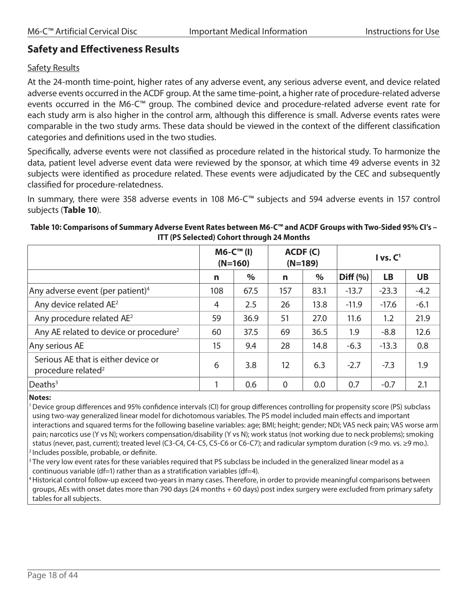### **Safety and Effectiveness Results**

#### Safety Results

At the 24-month time-point, higher rates of any adverse event, any serious adverse event, and device related adverse events occurred in the ACDF group. At the same time-point, a higher rate of procedure-related adverse events occurred in the M6-C™ group. The combined device and procedure-related adverse event rate for each study arm is also higher in the control arm, although this difference is small. Adverse events rates were comparable in the two study arms. These data should be viewed in the context of the different classification categories and definitions used in the two studies.

Specifically, adverse events were not classified as procedure related in the historical study. To harmonize the data, patient level adverse event data were reviewed by the sponsor, at which time 49 adverse events in 32 subjects were identified as procedure related. These events were adjudicated by the CEC and subsequently classified for procedure-relatedness.

In summary, there were 358 adverse events in 108 M6-C™ subjects and 594 adverse events in 157 control subjects (**Table 10**).

#### **Table 10: Comparisons of Summary Adverse Event Rates between M6-C™ and ACDF Groups with Two-Sided 95% CI's – ITT (PS Selected) Cohort through 24 Months**

|                                                                       |                | $MG-CTM$ (I)<br>$(N=160)$ |          | ACDF(C)<br>$(N=189)$ | I vs. C <sup>1</sup> |           |           |  |
|-----------------------------------------------------------------------|----------------|---------------------------|----------|----------------------|----------------------|-----------|-----------|--|
|                                                                       | n              | $\%$                      | n        | $\%$                 | Diff (%)             | <b>LB</b> | <b>UB</b> |  |
| Any adverse event (per patient) <sup>4</sup>                          | 108            | 67.5                      | 157      | 83.1                 | $-13.7$              | $-23.3$   | $-4.2$    |  |
| Any device related AE <sup>2</sup>                                    | $\overline{4}$ | 2.5                       | 26       | 13.8                 | $-11.9$              | $-17.6$   | $-6.1$    |  |
| Any procedure related AE <sup>2</sup>                                 | 59             | 36.9                      | 51       | 27.0                 | 11.6                 | 1.2       | 21.9      |  |
| Any AE related to device or procedure <sup>2</sup>                    | 60             | 37.5                      | 69       | 36.5                 | 1.9                  | $-8.8$    | 12.6      |  |
| Any serious AE                                                        | 15             | 9.4                       | 28       | 14.8                 | $-6.3$               | $-13.3$   | 0.8       |  |
| Serious AE that is either device or<br>procedure related <sup>2</sup> | 6              | 3.8                       | 12       | 6.3                  | $-2.7$               | $-7.3$    | 1.9       |  |
| Deaths <sup>3</sup>                                                   |                | 0.6                       | $\Omega$ | 0.0                  | 0.7                  | $-0.7$    | 2.1       |  |

#### **Notes:**

1Device group differences and 95% confidence intervals (CI) for group differences controlling for propensity score (PS) subclass using two-way generalized linear model for dichotomous variables. The PS model included main effects and important interactions and squared terms for the following baseline variables: age; BMI; height; gender; NDI; VAS neck pain; VAS worse arm pain; narcotics use (Y vs N); workers compensation/disability (Y vs N); work status (not working due to neck problems); smoking status (never, past, current); treated level (C3-C4, C4-C5, C5-C6 or C6-C7); and radicular symptom duration (<9 mo. vs. ≥9 mo.). <sup>2</sup> Includes possible, probable, or definite.

 $3$  The very low event rates for these variables required that PS subclass be included in the generalized linear model as a continuous variable (df=1) rather than as a stratification variables (df=4).

4Historical control follow-up exceed two-years in many cases. Therefore, in order to provide meaningful comparisons between groups, AEs with onset dates more than 790 days (24 months + 60 days) post index surgery were excluded from primary safety tables for all subjects.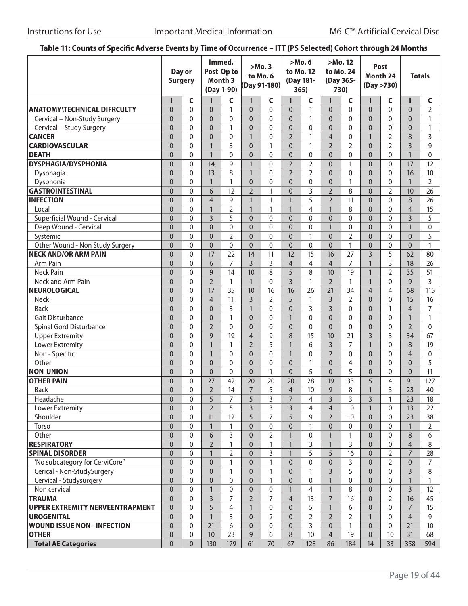### **Table 11: Counts of Specific Adverse Events by Time of Occurrence – ITT (PS Selected) Cohort through 24 Months**

|                                        | Day or<br><b>Surgery</b> |                  | Immed.<br>Post-Op to<br>Month <sub>3</sub><br>(Day 1-90) |                | > Mo.3<br>to Mo. 6<br>(Day 91-180) |                | >Mo.6<br>to Mo. 12<br>(Day 181-<br>365) |                | >Mo. 12<br>to Mo. 24<br>(Day 365-<br>730) |                | Post<br>Month 24<br>(Day > 730) |                | <b>Totals</b>  |                |
|----------------------------------------|--------------------------|------------------|----------------------------------------------------------|----------------|------------------------------------|----------------|-----------------------------------------|----------------|-------------------------------------------|----------------|---------------------------------|----------------|----------------|----------------|
|                                        | п                        | C                | п                                                        | C              | Π                                  | C              |                                         | C              |                                           | C              |                                 | C              | п              | C              |
| <b>ANATOMY\TECHNICAL DIFRCULTY</b>     | $\overline{0}$           | $\mathbf{0}$     | $\overline{0}$                                           | $\mathbf{1}$   | $\overline{0}$                     | $\overline{0}$ | $\overline{0}$                          | $\mathbf{1}$   | $\overline{0}$                            | $\mathbf{0}$   | $\overline{0}$                  | $\overline{0}$ | $\overline{0}$ | $\overline{2}$ |
| Cervical - Non-Study Surgery           | $\mathbf 0$              | $\mathbf{0}$     | $\overline{0}$                                           | $\mathbf{0}$   | $\overline{0}$                     | 0              | $\mathbf 0$                             | $\mathbf{1}$   | $\overline{0}$                            | $\mathbf 0$    | $\overline{0}$                  | 0              | $\overline{0}$ | 1              |
| Cervical - Study Surgery               | $\mathbf 0$              | $\mathbf{0}$     | $\overline{0}$                                           | 1              | $\overline{0}$                     | 0              | $\overline{0}$                          | $\mathbf{0}$   | $\overline{0}$                            | $\mathbf{0}$   | $\overline{0}$                  | $\mathbf 0$    | $\overline{0}$ | $\mathbf{1}$   |
| <b>CANCER</b>                          | $\mathbf 0$              | $\mathbf{0}$     | $\overline{0}$                                           | 0              | $\mathbf{1}$                       | 0              | $\overline{2}$                          | $\mathbf{1}$   | $\overline{4}$                            | $\mathbf 0$    | $\mathbf{1}$                    | $\overline{2}$ | 8              | 3              |
| <b>CARDIOVASCULAR</b>                  | $\mathbf 0$              | $\mathbf{0}$     | $\mathbf{1}$                                             | 3              | $\overline{0}$                     | 1              | $\overline{0}$                          | $\mathbf{1}$   | $\overline{2}$                            | $\overline{2}$ | $\mathbf 0$                     | $\overline{2}$ | $\overline{3}$ | 9              |
| <b>DEATH</b>                           | $\mathbf 0$              | $\mathbf{0}$     | $\mathbf{1}$                                             | 0              | $\overline{0}$                     | 0              | $\overline{0}$                          | $\mathbf{0}$   | $\overline{0}$                            | $\mathbf{0}$   | $\overline{0}$                  | $\mathbf{0}$   | $\mathbf{1}$   | $\mathbf{0}$   |
| <b>DYSPHAGIA/DYSPHONIA</b>             | $\mathbf 0$              | $\mathbf{0}$     | 14                                                       | 9              | $\mathbf{1}$                       | 0              | $\overline{2}$                          | $\overline{2}$ | $\overline{0}$                            | $\mathbf{1}$   | $\mathbf 0$                     | $\mathbf{0}$   | 17             | 12             |
| Dysphagia                              | $\mathbf 0$              | $\mathbf{0}$     | 13                                                       | 8              | $\mathbf{1}$                       | 0              | $\overline{2}$                          | $\overline{2}$ | $\overline{0}$                            | $\mathbf 0$    | $\overline{0}$                  | $\mathbf{0}$   | 16             | 10             |
| Dysphonia                              | $\mathbf 0$              | $\mathbf{0}$     | $\mathbf{1}$                                             | $\mathbf{1}$   | $\overline{0}$                     | 0              | $\overline{0}$                          | $\mathbf{0}$   | $\overline{0}$                            | $\mathbf{1}$   | 0                               | 0              | $\mathbf{1}$   | $\overline{2}$ |
| <b>GASTROINTESTINAL</b>                | $\mathbf 0$              | $\mathbf{0}$     | 6                                                        | 12             | $\overline{2}$                     | 1              | $\overline{0}$                          | 3              | $\overline{2}$                            | 8              | 0                               | $\overline{2}$ | 10             | 26             |
| <b>INFECTION</b>                       | $\mathbf 0$              | $\mathbf{0}$     | $\overline{4}$                                           | 9              | $\mathbf{1}$                       | 1              | $\mathbf{1}$                            | 5              | $\overline{2}$                            | 11             | 0                               | $\mathbf 0$    | 8              | 26             |
| Local                                  | $\mathbf 0$              | $\mathbf{0}$     | $\mathbf{1}$                                             | 2              | $\mathbf{1}$                       | 1              | $\mathbf{1}$                            | 4              | 1                                         | 8              | 0                               | $\mathbf{0}$   | $\overline{4}$ | 15             |
| Superficial Wound - Cervical           | $\overline{0}$           | $\Omega$         | $\overline{3}$                                           | 5              | $\mathbf{0}$                       | 0              | $\overline{0}$                          | $\mathbf{0}$   | $\overline{0}$                            | $\mathbf{0}$   | 0                               | 0              | $\overline{3}$ | 5              |
| Deep Wound - Cervical                  | $\overline{0}$           | $\mathbf{0}$     | $\mathbf{0}$                                             | 0              | $\mathbf{0}$                       | 0              | $\overline{0}$                          | $\mathbf{0}$   | $\mathbf{1}$                              | $\mathbf{0}$   | 0                               | 0              | $\mathbf{1}$   | $\mathbf{0}$   |
| Systemic                               | $\overline{0}$           | $\mathbf{0}$     | $\mathbf{0}$                                             | $\overline{2}$ | $\overline{0}$                     | 0              | $\overline{0}$                          | $\mathbf{1}$   | $\overline{0}$                            | $\overline{2}$ | $\overline{0}$                  | $\mathbf{0}$   | $\overline{0}$ | 5              |
| Other Wound - Non Study Surgery        | $\overline{0}$           | $\mathbf{0}$     | $\overline{0}$                                           | $\mathbf{0}$   | $\overline{0}$                     | 0              | $\overline{0}$                          | $\mathbf{0}$   | $\overline{0}$                            | $\mathbf{1}$   | 0                               | 0              | $\overline{0}$ | $\mathbf{1}$   |
| <b>NECK AND/OR ARM PAIN</b>            | $\mathbf 0$              | $\Omega$         | 17                                                       | 22             | 14                                 | 11             | 12                                      | 15             | 16                                        | 27             | $\overline{3}$                  | 5              | 62             | 80             |
| Arm Pain                               | $\overline{0}$           | $\Omega$         | 6                                                        | 7              | $\overline{3}$                     | 3              | $\overline{4}$                          | 4              | $\overline{4}$                            | 7              | $\mathbf{1}$                    | 3              | 18             | 26             |
| <b>Neck Pain</b>                       | $\mathbf 0$              | $\Omega$         | 9                                                        | 14             | 10                                 | 8              | 5                                       | 8              | 10                                        | 19             | $\mathbf{1}$                    | $\overline{2}$ | 35             | 51             |
| Neck and Arm Pain                      | $\mathbf 0$              | $\Omega$         | $\overline{2}$                                           | 1              | $\mathbf{1}$                       | $\mathbf 0$    | $\overline{3}$                          | $\mathbf{1}$   | $\overline{2}$                            | $\mathbf{1}$   | $\mathbf{1}$                    | $\mathbf{0}$   | 9              | 3              |
| <b>NEUROLOGICAL</b>                    | $\mathbf 0$              | $\Omega$         | 17                                                       | 35             | 10                                 | 16             | 16                                      | 26             | 21                                        | 34             | $\overline{4}$                  | $\overline{4}$ | 68             | 115            |
| <b>Neck</b>                            | $\mathbf 0$              | $\Omega$         | $\overline{4}$                                           | 11             | $\overline{3}$                     | $\overline{2}$ | 5                                       | $\mathbf{1}$   | $\overline{3}$                            | $\overline{2}$ | $\overline{0}$                  | $\Omega$       | 15             | 16             |
| <b>Back</b>                            | $\mathbf 0$              | $\Omega$         | $\overline{0}$                                           | 3              | $\mathbf{1}$                       | 0              | $\overline{0}$                          | 3              | $\overline{3}$                            | $\mathbf{0}$   | $\overline{0}$                  | $\mathbf{1}$   | $\overline{4}$ | 7              |
| <b>Gait Disturbance</b>                | $\mathbf 0$              | $\mathbf{0}$     | $\overline{0}$                                           | $\mathbf{1}$   | $\overline{0}$                     | 0              | $\mathbf{1}$                            | $\mathbf{0}$   | $\Omega$                                  | $\mathbf{0}$   | $\overline{0}$                  | $\overline{0}$ | $\mathbf{1}$   | $\mathbf{1}$   |
| Spinal Gord Disturbance                | $\mathbf 0$              | $\mathbf{0}$     | $\overline{2}$                                           | 0              | $\overline{0}$                     | 0              | $\mathbf 0$                             | $\mathbf{0}$   | $\overline{0}$                            | $\mathbf{0}$   | $\mathbf 0$                     | 0              | $\overline{2}$ | $\mathbf{0}$   |
| <b>Upper Extremity</b>                 | $\mathbf 0$              | $\Omega$         | 9                                                        | 19             | $\overline{4}$                     | 9              | 8                                       | 15             | 10                                        | 21             | $\overline{3}$                  | 3              | 34             | 67             |
| <b>Lower Extremity</b>                 | $\mathbf 0$              | $\mathbf{0}$     | $\mathbf{1}$                                             | $\mathbf{1}$   | $\overline{2}$                     | 5              | $\mathbf{1}$                            | 6              | $\overline{3}$                            | $\overline{7}$ | $\mathbf{1}$                    | $\overline{0}$ | 8              | 19             |
| Non - Specific                         | $\pmb{0}$                | $\mathbf{0}$     | $\mathbf{1}$                                             | $\mathbf{0}$   | $\mathbf{0}$                       | $\pmb{0}$      | $\mathbf{1}$                            | $\mathbf{0}$   | $\overline{2}$                            | $\mathbf{0}$   | $\mathbf 0$                     | $\overline{0}$ | $\overline{4}$ | $\mathbf 0$    |
| Other                                  | $\pmb{0}$                | $\mathbf{0}$     | $\mathbf{0}$                                             | 0              | $\overline{0}$                     | 0              | $\mathbf 0$                             | $\mathbf{1}$   | $\overline{0}$                            | $\overline{4}$ | $\mathbf 0$                     | $\overline{0}$ | $\overline{0}$ | 5              |
| <b>NON-UNION</b>                       | $\overline{0}$           | $\mathbf{0}$     | $\mathbf{0}$                                             | $\mathbf{0}$   | $\mathbf{0}$                       | $\mathbf{1}$   | $\overline{0}$                          | 5              | $\overline{0}$                            | 5              | 0                               | $\overline{0}$ | $\overline{0}$ | 11             |
| <b>OTHER PAIN</b>                      | $\overline{0}$           | $\mathbf{0}$     | 27                                                       | 42             | 20                                 | 20             | 20                                      | 28             | 19                                        | 33             | 5                               | 4              | 91             | 127            |
| <b>Back</b>                            | $\overline{0}$           | $\mathbf{0}$     | $\overline{2}$                                           | 14             | $\overline{7}$                     | 5              | $\overline{4}$                          | 10             | 9                                         | 8              | $\mathbf{1}$                    | 3              | 23             | 40             |
| Headache                               | $\pmb{0}$                | $\boldsymbol{0}$ | 5                                                        | $\overline{7}$ | 5                                  | 3              | $\overline{7}$                          | $\overline{4}$ | $\overline{3}$                            | 3              | $\overline{\mathbf{3}}$         | $\mathbf{1}$   | 23             | $18\,$         |
| Lower Extremity                        | $\mathbf 0$              | $\Omega$         | $\overline{2}$                                           | 5              | $\overline{3}$                     | 3              | $\overline{3}$                          | 4              | $\overline{4}$                            | 10             | $\mathbf{1}$                    | $\Omega$       | 13             | 22             |
| Shoulder                               | $\mathbf 0$              | $\mathbf{0}$     | 11                                                       | 12             | 5                                  | 7              | 5                                       | 9              | $\overline{2}$                            | 10             | $\mathbf 0$                     | 0              | 23             | 38             |
| Torso                                  | $\mathbf 0$              | $\mathbf{0}$     | $\mathbf{1}$                                             | 1              | $\overline{0}$                     | $\pmb{0}$      | $\overline{0}$                          | $\mathbf{1}$   | $\overline{0}$                            | $\mathbf{0}$   | $\mathbf 0$                     | $\Omega$       | $\mathbf{1}$   | $\overline{2}$ |
| Other                                  | $\mathbf 0$              | $\mathbf{0}$     | 6                                                        | 3              | $\mathbf{0}$                       | $\overline{2}$ | $\mathbf{1}$                            | $\mathbf 0$    | $\mathbf{1}$                              | $\mathbf{1}$   | $\mathbf 0$                     | 0              | 8              | 6              |
| <b>RESPIRATORY</b>                     | $\mathbf 0$              | $\mathbf{0}$     | $\overline{2}$                                           | $\mathbf{1}$   | $\mathbf{0}$                       | $\mathbf{1}$   | $\mathbf{1}$                            | 3              | $\mathbf{1}$                              | 3              | $\overline{0}$                  | 0              | $\overline{4}$ | 8              |
| <b>SPINAL DISORDER</b>                 | $\mathbf 0$              | $\mathbf{0}$     | $\mathbf{1}$                                             | $\overline{2}$ | $\mathbf{0}$                       | 3              | $\mathbf{1}$                            | 5              | 5                                         | 16             | $\overline{0}$                  | $\overline{2}$ | $\overline{7}$ | 28             |
| 'No subcategory for CerviCore"         | $\mathbf 0$              | $\mathbf{0}$     | $\mathbf{0}$                                             | $\mathbf{1}$   | $\mathbf{0}$                       | $\mathbf{1}$   | $\overline{0}$                          | $\mathbf{0}$   | $\mathbf{0}$                              | 3              | $\overline{0}$                  | $\overline{2}$ | $\overline{0}$ | 7              |
| Cerical - Non-StudySurgery             | $\mathbf 0$              | $\mathbf{0}$     | $\mathbf{0}$                                             | $\mathbf{1}$   | $\mathbf{0}$                       | $\mathbf{1}$   | $\overline{0}$                          | $\mathbf{1}$   | $\overline{3}$                            | 5              | $\mathbf 0$                     | 0              | 3              | 8              |
| Cervical - Studysurgery                | $\mathbf 0$              | $\mathbf{0}$     | $\mathbf{0}$                                             | 0              | $\mathbf{0}$                       | 1              | $\overline{0}$                          | $\mathbf{0}$   | $\mathbf{1}$                              | $\mathbf{0}$   | $\overline{0}$                  | $\mathbf{0}$   | $\mathbf{1}$   | $\mathbf{1}$   |
| Non cervical                           | $\pmb{0}$                | $\mathbf{0}$     | $\mathbf{1}$                                             | 0              | $\mathbf 0$                        | 0              | $\mathbf{1}$                            | $\overline{4}$ | $\mathbf{1}$                              | 8              | $\overline{0}$                  | 0              | $\overline{3}$ | 12             |
| <b>TRAUMA</b>                          | $\pmb{0}$                | $\mathbf 0$      | 3                                                        | $\overline{7}$ | $\overline{2}$                     | 7              | $\overline{4}$                          | 13             | $\overline{7}$                            | 16             | $\overline{0}$                  | $\overline{2}$ | 16             | 45             |
| <b>UPPER EXTREMITY NERVEENTRAPMENT</b> | $\pmb{0}$                | $\mathbf 0$      | 5                                                        | 4              | $\mathbf{1}$                       | 0              | $\overline{0}$                          | 5              | $\mathbf{1}$                              | 6              | $\overline{0}$                  | 0              | $\overline{7}$ | 15             |
| <b>UROGENITAL</b>                      | $\pmb{0}$                | $\mathbf{0}$     | $\mathbf{1}$                                             | 3              | $\mathbf{0}$                       | $\overline{2}$ | $\overline{0}$                          | $\overline{2}$ | $\overline{2}$                            | $\overline{2}$ | $\mathbf{1}$                    | $\mathbf{0}$   | $\overline{4}$ | 9              |
| <b>WOUND ISSUE NON - INFECTION</b>     | $\overline{0}$           | $\mathbf{0}$     | 21                                                       | 6              | $\mathbf{0}$                       | 0              | $\overline{0}$                          | 3              | $\overline{0}$                            | 1              | $\overline{0}$                  | $\mathbf{0}$   | 21             | 10             |
| <b>OTHER</b>                           | $\pmb{0}$                | $\mathbf 0$      | 10                                                       | 23             | 9                                  | 6              | $\,8\,$                                 | $10$           | $\overline{4}$                            | 19             | $\overline{0}$                  | 10             | 31             | 68             |
| <b>Total AE Categories</b>             | $\mathbf 0$              | $\overline{0}$   | 130                                                      | 179            | 61                                 | 70             | 67                                      | 128            | 86                                        | 184            | 14                              | 33             | 358            | 594            |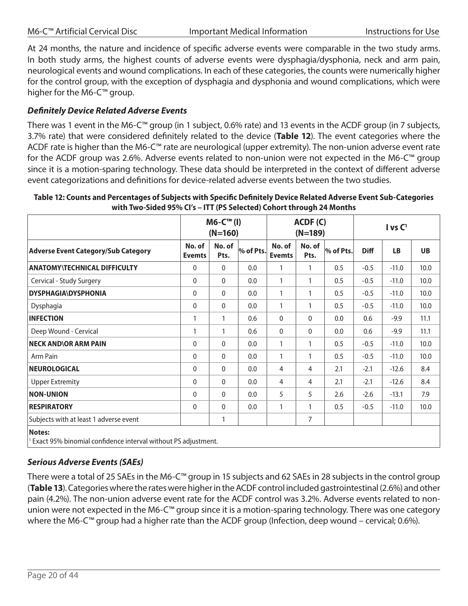|  | M6-C™ Artificial Cervical Disc |  |
|--|--------------------------------|--|
|  |                                |  |

At 24 months, the nature and incidence of specific adverse events were comparable in the two study arms. In both study arms, the highest counts of adverse events were dysphagia/dysphonia, neck and arm pain, neurological events and wound complications. In each of these categories, the counts were numerically higher for the control group, with the exception of dysphagia and dysphonia and wound complications, which were higher for the M6-C™ group.

#### *Definitely Device Related Adverse Events*

There was 1 event in the M6-C™ group (in 1 subject, 0.6% rate) and 13 events in the ACDF group (in 7 subjects, 3.7% rate) that were considered definitely related to the device (**Table 12**). The event categories where the ACDF rate is higher than the M6-C™ rate are neurological (upper extremity). The non-union adverse event rate for the ACDF group was 2.6%. Adverse events related to non-union were not expected in the M6-C™ group since it is a motion-sparing technology. These data should be interpreted in the context of different adverse event categorizations and definitions for device-related adverse events between the two studies.

|                                                                                             | $MG-CTM$ (I)<br>ACDF(C)<br>$(N=160)$<br>$(N=189)$ |                |           |                         | I vs C <sup>1</sup> |           |             |           |           |
|---------------------------------------------------------------------------------------------|---------------------------------------------------|----------------|-----------|-------------------------|---------------------|-----------|-------------|-----------|-----------|
| <b>Adverse Event Category/Sub Category</b>                                                  | No. of<br><b>Evemts</b>                           | No. of<br>Pts. | % of Pts. | No. of<br><b>Evemts</b> | No. of<br>Pts.      | % of Pts. | <b>Diff</b> | <b>LB</b> | <b>UB</b> |
| <b>ANATOMY\TECHNICAL DIFFICULTY</b>                                                         | $\mathbf 0$                                       | $\mathbf{0}$   | 0.0       |                         | 1                   | 0.5       | $-0.5$      | $-11.0$   | 10.0      |
| Cervical - Study Surgery                                                                    | $\mathbf 0$                                       | $\Omega$       | 0.0       | $\mathbf{1}$            | 1                   | 0.5       | $-0.5$      | $-11.0$   | 10.0      |
| <b>DYSPHAGIA\DYSPHONIA</b>                                                                  | $\mathbf{0}$                                      | $\mathbf{0}$   | 0.0       | 1                       | 1                   | 0.5       | $-0.5$      | $-11.0$   | 10.0      |
| Dysphagia                                                                                   | $\mathbf 0$                                       | $\mathbf{0}$   | 0.0       | 1                       | 1                   | 0.5       | $-0.5$      | $-11.0$   | 10.0      |
| <b>INFECTION</b>                                                                            | 1                                                 | 1              | 0.6       | $\mathbf{0}$            | $\mathbf{0}$        | 0.0       | 0.6         | $-9.9$    | 11.1      |
| Deep Wound - Cervical                                                                       | 1                                                 | 1              | 0.6       | $\mathbf{0}$            | $\mathbf{0}$        | 0.0       | 0.6         | $-9.9$    | 11.1      |
| <b>NECK AND\OR ARM PAIN</b>                                                                 | $\mathbf 0$                                       | $\mathbf{0}$   | 0.0       | 1                       | 1                   | 0.5       | $-0.5$      | $-11.0$   | 10.0      |
| Arm Pain                                                                                    | $\mathbf 0$                                       | $\mathbf{0}$   | 0.0       | 1                       | 1                   | 0.5       | $-0.5$      | $-11.0$   | 10.0      |
| <b>NEUROLOGICAL</b>                                                                         | $\mathbf 0$                                       | $\mathbf{0}$   | 0.0       | 4                       | 4                   | 2.1       | $-2.1$      | $-12.6$   | 8.4       |
| <b>Upper Extremity</b>                                                                      | $\mathbf 0$                                       | $\mathbf{0}$   | 0.0       | 4                       | 4                   | 2.1       | $-2.1$      | $-12.6$   | 8.4       |
| <b>NON-UNION</b>                                                                            | $\mathbf 0$                                       | $\mathbf{0}$   | 0.0       | 5                       | 5                   | 2.6       | $-2.6$      | $-13.1$   | 7.9       |
| <b>RESPIRATORY</b>                                                                          | $\mathbf 0$                                       | $\mathbf 0$    | 0.0       | $\mathbf{1}$            | 1                   | 0.5       | $-0.5$      | $-11.0$   | 10.0      |
| Subjects with at least 1 adverse event                                                      |                                                   | 1              |           |                         | 7                   |           |             |           |           |
| <b>Notes:</b><br><sup>1</sup> Exact 95% binomial confidence interval without PS adjustment. |                                                   |                |           |                         |                     |           |             |           |           |

**Table 12: Counts and Percentages of Subjects with Specific Definitely Device Related Adverse Event Sub-Categories with Two-Sided 95% CI's – ITT (PS Selected) Cohort through 24 Months**

#### *Serious Adverse Events (SAEs)*

There were a total of 25 SAEs in the M6-C™ group in 15 subjects and 62 SAEs in 28 subjects in the control group (**Table 13**). Categories where the rates were higher in the ACDF control included gastrointestinal (2.6%) and other pain (4.2%). The non-union adverse event rate for the ACDF control was 3.2%. Adverse events related to nonunion were not expected in the M6-C™ group since it is a motion-sparing technology. There was one category where the M6-C™ group had a higher rate than the ACDF group (Infection, deep wound – cervical; 0.6%).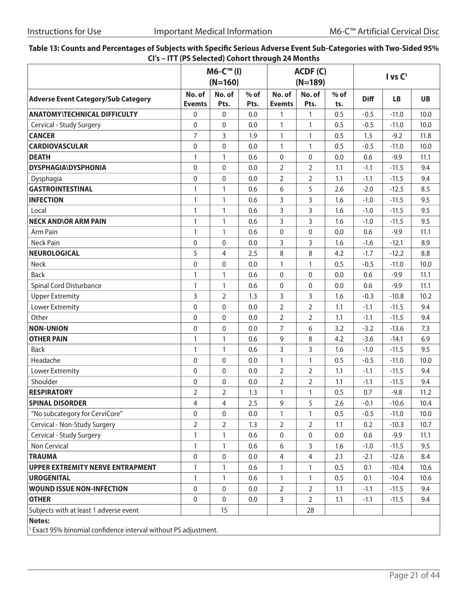| Table 13: Counts and Percentages of Subjects with Specific Serious Adverse Event Sub-Categories with Two-Sided 95% |  |
|--------------------------------------------------------------------------------------------------------------------|--|
| CI's – ITT (PS Selected) Cohort through 24 Months                                                                  |  |

|                                                                           |                         | M6-C™ (I)<br>$(N=160)$ |                | ACDF(C)<br>$(N=189)$    |                |               | $I$ vs $C1$ |           |           |
|---------------------------------------------------------------------------|-------------------------|------------------------|----------------|-------------------------|----------------|---------------|-------------|-----------|-----------|
| <b>Adverse Event Category/Sub Category</b>                                | No. of<br><b>Evemts</b> | No. of<br>Pts.         | $%$ of<br>Pts. | No. of<br><b>Evemts</b> | No. of<br>Pts. | $%$ of<br>ts. | <b>Diff</b> | <b>LB</b> | <b>UB</b> |
| <b>ANATOMY\TECHNICAL DIFFICULTY</b>                                       | $\mathbf 0$             | $\Omega$               | 0.0            | 1                       | 1              | 0.5           | $-0.5$      | $-11.0$   | 10.0      |
| Cervical - Study Surgery                                                  | 0                       | $\mathbf 0$            | 0.0            | $\mathbf{1}$            | 1              | 0.5           | $-0.5$      | $-11.0$   | 10.0      |
| <b>CANCER</b>                                                             | 7                       | 3                      | 1.9            | $\mathbf{1}$            | $\mathbf{1}$   | 0.5           | 1.3         | $-9.2$    | 11.8      |
| <b>CARDIOVASCULAR</b>                                                     | $\pmb{0}$               | $\boldsymbol{0}$       | 0.0            | 1                       | $\mathbf{1}$   | 0.5           | $-0.5$      | $-11.0$   | 10.0      |
| <b>DEATH</b>                                                              | 1                       | 1                      | 0.6            | 0                       | 0              | 0.0           | 0.6         | $-9.9$    | 11.1      |
| <b>DYSPHAGIA\DYSPHONIA</b>                                                | $\mathbf 0$             | $\mathbf{0}$           | 0.0            | $\overline{2}$          | $\overline{2}$ | 1.1           | $-1.1$      | $-11.5$   | 9.4       |
| Dysphagia                                                                 | $\boldsymbol{0}$        | 0                      | 0.0            | $\overline{2}$          | $\overline{2}$ | 1.1           | $-1.1$      | $-11.5$   | 9.4       |
| <b>GASTROINTESTINAL</b>                                                   | $\mathbf{1}$            | 1                      | 0.6            | 6                       | 5              | 2.6           | $-2.0$      | $-12.5$   | 8.5       |
| <b>INFECTION</b>                                                          | $\mathbf{1}$            | $\mathbf{1}$           | 0.6            | 3                       | 3              | 1.6           | $-1.0$      | $-11.5$   | 9.5       |
| Local                                                                     | $\mathbf{1}$            | 1                      | 0.6            | 3                       | 3              | 1.6           | $-1.0$      | $-11.5$   | 9.5       |
| <b>NECK AND OR ARM PAIN</b>                                               | $\mathbf{1}$            | $\mathbf{1}$           | 0.6            | 3                       | 3              | 1.6           | $-1.0$      | $-11.5$   | 9.5       |
| Arm Pain                                                                  | $\mathbf{1}$            | $\mathbf{1}$           | 0.6            | $\boldsymbol{0}$        | $\mathbf{0}$   | 0.0           | 0.6         | $-9.9$    | 11.1      |
| <b>Neck Pain</b>                                                          | $\pmb{0}$               | 0                      | 0.0            | 3                       | 3              | 1.6           | $-1.6$      | $-12.1$   | 8.9       |
| <b>NEUROLOGICAL</b>                                                       | 5                       | 4                      | 2.5            | 8                       | 8              | 4.2           | $-1.7$      | $-12.2$   | 8.8       |
| Neck                                                                      | $\mathbf 0$             | $\Omega$               | 0.0            | $\mathbf{1}$            | $\mathbf{1}$   | 0.5           | $-0.5$      | $-11.0$   | 10.0      |
| <b>Back</b>                                                               | $\mathbf{1}$            | $\mathbf{1}$           | 0.6            | 0                       | $\mathbf{0}$   | 0.0           | 0.6         | $-9.9$    | 11.1      |
| <b>Spinal Cord Disturbance</b>                                            | $\mathbf{1}$            | 1                      | 0.6            | 0                       | 0              | 0.0           | 0.6         | $-9.9$    | 11.1      |
| <b>Upper Extremity</b>                                                    | 3                       | $\overline{2}$         | 1.3            | 3                       | 3              | 1.6           | $-0.3$      | $-10.8$   | 10.2      |
| Lower Extremity                                                           | $\boldsymbol{0}$        | 0                      | 0.0            | $\overline{2}$          | $\overline{2}$ | 1.1           | $-1.1$      | $-11.5$   | 9.4       |
| Other                                                                     | $\mathbf 0$             | $\mathbf 0$            | 0.0            | 2                       | 2              | 1.1           | $-1.1$      | $-11.5$   | 9.4       |
| <b>NON-UNION</b>                                                          | 0                       | $\mathbf 0$            | 0.0            | $\overline{7}$          | 6              | 3.2           | $-3.2$      | $-13.6$   | 7.3       |
| <b>OTHER PAIN</b>                                                         | $\mathbf{1}$            | 1                      | 0.6            | 9                       | 8              | 4.2           | $-3.6$      | $-14.1$   | 6.9       |
| <b>Back</b>                                                               | $\mathbf{1}$            | $\mathbf{1}$           | 0.6            | 3                       | 3              | 1.6           | $-1.0$      | $-11.5$   | 9.5       |
| Headache                                                                  | 0                       | $\mathbf 0$            | 0.0            | $\mathbf{1}$            | 1              | 0.5           | $-0.5$      | $-11.0$   | 10.0      |
| Lower Extremity                                                           | $\mathbf 0$             | $\mathbf{0}$           | 0.0            | $\overline{2}$          | $\overline{2}$ | 1.1           | $-1.1$      | $-11.5$   | 9.4       |
| Shoulder                                                                  | 0                       | $\mathbf 0$            | 0.0            | 2                       | 2              | 1.1           | $-1.1$      | $-11.5$   | 9.4       |
| <b>RESPIRATORY</b>                                                        | $\overline{2}$          | $\overline{2}$         | 1.3            | $\mathbf{1}$            | 1              | 0.5           | 0.7         | $-9.8$    | 11.2      |
| <b>SPINAL DISORDER</b>                                                    | $\overline{4}$          | $\overline{4}$         | 2.5            | 9                       | 5              | 2.6           | $-0.1$      | $-10.6$   | 10.4      |
| "No subcategory for CerviCore"                                            | 0                       | 0                      | 0.0            | 1                       | 1              | 0.5           | $-0.5$      | $-11.0$   | 10.0      |
| Cervical - Non-Study Surgery                                              | 2                       | 2                      | 1.3            | 2                       | $\overline{2}$ | 1.1           | 0.2         | $-10.3$   | 10.7      |
| Cervical - Study Surgery                                                  | $\mathbf{1}$            | 1                      | 0.6            | $\pmb{0}$               | 0              | 0.0           | 0.6         | $-9.9$    | 11.1      |
| Non Cervical                                                              | 1                       | 1                      | 0.6            | 6                       | 3              | 1.6           | $-1.0$      | $-11.5$   | 9.5       |
| <b>TRAUMA</b>                                                             | 0                       | 0                      | 0.0            | 4                       | 4              | 2.1           | $-2.1$      | $-12.6$   | 8.4       |
| <b>UPPER EXTREMITY NERVE ENTRAPMENT</b>                                   | $\mathbf{1}$            | 1                      | 0.6            | $\mathbf{1}$            | 1              | 0.5           | 0.1         | $-10.4$   | 10.6      |
| <b>UROGENITAL</b>                                                         | 1                       | 1                      | 0.6            | 1                       | 1              | 0.5           | 0.1         | $-10.4$   | 10.6      |
| <b>WOUND ISSUE NON-INFECTION</b>                                          | 0                       | $\mathbf 0$            | 0.0            | $\overline{2}$          | 2              | 1.1           | $-1.1$      | $-11.5$   | 9.4       |
| <b>OTHER</b>                                                              | 0                       | 0                      | 0.0            | 3                       | $\overline{2}$ | 1.1           | $-1.1$      | $-11.5$   | 9.4       |
| Subjects with at least 1 adverse event                                    |                         | 15                     |                |                         | 28             |               |             |           |           |
| Notes:<br>1 Exact 050% binamial confidence interval without BS adjustment |                         |                        |                |                         |                |               |             |           |           |

<sup>1</sup> Exact 95% binomial confidence interval without PS adjustment.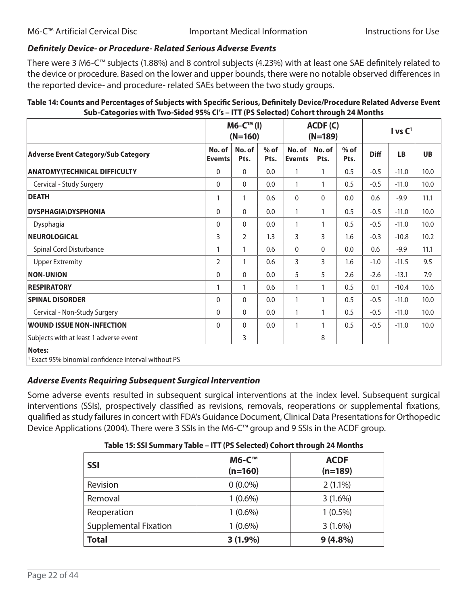#### *Definitely Device- or Procedure- Related Serious Adverse Events*

There were 3 M6-C™ subjects (1.88%) and 8 control subjects (4.23%) with at least one SAE definitely related to the device or procedure. Based on the lower and upper bounds, there were no notable observed differences in the reported device- and procedure- related SAEs between the two study groups.

| Table 14: Counts and Percentages of Subjects with Specific Serious, Definitely Device/Procedure Related Adverse Event |
|-----------------------------------------------------------------------------------------------------------------------|
| Sub-Categories with Two-Sided 95% CI's - ITT (PS Selected) Cohort through 24 Months                                   |

|                                                             | $M6-CTM$ (I)<br>$(N=160)$ |                |                |                         | ACDF(C)<br>$(N=189)$ |                | I vs C <sup>1</sup> |           |           |
|-------------------------------------------------------------|---------------------------|----------------|----------------|-------------------------|----------------------|----------------|---------------------|-----------|-----------|
| <b>Adverse Event Category/Sub Category</b>                  | No. of<br><b>Evemts</b>   | No. of<br>Pts. | $%$ of<br>Pts. | No. of<br><b>Evemts</b> | No. of<br>Pts.       | $%$ of<br>Pts. | <b>Diff</b>         | <b>LB</b> | <b>UB</b> |
| <b>ANATOMY\TECHNICAL DIFFICULTY</b>                         | 0                         | $\mathbf{0}$   | 0.0            | $\mathbf{1}$            | $\mathbf{1}$         | 0.5            | $-0.5$              | $-11.0$   | 10.0      |
| Cervical - Study Surgery                                    | 0                         | $\mathbf{0}$   | 0.0            | $\mathbf{1}$            | $\mathbf{1}$         | 0.5            | $-0.5$              | $-11.0$   | 10.0      |
| <b>DEATH</b>                                                | 1                         | 1<br>0.6       |                | $\Omega$                | $\Omega$             | 0.0            | 0.6                 | $-9.9$    | 11.1      |
| <b>DYSPHAGIA\DYSPHONIA</b>                                  | 0                         | $\mathbf{0}$   | 0.0            | $\mathbf{1}$            | $\mathbf{1}$         | 0.5            | $-0.5$              | $-11.0$   | 10.0      |
| Dysphagia                                                   | $\mathbf 0$               | $\mathbf{0}$   | 0.0            | $\mathbf{1}$            | $\mathbf{1}$         | 0.5            | $-0.5$              | $-11.0$   | 10.0      |
| <b>NEUROLOGICAL</b>                                         | 3                         | $\overline{2}$ | 1.3            | 3                       | 3                    | 1.6            | $-0.3$              | $-10.8$   | 10.2      |
| <b>Spinal Cord Disturbance</b>                              | 1                         | 1              | 0.6            | $\mathbf{0}$            | $\mathbf{0}$         | 0.0            | 0.6                 | $-9.9$    | 11.1      |
| <b>Upper Extremity</b>                                      | $\overline{2}$            | 1              | 0.6            | 3                       | 3                    | 1.6            | $-1.0$              | $-11.5$   | 9.5       |
| <b>NON-UNION</b>                                            | 0                         | $\Omega$       | 0.0            | 5                       | 5                    | 2.6            | $-2.6$              | $-13.1$   | 7.9       |
| <b>RESPIRATORY</b>                                          | 1                         | 1              | 0.6            | $\mathbf{1}$            | 1                    | 0.5            | 0.1                 | $-10.4$   | 10.6      |
| <b>SPINAL DISORDER</b>                                      | $\mathbf{0}$              | $\Omega$       | 0.0            | $\mathbf{1}$            | $\mathbf{1}$         | 0.5            | $-0.5$              | $-11.0$   | 10.0      |
| Cervical - Non-Study Surgery                                | 0                         | $\mathbf{0}$   | 0.0            | $\mathbf{1}$            | $\mathbf{1}$         | 0.5            | $-0.5$              | $-11.0$   | 10.0      |
| <b>WOUND ISSUE NON-INFECTION</b>                            | $\mathbf 0$               | $\mathbf{0}$   | 0.0            | $\mathbf{1}$            | 1                    | 0.5            | $-0.5$              | $-11.0$   | 10.0      |
| Subjects with at least 1 adverse event                      |                           | 3              |                |                         | 8                    |                |                     |           |           |
| Notes:<br>Exact 95% binomial confidence interval without PS |                           |                |                |                         |                      |                |                     |           |           |

#### *Adverse Events Requiring Subsequent Surgical Intervention*

Some adverse events resulted in subsequent surgical interventions at the index level. Subsequent surgical interventions (SSIs), prospectively classified as revisions, removals, reoperations or supplemental fixations, qualified as study failures in concert with FDA's Guidance Document, Clinical Data Presentations for Orthopedic Device Applications (2004). There were 3 SSIs in the M6-C<sup>™</sup> group and 9 SSIs in the ACDF group.

| $1.0001$ and $2.01$ and $1.001$ and $1.001$ and $1.000$ and $1.000$ and $1.000$ and $1.000$ and $1.000$ and $1.000$ and $1.000$ and $1.000$ and $1.000$ and $1.000$ and $1.000$ and $1.000$ and $1.000$ and $1.000$ and $1.00$ |                           |                          |  |  |  |  |  |  |
|--------------------------------------------------------------------------------------------------------------------------------------------------------------------------------------------------------------------------------|---------------------------|--------------------------|--|--|--|--|--|--|
| <b>SSI</b>                                                                                                                                                                                                                     | <b>M6-C™</b><br>$(n=160)$ | <b>ACDF</b><br>$(n=189)$ |  |  |  |  |  |  |
| Revision                                                                                                                                                                                                                       | $0(0.0\%)$                | $2(1.1\%)$               |  |  |  |  |  |  |
| Removal                                                                                                                                                                                                                        | $1(0.6\%)$                | 3(1.6%)                  |  |  |  |  |  |  |
| Reoperation                                                                                                                                                                                                                    | $1(0.6\%)$                | $1(0.5\%)$               |  |  |  |  |  |  |
| <b>Supplemental Fixation</b>                                                                                                                                                                                                   | $1(0.6\%)$                | 3(1.6%)                  |  |  |  |  |  |  |
| <b>Total</b>                                                                                                                                                                                                                   | $3(1.9\%)$                | $9(4.8\%)$               |  |  |  |  |  |  |

#### **Table 15: SSI Summary Table – ITT (PS Selected) Cohort through 24 Months**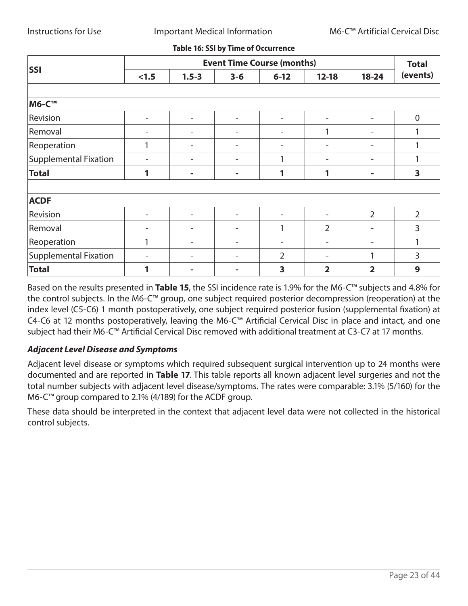#### **Table 16: SSI by Time of Occurrence**

|                              | <b>Event Time Course (months)</b> |           |         |                          |                          |                          |                  |  |  |
|------------------------------|-----------------------------------|-----------|---------|--------------------------|--------------------------|--------------------------|------------------|--|--|
| <b>SSI</b>                   | < 1.5                             | $1.5 - 3$ | $3 - 6$ | $6 - 12$                 | $12 - 18$                | $18 - 24$                | (events)         |  |  |
|                              |                                   |           |         |                          |                          |                          |                  |  |  |
| <b>M6-C™</b>                 |                                   |           |         |                          |                          |                          |                  |  |  |
| Revision                     | $\overline{\phantom{0}}$          |           |         |                          | $\overline{\phantom{a}}$ | $\overline{\phantom{0}}$ | $\boldsymbol{0}$ |  |  |
| Removal                      |                                   |           |         |                          | 1                        |                          |                  |  |  |
| Reoperation                  |                                   |           | -       | $\overline{\phantom{0}}$ | -                        | $\overline{\phantom{0}}$ |                  |  |  |
| Supplemental Fixation        |                                   |           |         | 1                        | $\overline{\phantom{a}}$ | $\overline{\phantom{0}}$ |                  |  |  |
| <b>Total</b>                 | 1                                 |           |         | 1                        | 1                        | -                        | 3                |  |  |
|                              |                                   |           |         |                          |                          |                          |                  |  |  |
| <b>ACDF</b>                  |                                   |           |         |                          |                          |                          |                  |  |  |
| Revision                     |                                   |           |         |                          |                          | $\overline{2}$           | $\overline{2}$   |  |  |
| Removal                      |                                   |           |         | 1                        | $\overline{2}$           | ۳                        | 3                |  |  |
| Reoperation                  | 1                                 |           |         |                          | -                        | $\overline{\phantom{0}}$ | 1                |  |  |
| <b>Supplemental Fixation</b> |                                   |           |         | $\overline{2}$           |                          | 1                        | 3                |  |  |
| <b>Total</b>                 | 1                                 |           |         | 3                        | $\overline{\mathbf{2}}$  | $\overline{\mathbf{2}}$  | 9                |  |  |

Based on the results presented in **Table 15**, the SSI incidence rate is 1.9% for the M6-C™ subjects and 4.8% for the control subjects. In the M6-C™ group, one subject required posterior decompression (reoperation) at the index level (C5-C6) 1 month postoperatively, one subject required posterior fusion (supplemental fixation) at C4-C6 at 12 months postoperatively, leaving the M6-C™ Artificial Cervical Disc in place and intact, and one subject had their M6-C™ Artificial Cervical Disc removed with additional treatment at C3-C7 at 17 months.

#### *Adjacent Level Disease and Symptoms*

Adjacent level disease or symptoms which required subsequent surgical intervention up to 24 months were documented and are reported in **Table 17**. This table reports all known adjacent level surgeries and not the total number subjects with adjacent level disease/symptoms. The rates were comparable: 3.1% (5/160) for the M6-C™ group compared to 2.1% (4/189) for the ACDF group.

These data should be interpreted in the context that adjacent level data were not collected in the historical control subjects.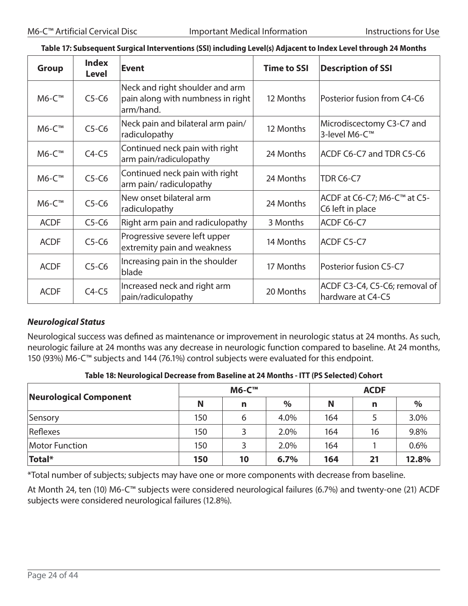| <b>Group</b> | <b>Index</b><br><b>Level</b> | <b>Event</b>                                                                      | <b>Time to SSI</b> | <b>Description of SSI</b>                          |
|--------------|------------------------------|-----------------------------------------------------------------------------------|--------------------|----------------------------------------------------|
| M6-C™        | $C5-C6$                      | Neck and right shoulder and arm<br>pain along with numbness in right<br>arm/hand. | 12 Months          | Posterior fusion from C4-C6                        |
| M6-C™        | $C5-C6$                      | Neck pain and bilateral arm pain/<br>radiculopathy                                | 12 Months          | Microdiscectomy C3-C7 and<br>3-level M6-C™         |
| M6-C™        | $C4-C5$                      | Continued neck pain with right<br>arm pain/radiculopathy                          | 24 Months          | ACDF C6-C7 and TDR C5-C6                           |
| M6-C™        | $C5-C6$                      | Continued neck pain with right<br>arm pain/ radiculopathy                         | 24 Months          | TDR C6-C7                                          |
| $M6-C^{m}$   | $C5-C6$                      | New onset bilateral arm<br>radiculopathy                                          | 24 Months          | ACDF at C6-C7; M6-C™ at C5-<br>C6 left in place    |
| <b>ACDF</b>  | $C5-C6$                      | Right arm pain and radiculopathy                                                  | 3 Months           | ACDF C6-C7                                         |
| <b>ACDF</b>  | $C5-C6$                      | Progressive severe left upper<br>extremity pain and weakness                      | 14 Months          | ACDF C5-C7                                         |
| <b>ACDF</b>  | $C5-C6$                      | Increasing pain in the shoulder<br>blade                                          | 17 Months          | Posterior fusion C5-C7                             |
| <b>ACDF</b>  | $C4-C5$                      | Increased neck and right arm<br>pain/radiculopathy                                | 20 Months          | ACDF C3-C4, C5-C6; removal of<br>hardware at C4-C5 |

#### **Table 17: Subsequent Surgical Interventions (SSI) including Level(s) Adjacent to Index Level through 24 Months**

#### *Neurological Status*

Neurological success was defined as maintenance or improvement in neurologic status at 24 months. As such, neurologic failure at 24 months was any decrease in neurologic function compared to baseline. At 24 months, 150 (93%) M6-C™ subjects and 144 (76.1%) control subjects were evaluated for this endpoint.

| Neurological Component |     | <b>M6-C™</b> |      | <b>ACDF</b> |    |       |  |  |
|------------------------|-----|--------------|------|-------------|----|-------|--|--|
|                        | N   | n            | %    | N           | n  | $\%$  |  |  |
| Sensory                | 150 | 6            | 4.0% | 164         |    | 3.0%  |  |  |
| Reflexes               | 150 |              | 2.0% | 164         | 16 | 9.8%  |  |  |
| <b>Motor Function</b>  | 150 |              | 2.0% | 164         |    | 0.6%  |  |  |
| Total*                 | 150 | 10           | 6.7% | 164         | 21 | 12.8% |  |  |

\*Total number of subjects; subjects may have one or more components with decrease from baseline.

At Month 24, ten (10) M6-C™ subjects were considered neurological failures (6.7%) and twenty-one (21) ACDF subjects were considered neurological failures (12.8%).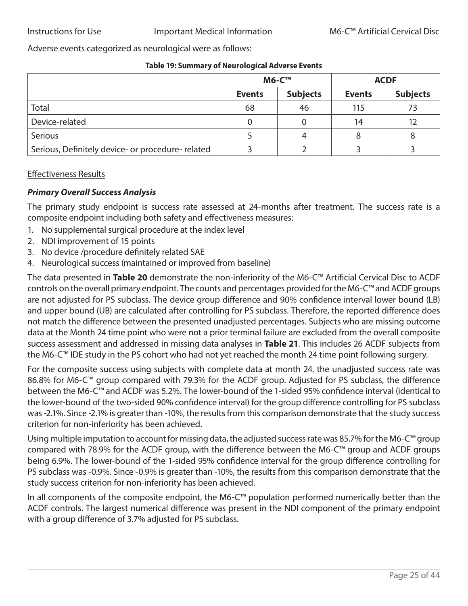Adverse events categorized as neurological were as follows:

#### **Table 19: Summary of Neurological Adverse Events**

|                                                   |               | <b>M6-C™</b>    | <b>ACDF</b>   |                 |  |  |
|---------------------------------------------------|---------------|-----------------|---------------|-----------------|--|--|
|                                                   | <b>Events</b> | <b>Subjects</b> | <b>Events</b> | <b>Subjects</b> |  |  |
| Total                                             | 68            | 46              | 115           | 73              |  |  |
| Device-related                                    | 0             |                 | 14            | 12              |  |  |
| <b>Serious</b>                                    |               | 4               | 8             | 8               |  |  |
| Serious, Definitely device- or procedure- related |               |                 |               |                 |  |  |

#### Effectiveness Results

#### *Primary Overall Success Analysis*

The primary study endpoint is success rate assessed at 24-months after treatment. The success rate is a composite endpoint including both safety and effectiveness measures:

- 1. No supplemental surgical procedure at the index level
- 2. NDI improvement of 15 points
- 3. No device /procedure definitely related SAE
- 4. Neurological success (maintained or improved from baseline)

The data presented in **Table 20** demonstrate the non-inferiority of the M6-C™ Artificial Cervical Disc to ACDF controls on the overall primary endpoint. The counts and percentages provided for the M6-C™ and ACDF groups are not adjusted for PS subclass. The device group difference and 90% confidence interval lower bound (LB) and upper bound (UB) are calculated after controlling for PS subclass. Therefore, the reported difference does not match the difference between the presented unadjusted percentages. Subjects who are missing outcome data at the Month 24 time point who were not a prior terminal failure are excluded from the overall composite success assessment and addressed in missing data analyses in **Table 21**. This includes 26 ACDF subjects from the M6-C™ IDE study in the PS cohort who had not yet reached the month 24 time point following surgery.

For the composite success using subjects with complete data at month 24, the unadjusted success rate was 86.8% for M6-C™ group compared with 79.3% for the ACDF group. Adjusted for PS subclass, the difference between the M6-C™ and ACDF was 5.2%. The lower-bound of the 1-sided 95% confidence interval (identical to the lower-bound of the two-sided 90% confidence interval) for the group difference controlling for PS subclass was -2.1%. Since -2.1% is greater than -10%, the results from this comparison demonstrate that the study success criterion for non-inferiority has been achieved.

Using multiple imputation to account for missing data, the adjusted success rate was 85.7% for the M6-C™ group compared with 78.9% for the ACDF group, with the difference between the M6-C™ group and ACDF groups being 6.9%. The lower-bound of the 1-sided 95% confidence interval for the group difference controlling for PS subclass was -0.9%. Since -0.9% is greater than -10%, the results from this comparison demonstrate that the study success criterion for non-inferiority has been achieved.

In all components of the composite endpoint, the M6-C™ population performed numerically better than the ACDF controls. The largest numerical difference was present in the NDI component of the primary endpoint with a group difference of 3.7% adjusted for PS subclass.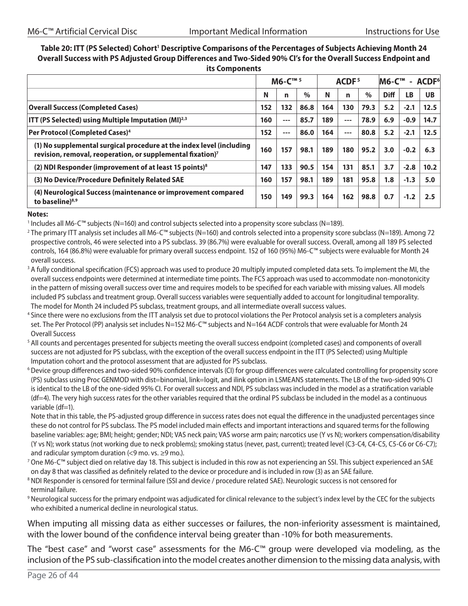#### Table 20: ITT (PS Selected) Cohort<sup>1</sup> Descriptive Comparisons of the Percentages of Subjects Achieving Month 24 **Overall Success with PS Adjusted Group Differences and Two-Sided 90% CI's for the Overall Success Endpoint and its Components**

|                                                                                                                                                |     | M6-C <sup>™ 5</sup> |      |     | ACDF <sup>5</sup> |      | <b>M6-C™</b> | $\sim$ | ACDF <sup>6</sup> |  |
|------------------------------------------------------------------------------------------------------------------------------------------------|-----|---------------------|------|-----|-------------------|------|--------------|--------|-------------------|--|
|                                                                                                                                                | N   | n                   | $\%$ | N   | n                 | $\%$ | <b>Diff</b>  | LB     | <b>UB</b>         |  |
| <b>Overall Success (Completed Cases)</b>                                                                                                       | 152 | 132                 | 86.8 | 164 | 130               | 79.3 | 5.2          | $-2.1$ | 12.5              |  |
| <b>ITT (PS Selected) using Multiple Imputation (MI)</b> <sup>2,3</sup>                                                                         | 160 | ---                 | 85.7 | 189 | $---$             | 78.9 | 6.9          | $-0.9$ | 14.7              |  |
| Per Protocol (Completed Cases) <sup>4</sup>                                                                                                    | 152 | ---                 | 86.0 | 164 | $---$             | 80.8 | 5.2          | $-2.1$ | 12.5              |  |
| (1) No supplemental surgical procedure at the index level (including<br>revision, removal, reoperation, or supplemental fixation) <sup>7</sup> | 160 | 157                 | 98.1 | 189 | 180               | 95.2 | 3.0          | $-0.2$ | 6.3               |  |
| (2) NDI Responder (improvement of at least 15 points) <sup>8</sup>                                                                             | 147 | 133                 | 90.5 | 154 | 131               | 85.1 | 3.7          | $-2.8$ | 10.2              |  |
| (3) No Device/Procedure Definitely Related SAE                                                                                                 | 160 | 157                 | 98.1 | 189 | 181               | 95.8 | 1.8          | $-1.3$ | 5.0               |  |
| (4) Neurological Success (maintenance or improvement compared<br>to baseline) <sup>8,9</sup>                                                   | 150 | 149                 | 99.3 | 164 | 162               | 98.8 | 0.7          | $-1.2$ | 2.5               |  |

#### **Notes:**

<sup>1</sup> Includes all M6-C™ subjects (N=160) and control subjects selected into a propensity score subclass (N=189).<br><sup>2</sup> The primary ITT analysis set includes all M6-C™ subjects (N=160) and controls selected into a propensity prospective controls, 46 were selected into a PS subclass. 39 (86.7%) were evaluable for overall success. Overall, among all 189 PS selected controls, 164 (86.8%) were evaluable for primary overall success endpoint. 152 of 160 (95%) M6-C™ subjects were evaluable for Month 24 overall success.

- <sup>3</sup> A fully conditional specification (FCS) approach was used to produce 20 multiply imputed completed data sets. To implement the MI, the overall success endpoints were determined at intermediate time points. The FCS approach was used to accommodate non-monotonicity in the pattern of missing overall success over time and requires models to be specified for each variable with missing values. All models included PS subclass and treatment group. Overall success variables were sequentially added to account for longitudinal temporality. The model for Month 24 included PS subclass, treatment groups, and all intermediate overall success values.
- <sup>4</sup> Since there were no exclusions from the ITT analysis set due to protocol violations the Per Protocol analysis set is a completers analysis set. The Per Protocol (PP) analysis set includes N=152 M6-C™ subjects and N=164 ACDF controls that were evaluable for Month 24 Overall Success
- <sup>5</sup> All counts and percentages presented for subjects meeting the overall success endpoint (completed cases) and components of overall success are not adjusted for PS subclass, with the exception of the overall success endpoint in the ITT (PS Selected) using Multiple Imputation cohort and the protocol assessment that are adjusted for PS subclass.
- <sup>6</sup> Device group differences and two-sided 90% confidence intervals (CI) for group differences were calculated controlling for propensity score (PS) subclass using Proc GENMOD with dist=binomial, link=logit, and ilink option in LSMEANS statements. The LB of the two-sided 90% CI is identical to the LB of the one-sided 95% CI. For overall success and NDI, PS subclass was included in the model as a stratification variable (df=4). The very high success rates for the other variables required that the ordinal PS subclass be included in the model as a continuous variable (df=1).

Note that in this table, the PS-adjusted group difference in success rates does not equal the difference in the unadjusted percentages since these do not control for PS subclass. The PS model included main effects and important interactions and squared terms for the following baseline variables: age; BMI; height; gender; NDI; VAS neck pain; VAS worse arm pain; narcotics use (Y vs N); workers compensation/disability (Y vs N); work status (not working due to neck problems); smoking status (never, past, current); treated level (C3-C4, C4-C5, C5-C6 or C6-C7); and radicular symptom duration  $\leq$ 9 mo. vs.  $\geq$ 9 mo.).

- 7 One M6-C™ subject died on relative day 18. This subject is included in this row as not experiencing an SSI. This subject experienced an SAE on day 8 that was classified as definitely related to the device or procedure and is included in row (3) as an SAE failure.
- <sup>8</sup> NDI Responder is censored for terminal failure (SSI and device / procedure related SAE). Neurologic success is not censored for terminal failure.
- <sup>9</sup> Neurological success for the primary endpoint was adjudicated for clinical relevance to the subject's index level by the CEC for the subjects who exhibited a numerical decline in neurological status.

When imputing all missing data as either successes or failures, the non-inferiority assessment is maintained, with the lower bound of the confidence interval being greater than -10% for both measurements.

The "best case" and "worst case" assessments for the M6-C™ group were developed via modeling, as the inclusion of the PS sub-classification into the model creates another dimension to the missing data analysis, with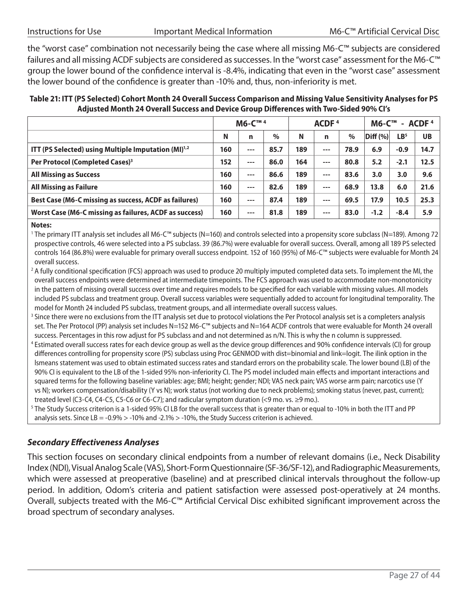the "worst case" combination not necessarily being the case where all missing M6-C™ subjects are considered failures and all missing ACDF subjects are considered as successes. In the "worst case" assessment for the M6-C™ group the lower bound of the confidence interval is -8.4%, indicating that even in the "worst case" assessment the lower bound of the confidence is greater than -10% and, thus, non-inferiority is met.

**Table 21: ITT (PS Selected) Cohort Month 24 Overall Success Comparison and Missing Value Sensitivity Analyses for PS Adjusted Month 24 Overall Success and Device Group Differences with Two-Sided 90% CI's**

|                                                                 |     | M6-C™ <sup>4</sup> |      |     | ACDF $4$ |      | $MG-C™$ - ACDF <sup>4</sup> |                 |           |
|-----------------------------------------------------------------|-----|--------------------|------|-----|----------|------|-----------------------------|-----------------|-----------|
|                                                                 | N   | n                  | $\%$ | N   | n        | $\%$ | Diff (%)                    | LB <sup>5</sup> | <b>UB</b> |
| ITT (PS Selected) using Multiple Imputation (MI) <sup>1,2</sup> | 160 | $---$              | 85.7 | 189 | $---$    | 78.9 | 6.9                         | $-0.9$          | 14.7      |
| Per Protocol (Completed Cases) <sup>3</sup>                     | 152 | $---$              | 86.0 | 164 | $---$    | 80.8 | 5.2                         | $-2.1$          | 12.5      |
| <b>All Missing as Success</b>                                   | 160 | $---$              | 86.6 | 189 | $---$    | 83.6 | 3.0                         | 3.0             | 9.6       |
| <b>All Missing as Failure</b>                                   | 160 | $---$              | 82.6 | 189 | $---$    | 68.9 | 13.8                        | 6.0             | 21.6      |
| Best Case (M6-C missing as success, ACDF as failures)           | 160 | $---$              | 87.4 | 189 | $---$    | 69.5 | 17.9                        | 10.5            | 25.3      |
| Worst Case (M6-C missing as failures, ACDF as success)          | 160 | $---$              | 81.8 | 189 | $---$    | 83.0 | $-1.2$                      | $-8.4$          | 5.9       |
|                                                                 |     |                    |      |     |          |      |                             |                 |           |

#### **Notes:**

<sup>1</sup> The primary ITT analysis set includes all M6-C™ subjects (N=160) and controls selected into a propensity score subclass (N=189). Among 72 prospective controls, 46 were selected into a PS subclass. 39 (86.7%) were evaluable for overall success. Overall, among all 189 PS selected controls 164 (86.8%) were evaluable for primary overall success endpoint. 152 of 160 (95%) of M6-C™ subjects were evaluable for Month 24 overall success.

<sup>2</sup> A fully conditional specification (FCS) approach was used to produce 20 multiply imputed completed data sets. To implement the MI, the overall success endpoints were determined at intermediate timepoints. The FCS approach was used to accommodate non-monotonicity in the pattern of missing overall success over time and requires models to be specified for each variable with missing values. All models included PS subclass and treatment group. Overall success variables were sequentially added to account for longitudinal temporality. The model for Month 24 included PS subclass, treatment groups, and all intermediate overall success values.

<sup>3</sup> Since there were no exclusions from the ITT analysis set due to protocol violations the Per Protocol analysis set is a completers analysis set. The Per Protocol (PP) analysis set includes N=152 M6-C™ subjects and N=164 ACDF controls that were evaluable for Month 24 overall success. Percentages in this row adjust for PS subclass and and not determined as n/N. This is why the n column is suppressed.

- <sup>4</sup> Estimated overall success rates for each device group as well as the device group differences and 90% confidence intervals (CI) for group differences controlling for propensity score (PS) subclass using Proc GENMOD with dist=binomial and link=logit. The ilink option in the lsmeans statement was used to obtain estimated success rates and standard errors on the probability scale. The lower bound (LB) of the 90% CI is equivalent to the LB of the 1-sided 95% non-inferiority CI. The PS model included main effects and important interactions and squared terms for the following baseline variables: age; BMI; height; gender; NDI; VAS neck pain; VAS worse arm pain; narcotics use (Y vs N); workers compensation/disability (Y vs N); work status (not working due to neck problems); smoking status (never, past, current); treated level (C3-C4, C4-C5, C5-C6 or C6-C7); and radicular symptom duration (<9 mo. vs.  $\geq$ 9 mo.).
- $5$  The Study Success criterion is a 1-sided 95% CI LB for the overall success that is greater than or equal to -10% in both the ITT and PP analysis sets. Since LB =  $-0.9\% > -10\%$  and  $-2.1\% > -10\%$ , the Study Success criterion is achieved.

#### *Secondary Effectiveness Analyses*

This section focuses on secondary clinical endpoints from a number of relevant domains (i.e., Neck Disability Index (NDI), Visual Analog Scale (VAS), Short-Form Questionnaire (SF-36/SF-12), and Radiographic Measurements, which were assessed at preoperative (baseline) and at prescribed clinical intervals throughout the follow-up period. In addition, Odom's criteria and patient satisfaction were assessed post-operatively at 24 months. Overall, subjects treated with the M6-C™ Artificial Cervical Disc exhibited significant improvement across the broad spectrum of secondary analyses.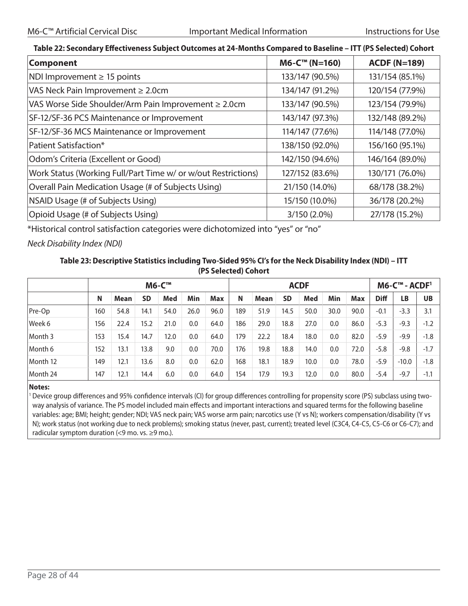#### **Table 22: Secondary Effectiveness Subject Outcomes at 24-Months Compared to Baseline – ITT (PS Selected) Cohort**

| <b>Component</b>                                              | $M6-C™ (N=160)$ | <b>ACDF (N=189)</b> |
|---------------------------------------------------------------|-----------------|---------------------|
| NDI Improvement $\geq$ 15 points                              | 133/147 (90.5%) | 131/154 (85.1%)     |
| VAS Neck Pain Improvement $\geq 2.0$ cm                       | 134/147 (91.2%) | 120/154 (77.9%)     |
| VAS Worse Side Shoulder/Arm Pain Improvement ≥ 2.0cm          | 133/147 (90.5%) | 123/154 (79.9%)     |
| SF-12/SF-36 PCS Maintenance or Improvement                    | 143/147 (97.3%) | 132/148 (89.2%)     |
| SF-12/SF-36 MCS Maintenance or Improvement                    | 114/147 (77.6%) | 114/148 (77.0%)     |
| Patient Satisfaction*                                         | 138/150 (92.0%) | 156/160 (95.1%)     |
| Odom's Criteria (Excellent or Good)                           | 142/150 (94.6%) | 146/164 (89.0%)     |
| Work Status (Working Full/Part Time w/ or w/out Restrictions) | 127/152 (83.6%) | 130/171 (76.0%)     |
| Overall Pain Medication Usage (# of Subjects Using)           | 21/150 (14.0%)  | 68/178 (38.2%)      |
| NSAID Usage (# of Subjects Using)                             | 15/150 (10.0%)  | 36/178 (20.2%)      |
| Opioid Usage (# of Subjects Using)                            | 3/150 (2.0%)    | 27/178 (15.2%)      |

\*Historical control satisfaction categories were dichotomized into "yes" or "no"

#### *Neck Disability Index (NDI)*

#### **Table 23: Descriptive Statistics including Two-Sided 95% CI's for the Neck Disability Index (NDI) – ITT (PS Selected) Cohort**

|          | <b>M6-C™</b> |      |           |      |      | <b>ACDF</b> |     |      |      |      |      | M6-C™ - ACDF <sup>1</sup> |             |           |           |
|----------|--------------|------|-----------|------|------|-------------|-----|------|------|------|------|---------------------------|-------------|-----------|-----------|
|          | N            | Mean | <b>SD</b> | Med  | Min  | <b>Max</b>  | N   | Mean | SD   | Med  | Min  | <b>Max</b>                | <b>Diff</b> | <b>LB</b> | <b>UB</b> |
| Pre-Op   | 160          | 54.8 | 14.1      | 54.0 | 26.0 | 96.0        | 189 | 51.9 | 14.5 | 50.0 | 30.0 | 90.0                      | $-0.1$      | $-3.3$    | 3.1       |
| Week 6   | 156          | 22.4 | 15.2      | 21.0 | 0.0  | 64.0        | 186 | 29.0 | 18.8 | 27.0 | 0.0  | 86.0                      | $-5.3$      | $-9.3$    | $-1.2$    |
| Month 3  | 153          | 15.4 | 14.7      | 12.0 | 0.0  | 64.0        | 179 | 22.2 | 18.4 | 18.0 | 0.0  | 82.0                      | $-5.9$      | $-9.9$    | $-1.8$    |
| Month 6  | 152          | 13.1 | 13.8      | 9.0  | 0.0  | 70.0        | 176 | 19.8 | 18.8 | 14.0 | 0.0  | 72.0                      | $-5.8$      | $-9.8$    | $-1.7$    |
| Month 12 | 149          | 12.1 | 13.6      | 8.0  | 0.0  | 62.0        | 168 | 18.1 | 18.9 | 10.0 | 0.0  | 78.0                      | $-5.9$      | $-10.0$   | $-1.8$    |
| Month 24 | 147          | 12.1 | 14.4      | 6.0  | 0.0  | 64.0        | 154 | 17.9 | 19.3 | 12.0 | 0.0  | 80.0                      | $-5.4$      | $-9.7$    | $-1.1$    |

#### **Notes:**

<sup>1</sup> Device group differences and 95% confidence intervals (CI) for group differences controlling for propensity score (PS) subclass using twoway analysis of variance. The PS model included main effects and important interactions and squared terms for the following baseline variables: age; BMI; height; gender; NDI; VAS neck pain; VAS worse arm pain; narcotics use (Y vs N); workers compensation/disability (Y vs N); work status (not working due to neck problems); smoking status (never, past, current); treated level (C3C4, C4-C5, C5-C6 or C6-C7); and radicular symptom duration  $\leq$ 9 mo. vs.  $\geq$ 9 mo.).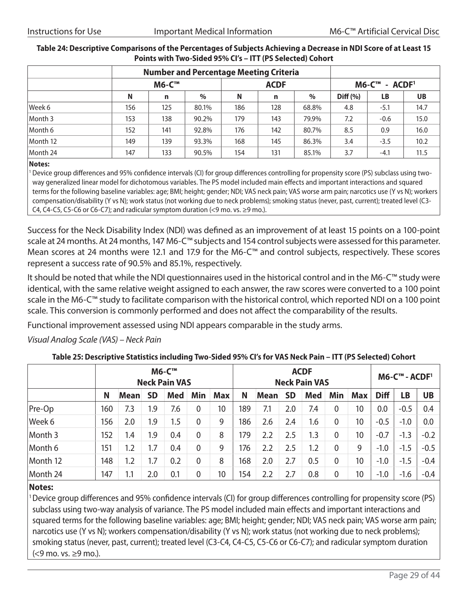|          |     | <b>M6-C™</b> |       |     | <b>ACDF</b> |       | M6-C™ - ACDF <sup>1</sup> |           |           |  |
|----------|-----|--------------|-------|-----|-------------|-------|---------------------------|-----------|-----------|--|
|          | N   | n            | $\%$  | N   | n           | $\%$  | Diff (%)                  | <b>LB</b> | <b>UB</b> |  |
| Week 6   | 156 | 125          | 80.1% | 186 | 128         | 68.8% | 4.8                       | $-5.1$    | 14.7      |  |
| Month 3  | 153 | 138          | 90.2% | 179 | 143         | 79.9% | 7.2                       | $-0.6$    | 15.0      |  |
| Month 6  | 152 | 141          | 92.8% | 176 | 142         | 80.7% | 8.5                       | 0.9       | 16.0      |  |
| Month 12 | 149 | 139          | 93.3% | 168 | 145         | 86.3% | 3.4                       | $-3.5$    | 10.2      |  |
| Month 24 | 147 | 133          | 90.5% | 154 | 131         | 85.1% | 3.7                       | $-4.1$    | 11.5      |  |

#### **Table 24: Descriptive Comparisons of the Percentages of Subjects Achieving a Decrease in NDI Score of at Least 15 Points with Two-Sided 95% CI's – ITT (PS Selected) Cohort**

#### **Notes:**

<sup>1</sup> Device group differences and 95% confidence intervals (CI) for group differences controlling for propensity score (PS) subclass using twoway generalized linear model for dichotomous variables. The PS model included main effects and important interactions and squared terms for the following baseline variables: age; BMI; height; gender; NDI; VAS neck pain; VAS worse arm pain; narcotics use (Y vs N); workers compensation/disability (Y vs N); work status (not working due to neck problems); smoking status (never, past, current); treated level (C3- C4, C4-C5, C5-C6 or C6-C7); and radicular symptom duration  $\leq$ 9 mo. vs.  $\geq$ 9 mo.).

Success for the Neck Disability Index (NDI) was defined as an improvement of at least 15 points on a 100-point scale at 24 months. At 24 months, 147 M6-C™ subjects and 154 control subjects were assessed for this parameter. Mean scores at 24 months were 12.1 and 17.9 for the M6-C™ and control subjects, respectively. These scores represent a success rate of 90.5% and 85.1%, respectively.

It should be noted that while the NDI questionnaires used in the historical control and in the M6-C™ study were identical, with the same relative weight assigned to each answer, the raw scores were converted to a 100 point scale in the M6-C™ study to facilitate comparison with the historical control, which reported NDI on a 100 point scale. This conversion is commonly performed and does not affect the comparability of the results.

Functional improvement assessed using NDI appears comparable in the study arms.

#### *Visual Analog Scale (VAS) – Neck Pain*

#### **Table 25: Descriptive Statistics including Two-Sided 95% CI's for VAS Neck Pain – ITT (PS Selected) Cohort**

|          |     | <b>M6-C™</b><br><b>Neck Pain VAS</b> |     |            |     |     |     | <b>ACDF</b><br><b>Neck Pain VAS</b> |           |            |             |            |             | $MG-CTM - ACDF1$ |           |  |  |
|----------|-----|--------------------------------------|-----|------------|-----|-----|-----|-------------------------------------|-----------|------------|-------------|------------|-------------|------------------|-----------|--|--|
|          | N   | <b>Mean</b>                          | SD  | <b>Med</b> | Min | Max | N   | <b>Mean</b>                         | <b>SD</b> | <b>Med</b> | Min         | <b>Max</b> | <b>Diff</b> | LB               | <b>UB</b> |  |  |
| Pre-Op   | 160 | 7.3                                  | 1.9 | 7.6        | 0   | 10  | 189 | 7.1                                 | 2.0       | 7.4        | 0           | 10         | 0.0         | $-0.5$           | 0.4       |  |  |
| Week 6   | 156 | 2.0                                  | 1.9 | 1.5        | 0   | 9   | 186 | 2.6                                 | 2.4       | 1.6        | 0           | 10         | $-0.5$      | $-1.0$           | 0.0       |  |  |
| Month 3  | 152 | 1.4                                  | 1.9 | 0.4        | 0   | 8   | 179 | 2.2                                 | 2.5       | 1.3        | 0           | 10         | $-0.7$      | $-1.3$           | $-0.2$    |  |  |
| Month 6  | 151 | 1.2                                  | 1.7 | 0.4        | 0   | 9   | 176 | 2.2                                 | 2.5       | 1.2        | $\mathbf 0$ | 9          | $-1.0$      | $-1.5$           | $-0.5$    |  |  |
| Month 12 | 148 | 1.2                                  | 1.7 | 0.2        | 0   | 8   | 168 | 2.0                                 | 2.7       | 0.5        | 0           | 10         | $-1.0$      | $-1.5$           | $-0.4$    |  |  |
| Month 24 | 147 | 1.1                                  | 2.0 | 0.1        | 0   | 10  | 154 | 2.2                                 | 2.7       | 0.8        | 0           | 10         | $-1.0$      | $-1.6$           | $-0.4$    |  |  |

#### **Notes:**

1Device group differences and 95% confidence intervals (CI) for group differences controlling for propensity score (PS) subclass using two-way analysis of variance. The PS model included main effects and important interactions and squared terms for the following baseline variables: age; BMI; height; gender; NDI; VAS neck pain; VAS worse arm pain; narcotics use (Y vs N); workers compensation/disability (Y vs N); work status (not working due to neck problems); smoking status (never, past, current); treated level (C3-C4, C4-C5, C5-C6 or C6-C7); and radicular symptom duration (<9 mo. vs. ≥9 mo.).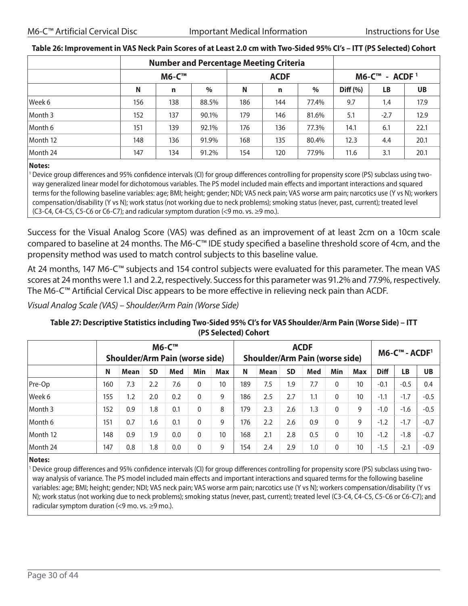|          |              |             | <b>Number and Percentage Meeting Criteria</b> |     |             |       |                  |        |           |  |
|----------|--------------|-------------|-----------------------------------------------|-----|-------------|-------|------------------|--------|-----------|--|
|          | <b>M6-C™</b> |             |                                               |     | <b>ACDF</b> |       | $MG-CTM - ACDF1$ |        |           |  |
|          | N            | $\mathbf n$ | $\%$                                          | N   | n           | $\%$  | Diff (%)         | LB     | <b>UB</b> |  |
| Week 6   | 156          | 138         | 88.5%                                         | 186 | 144         | 77.4% | 9.7              | 1.4    | 17.9      |  |
| Month 3  | 152          | 137         | 90.1%                                         | 179 | 146         | 81.6% | 5.1              | $-2.7$ | 12.9      |  |
| Month 6  | 151          | 139         | 92.1%                                         | 176 | 136         | 77.3% | 14.1             | 6.1    | 22.1      |  |
| Month 12 | 148          | 136         | 91.9%                                         | 168 | 135         | 80.4% | 12.3             | 4.4    | 20.1      |  |
| Month 24 | 147          | 134         | 91.2%                                         | 154 | 120         | 77.9% | 11.6             | 3.1    | 20.1      |  |

#### **Table 26: Improvement in VAS Neck Pain Scores of at Least 2.0 cm with Two-Sided 95% CI's – ITT (PS Selected) Cohort**

#### **Notes:**

<sup>1</sup> Device group differences and 95% confidence intervals (CI) for group differences controlling for propensity score (PS) subclass using twoway generalized linear model for dichotomous variables. The PS model included main effects and important interactions and squared terms for the following baseline variables: age; BMI; height; gender; NDI; VAS neck pain; VAS worse arm pain; narcotics use (Y vs N); workers compensation/disability (Y vs N); work status (not working due to neck problems); smoking status (never, past, current); treated level (C3-C4, C4-C5, C5-C6 or C6-C7); and radicular symptom duration (<9 mo. vs.  $\geq$ 9 mo.).

Success for the Visual Analog Score (VAS) was defined as an improvement of at least 2cm on a 10cm scale compared to baseline at 24 months. The M6-C™ IDE study specified a baseline threshold score of 4cm, and the propensity method was used to match control subjects to this baseline value.

At 24 months, 147 M6-C™ subjects and 154 control subjects were evaluated for this parameter. The mean VAS scores at 24 months were 1.1 and 2.2, respectively. Success for this parameter was 91.2% and 77.9%, respectively. The M6-C™ Artificial Cervical Disc appears to be more effective in relieving neck pain than ACDF.

*Visual Analog Scale (VAS) – Shoulder/Arm Pain (Worse Side)*

#### **M6-C™ Shoulder/Arm Pain (worse side) ACDF Shoulder/Arm Pain (worse side) M6-C™ - ACDF1 N Mean SD Med Min Max N Mean SD Med Min Max Diff LB UB** Pre-Op 160 7.3 2.2 7.6 0 10 189 7.5 1.9 7.7 0 10 -0.1 -0.5 0.4 Week 6 155 1.2 2.0 0.2 0 9 186 2.5 2.7 1.1 0 10 -1.1 -1.7 -0.5 1.1 -1.7 -0.5 Month 3 152 0.9 1.8 0.1 0 8 179 2.3 2.6 1.3 0 9 -1.0 -1.6 -0.5 Month 6 151 0.7 1.6 0.1 0 9 176 2.2 2.6 0.9 0 9 -1.2 -1.7 -0.7 1.6 0.9 0 9 -1.2 -1.7 -0.7 Month 12 148 0.9 1.9 0.0 0 10 168 2.1 2.8 0.5 0 10 -1.2 -1.8 -0.7 Month 24 147 0.8 1.8 0.0 0 9 154 2.4 2.9 1.0 0 10 -1.5 -2.1 -0.9

#### **Table 27: Descriptive Statistics including Two-Sided 95% CI's for VAS Shoulder/Arm Pain (Worse Side) – ITT (PS Selected) Cohort**

#### **Notes:**

<sup>1</sup> Device group differences and 95% confidence intervals (CI) for group differences controlling for propensity score (PS) subclass using twoway analysis of variance. The PS model included main effects and important interactions and squared terms for the following baseline variables: age; BMI; height; gender; NDI; VAS neck pain; VAS worse arm pain; narcotics use (Y vs N); workers compensation/disability (Y vs N); work status (not working due to neck problems); smoking status (never, past, current); treated level (C3-C4, C4-C5, C5-C6 or C6-C7); and radicular symptom duration  $\leq$ 9 mo. vs.  $\geq$ 9 mo.).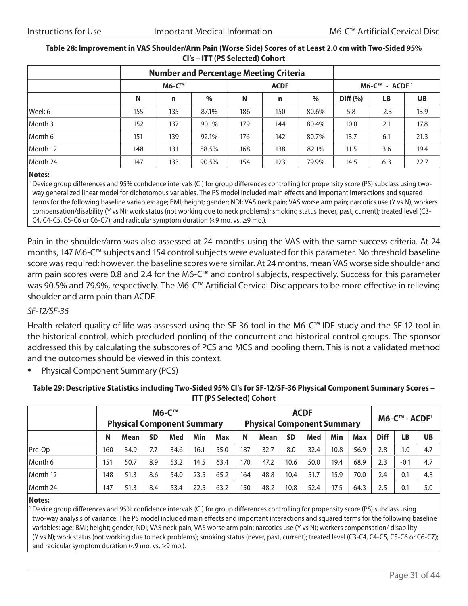|          | <b>Number and Percentage Meeting Criteria</b> |     |       |     |             |       |                      |        |      |  |
|----------|-----------------------------------------------|-----|-------|-----|-------------|-------|----------------------|--------|------|--|
|          | M6-C™                                         |     |       |     | <b>ACDF</b> |       | $MG-C^{m}$ - $ACDF1$ |        |      |  |
|          | N                                             | n   | $\%$  | N   | n           | $\%$  | Diff (%)             | LB     | UB   |  |
| Week 6   | 155                                           | 135 | 87.1% | 186 | 150         | 80.6% | 5.8                  | $-2.3$ | 13.9 |  |
| Month 3  | 152                                           | 137 | 90.1% | 179 | 144         | 80.4% | 10.0                 | 2.1    | 17.8 |  |
| Month 6  | 151                                           | 139 | 92.1% | 176 | 142         | 80.7% | 13.7                 | 6.1    | 21.3 |  |
| Month 12 | 148                                           | 131 | 88.5% | 168 | 138         | 82.1% | 11.5                 | 3.6    | 19.4 |  |
| Month 24 | 147                                           | 133 | 90.5% | 154 | 123         | 79.9% | 14.5                 | 6.3    | 22.7 |  |

#### **Table 28: Improvement in VAS Shoulder/Arm Pain (Worse Side) Scores of at Least 2.0 cm with Two-Sided 95% CI's – ITT (PS Selected) Cohort**

#### **Notes:**

<sup>1</sup> Device group differences and 95% confidence intervals (CI) for group differences controlling for propensity score (PS) subclass using twoway generalized linear model for dichotomous variables. The PS model included main effects and important interactions and squared terms for the following baseline variables: age; BMI; height; gender; NDI; VAS neck pain; VAS worse arm pain; narcotics use (Y vs N); workers compensation/disability (Y vs N); work status (not working due to neck problems); smoking status (never, past, current); treated level (C3- C4, C4-C5, C5-C6 or C6-C7); and radicular symptom duration  $\leq$ 9 mo. vs.  $\geq$ 9 mo.).

Pain in the shoulder/arm was also assessed at 24-months using the VAS with the same success criteria. At 24 months, 147 M6-C™ subjects and 154 control subjects were evaluated for this parameter. No threshold baseline score was required; however, the baseline scores were similar. At 24 months, mean VAS worse side shoulder and arm pain scores were 0.8 and 2.4 for the M6-C™ and control subjects, respectively. Success for this parameter was 90.5% and 79.9%, respectively. The M6-C™ Artificial Cervical Disc appears to be more effective in relieving shoulder and arm pain than ACDF.

#### *SF-12/SF-36*

Health-related quality of life was assessed using the SF-36 tool in the M6-C™ IDE study and the SF-12 tool in the historical control, which precluded pooling of the concurrent and historical control groups. The sponsor addressed this by calculating the subscores of PCS and MCS and pooling them. This is not a validated method and the outcomes should be viewed in this context.

• Physical Component Summary (PCS)

#### **Table 29: Descriptive Statistics including Two-Sided 95% CI's for SF-12/SF-36 Physical Component Summary Scores – ITT (PS Selected) Cohort**

|          | <b>M6-C™</b><br><b>Physical Component Summary</b> |      |     |      |      | <b>ACDF</b><br><b>Physical Component Summary</b> |     |      |      |      |      |      | $MG-C™ - ACDF1$ |        |     |  |
|----------|---------------------------------------------------|------|-----|------|------|--------------------------------------------------|-----|------|------|------|------|------|-----------------|--------|-----|--|
|          | N                                                 | Mean | SD  | Med  | Min  | Max                                              | N   | Mean | SD   | Med  | Min  | Max  | <b>Diff</b>     | LB     | UB  |  |
| Pre-Op   | 160                                               | 34.9 | 7.7 | 34.6 | 16.1 | 55.0                                             | 187 | 32.7 | 8.0  | 32.4 | 10.8 | 56.9 | 2.8             | 1.0    | 4.7 |  |
| Month 6  | 151                                               | 50.7 | 8.9 | 53.2 | 14.5 | 63.4                                             | 170 | 47.2 | 10.6 | 50.0 | 19.4 | 68.9 | 2.3             | $-0.1$ | 4.7 |  |
| Month 12 | 148                                               | 51.3 | 8.6 | 54.0 | 23.5 | 65.2                                             | 164 | 48.8 | 10.4 | 51.7 | 15.9 | 70.0 | 2.4             | 0.1    | 4.8 |  |
| Month 24 | 147                                               | 51.3 | 8.4 | 53.4 | 22.5 | 63.2                                             | 150 | 48.2 | 10.8 | 52.4 | 17.5 | 64.3 | 2.5             | 0.1    | 5.0 |  |

#### **Notes:**

Device group differences and 95% confidence intervals (CI) for group differences controlling for propensity score (PS) subclass using two-way analysis of variance. The PS model included main effects and important interactions and squared terms for the following baseline variables: age; BMI; height; gender; NDI; VAS neck pain; VAS worse arm pain; narcotics use (Y vs N); workers compensation/ disability (Y vs N); work status (not working due to neck problems); smoking status (never, past, current); treated level (C3-C4, C4-C5, C5-C6 or C6-C7); and radicular symptom duration  $\leq$ 9 mo. vs.  $\geq$ 9 mo.).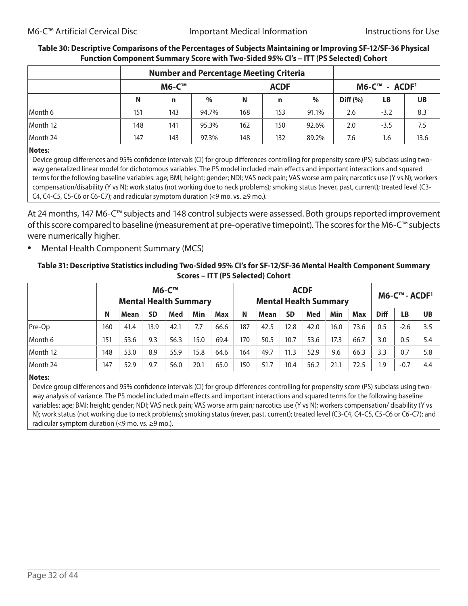|          | <b>Number and Percentage Meeting Criteria</b> |              |               |             |     |       |                         |           |           |
|----------|-----------------------------------------------|--------------|---------------|-------------|-----|-------|-------------------------|-----------|-----------|
|          |                                               | <b>M6-C™</b> |               | <b>ACDF</b> |     |       | $MG-C^{m}$ - $ACDF^{1}$ |           |           |
|          | N                                             | n            | $\frac{0}{0}$ | N           | n   | $\%$  | Diff (%)                | <b>LB</b> | <b>UB</b> |
| Month 6  | 151                                           | 143          | 94.7%         | 168         | 153 | 91.1% | 2.6                     | $-3.2$    | 8.3       |
| Month 12 | 148                                           | 141          | 95.3%         | 162         | 150 | 92.6% | 2.0                     | $-3.5$    | 7.5       |
| Month 24 | 147                                           | 143          | 97.3%         | 148         | 132 | 89.2% | 7.6                     | 1.6       | 13.6      |

#### **Table 30: Descriptive Comparisons of the Percentages of Subjects Maintaining or Improving SF-12/SF-36 Physical Function Component Summary Score with Two-Sided 95% CI's – ITT (PS Selected) Cohort**

#### **Notes:**

<sup>1</sup> Device group differences and 95% confidence intervals (CI) for group differences controlling for propensity score (PS) subclass using twoway generalized linear model for dichotomous variables. The PS model included main effects and important interactions and squared terms for the following baseline variables: age; BMI; height; gender; NDI; VAS neck pain; VAS worse arm pain; narcotics use (Y vs N); workers compensation/disability (Y vs N); work status (not working due to neck problems); smoking status (never, past, current); treated level (C3- C4, C4-C5, C5-C6 or C6-C7); and radicular symptom duration (<9 mo. vs.  $\geq$ 9 mo.).

At 24 months, 147 M6-C™ subjects and 148 control subjects were assessed. Both groups reported improvement of this score compared to baseline (measurement at pre-operative timepoint). The scores for the M6-C™ subjects were numerically higher.

• Mental Health Component Summary (MCS)

#### **Table 31: Descriptive Statistics including Two-Sided 95% CI's for SF-12/SF-36 Mental Health Component Summary Scores – ITT (PS Selected) Cohort**

|          |     | <b>Mental Health Summary</b> |           | <b>M6-C™</b> |      |      | <b>ACDF</b><br><b>Mental Health Summary</b> |      |           |      | M6-C™ - ACDF <sup>1</sup> |      |                  |        |           |
|----------|-----|------------------------------|-----------|--------------|------|------|---------------------------------------------|------|-----------|------|---------------------------|------|------------------|--------|-----------|
|          | N   | Mean                         | <b>SD</b> | Med          | Min  | Max  | N                                           | Mean | <b>SD</b> | Med  | Min                       | Max  | <b>Diff</b>      | LB     | <b>UB</b> |
| Pre-Op   | 160 | 41.4                         | 13.9      | 42.1         | 7.7  | 66.6 | 187                                         | 42.5 | 12.8      | 42.0 | 16.0                      | 73.6 | 0.5              | $-2.6$ | 3.5       |
| Month 6  | 151 | 53.6                         | 9.3       | 56.3         | 15.0 | 69.4 | 170                                         | 50.5 | 10.7      | 53.6 | 17.3                      | 66.7 | 3.0              | 0.5    | 5.4       |
| Month 12 | 148 | 53.0                         | 8.9       | 55.9         | 15.8 | 64.6 | 164                                         | 49.7 | 11.3      | 52.9 | 9.6                       | 66.3 | 3.3              | 0.7    | 5.8       |
| Month 24 | 147 | 52.9                         | 9.7       | 56.0         | 20.1 | 65.0 | 150                                         | 51.7 | 10.4      | 56.2 | 21.1                      | 72.5 | $\overline{1.9}$ | $-0.7$ | 4.4       |

#### **Notes:**

<sup>1</sup> Device group differences and 95% confidence intervals (CI) for group differences controlling for propensity score (PS) subclass using twoway analysis of variance. The PS model included main effects and important interactions and squared terms for the following baseline variables: age; BMI; height; gender; NDI; VAS neck pain; VAS worse arm pain; narcotics use (Y vs N); workers compensation/ disability (Y vs N); work status (not working due to neck problems); smoking status (never, past, current); treated level (C3-C4, C4-C5, C5-C6 or C6-C7); and radicular symptom duration  $\leq$ 9 mo. vs.  $\geq$ 9 mo.).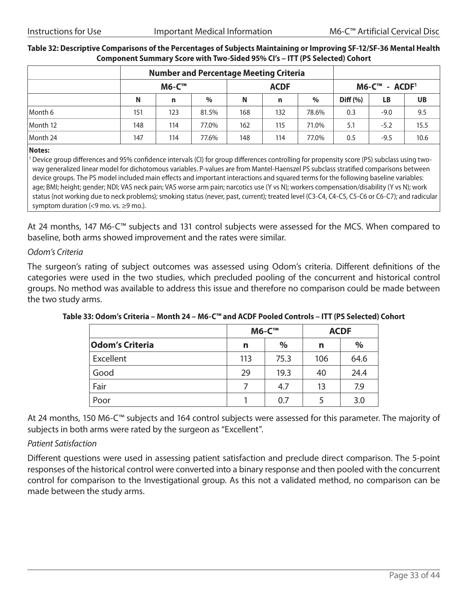|          | <b>Number and Percentage Meeting Criteria</b> |              |       |             |     |       |                  |        |           |
|----------|-----------------------------------------------|--------------|-------|-------------|-----|-------|------------------|--------|-----------|
|          |                                               | <b>M6-C™</b> |       | <b>ACDF</b> |     |       | $MG-CTM - ACDF1$ |        |           |
|          | N                                             | n            | $\%$  | N           | n   | $\%$  | Diff (%)         | LB     | <b>UB</b> |
| Month 6  | 151                                           | 123          | 81.5% | 168         | 132 | 78.6% | 0.3              | $-9.0$ | 9.5       |
| Month 12 | 148                                           | 114          | 77.0% | 162         | 115 | 71.0% | 5.1              | $-5.2$ | 15.5      |
| Month 24 | 147                                           | 114          | 77.6% | 148         | 114 | 77.0% | 0.5              | $-9.5$ | 10.6      |

#### **Table 32: Descriptive Comparisons of the Percentages of Subjects Maintaining or Improving SF-12/SF-36 Mental Health Component Summary Score with Two-Sided 95% CI's – ITT (PS Selected) Cohort**

#### **Notes:**

<sup>1</sup> Device group differences and 95% confidence intervals (CI) for group differences controlling for propensity score (PS) subclass using twoway generalized linear model for dichotomous variables. P-values are from Mantel-Haenszel PS subclass stratified comparisons between device groups. The PS model included main effects and important interactions and squared terms for the following baseline variables: age; BMI; height; gender; NDI; VAS neck pain; VAS worse arm pain; narcotics use (Y vs N); workers compensation/disability (Y vs N); work status (not working due to neck problems); smoking status (never, past, current); treated level (C3-C4, C4-C5, C5-C6 or C6-C7); and radicular symptom duration (<9 mo. vs. ≥9 mo.).

At 24 months, 147 M6-C™ subjects and 131 control subjects were assessed for the MCS. When compared to baseline, both arms showed improvement and the rates were similar.

#### *Odom's Criteria*

The surgeon's rating of subject outcomes was assessed using Odom's criteria. Different definitions of the categories were used in the two studies, which precluded pooling of the concurrent and historical control groups. No method was available to address this issue and therefore no comparison could be made between the two study arms.

|                        |     | <b>M6-C™</b> | <b>ACDF</b> |      |  |
|------------------------|-----|--------------|-------------|------|--|
| <b>Odom's Criteria</b> | n   | $\%$         | n           | $\%$ |  |
| Excellent              | 113 | 75.3         | 106         | 64.6 |  |
| Good                   | 29  | 19.3         | 40          | 24.4 |  |
| Fair                   | 7   | 4.7          | 13          | 7.9  |  |
| Poor                   |     | 0.7          | 5           | 3.0  |  |

**Table 33: Odom's Criteria – Month 24 – M6-C™ and ACDF Pooled Controls – ITT (PS Selected) Cohort**

At 24 months, 150 M6-C™ subjects and 164 control subjects were assessed for this parameter. The majority of subjects in both arms were rated by the surgeon as "Excellent".

#### *Patient Satisfaction*

Different questions were used in assessing patient satisfaction and preclude direct comparison. The 5-point responses of the historical control were converted into a binary response and then pooled with the concurrent control for comparison to the Investigational group. As this not a validated method, no comparison can be made between the study arms.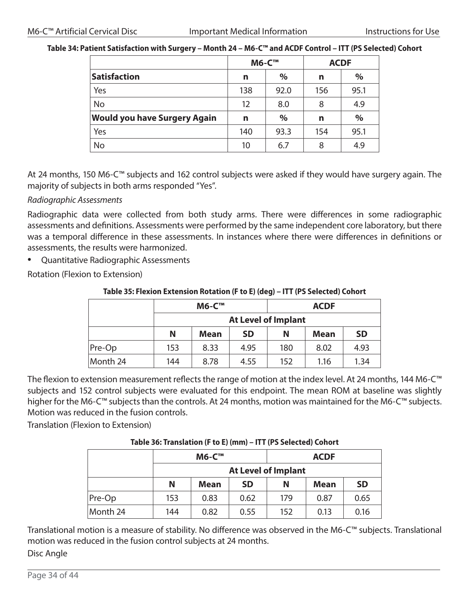#### **Table 34: Patient Satisfaction with Surgery – Month 24 – M6-C™ and ACDF Control – ITT (PS Selected) Cohort**

|                                     | <b>M6-C™</b> |      | <b>ACDF</b> |               |
|-------------------------------------|--------------|------|-------------|---------------|
| Satisfaction                        | n            | $\%$ | n           | $\%$          |
| Yes                                 | 138          | 92.0 | 156         | 95.1          |
| <b>No</b>                           | 12           | 8.0  | 8           | 4.9           |
| <b>Would you have Surgery Again</b> | n            | $\%$ | n           | $\frac{0}{0}$ |
| Yes                                 | 140          | 93.3 | 154         | 95.1          |
| <b>No</b>                           | 10           | 6.7  | 8           | 4.9           |

At 24 months, 150 M6-C™ subjects and 162 control subjects were asked if they would have surgery again. The majority of subjects in both arms responded "Yes".

#### *Radiographic Assessments*

Radiographic data were collected from both study arms. There were differences in some radiographic assessments and definitions. Assessments were performed by the same independent core laboratory, but there was a temporal difference in these assessments. In instances where there were differences in definitions or assessments, the results were harmonized.

• Quantitative Radiographic Assessments

Rotation (Flexion to Extension)

#### **Table 35: Flexion Extension Rotation (F to E) (deg) – ITT (PS Selected) Cohort**

|          | <b>M6-C™</b>               |             |           | <b>ACDF</b> |             |           |  |
|----------|----------------------------|-------------|-----------|-------------|-------------|-----------|--|
|          | <b>At Level of Implant</b> |             |           |             |             |           |  |
|          | N                          | <b>Mean</b> | <b>SD</b> | N           | <b>Mean</b> | <b>SD</b> |  |
| Pre-Op   | 153                        | 8.33        | 4.95      | 180         | 8.02        | 4.93      |  |
| Month 24 | 144                        | 8.78        | 4.55      | 152         | 1.16        | 1.34      |  |

The flexion to extension measurement reflects the range of motion at the index level. At 24 months, 144 M6-C™ subjects and 152 control subjects were evaluated for this endpoint. The mean ROM at baseline was slightly higher for the M6-C™ subjects than the controls. At 24 months, motion was maintained for the M6-C™ subjects. Motion was reduced in the fusion controls.

Translation (Flexion to Extension)

#### **Table 36: Translation (F to E) (mm) – ITT (PS Selected) Cohort**

|          | <b>M6-C™</b> |             |           | <b>ACDF</b>                |             |           |  |
|----------|--------------|-------------|-----------|----------------------------|-------------|-----------|--|
|          |              |             |           | <b>At Level of Implant</b> |             |           |  |
|          | N            | <b>Mean</b> | <b>SD</b> | N                          | <b>Mean</b> | <b>SD</b> |  |
| Pre-Op   | 153          | 0.83        | 0.62      | 179                        | 0.87        | 0.65      |  |
| Month 24 | 144          | 0.82        | 0.55      | 152                        | 0.13        | 0.16      |  |

Translational motion is a measure of stability. No difference was observed in the M6-C™ subjects. Translational motion was reduced in the fusion control subjects at 24 months. Disc Angle

Page 34 of 44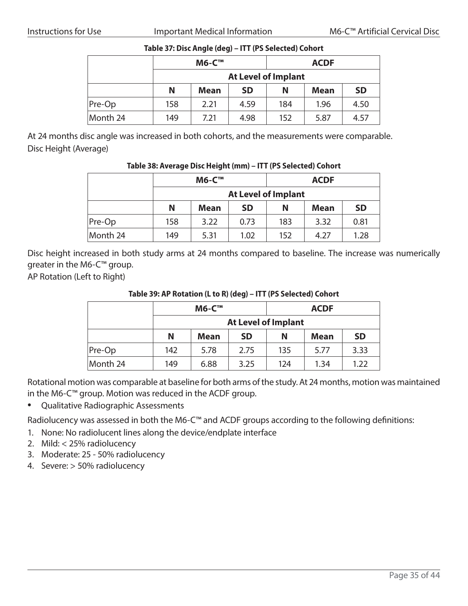|          |     | <b>M6-C™</b> |                            |     | <b>ACDF</b> |           |
|----------|-----|--------------|----------------------------|-----|-------------|-----------|
|          |     |              | <b>At Level of Implant</b> |     |             |           |
|          | N   | <b>Mean</b>  | <b>SD</b>                  | N   | <b>Mean</b> | <b>SD</b> |
| Pre-Op   | 158 | 2.21         | 4.59                       | 184 | 1.96        | 4.50      |
| Month 24 | 149 | 7.21         | 4.98                       | 152 | 5.87        | 4.57      |

#### **Table 37: Disc Angle (deg) – ITT (PS Selected) Cohort**

At 24 months disc angle was increased in both cohorts, and the measurements were comparable. Disc Height (Average)

#### **Table 38: Average Disc Height (mm) – ITT (PS Selected) Cohort**

|          |                            | <b>M6-C™</b> |           |     | <b>ACDF</b> |           |  |
|----------|----------------------------|--------------|-----------|-----|-------------|-----------|--|
|          | <b>At Level of Implant</b> |              |           |     |             |           |  |
|          | N                          | <b>Mean</b>  | <b>SD</b> | N   | <b>Mean</b> | <b>SD</b> |  |
| Pre-Op   | 158                        | 3.22         | 0.73      | 183 | 3.32        | 0.81      |  |
| Month 24 | 149                        | 5.31         | 1.02      | 152 | 4.27        | 1.28      |  |

Disc height increased in both study arms at 24 months compared to baseline. The increase was numerically greater in the M6-C™ group.

AP Rotation (Left to Right)

#### **Table 39: AP Rotation (L to R) (deg) – ITT (PS Selected) Cohort**

|          | <b>M6-C™</b> |             |           | <b>ACDF</b> |             |           |  |
|----------|--------------|-------------|-----------|-------------|-------------|-----------|--|
|          |              |             |           |             |             |           |  |
|          | N            | <b>Mean</b> | <b>SD</b> | N           | <b>Mean</b> | <b>SD</b> |  |
| $Pre-Op$ | 142          | 5.78        | 2.75      | 135         | 5.77        | 3.33      |  |
| Month 24 | 149          | 6.88        | 3.25      | 124         | 1.34        | 1.22      |  |

Rotational motion was comparable at baseline for both arms of the study. At 24 months, motion was maintained in the M6-C™ group. Motion was reduced in the ACDF group.

• Qualitative Radiographic Assessments

Radiolucency was assessed in both the M6-C™ and ACDF groups according to the following definitions:

- 1. None: No radiolucent lines along the device/endplate interface
- 2. Mild: < 25% radiolucency
- 3. Moderate: 25 50% radiolucency
- 4. Severe: > 50% radiolucency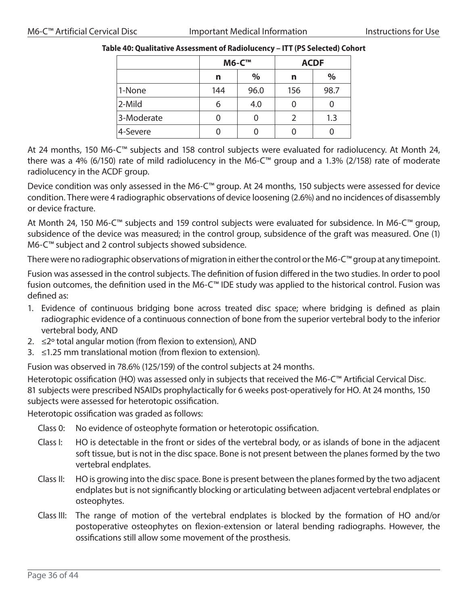|            |     | <b>M6-C™</b> | <b>ACDF</b>   |      |  |
|------------|-----|--------------|---------------|------|--|
|            | n   | %            | n             | %    |  |
| 1-None     | 144 | 96.0         | 156           | 98.7 |  |
| 2-Mild     | 6   | 4.0          | 0             |      |  |
| 3-Moderate | 0   | 0            | $\mathcal{P}$ | 1.3  |  |
| 4-Severe   |     |              | 0             |      |  |

#### **Table 40: Qualitative Assessment of Radiolucency – ITT (PS Selected) Cohort**

At 24 months, 150 M6-C™ subjects and 158 control subjects were evaluated for radiolucency. At Month 24, there was a 4% (6/150) rate of mild radiolucency in the M6-C™ group and a 1.3% (2/158) rate of moderate radiolucency in the ACDF group.

Device condition was only assessed in the M6-C™ group. At 24 months, 150 subjects were assessed for device condition. There were 4 radiographic observations of device loosening (2.6%) and no incidences of disassembly or device fracture.

At Month 24, 150 M6-C™ subjects and 159 control subjects were evaluated for subsidence. In M6-C™ group, subsidence of the device was measured; in the control group, subsidence of the graft was measured. One (1) M6-C™ subject and 2 control subjects showed subsidence.

There were no radiographic observations of migration in either the control or the M6-C™ group at any timepoint.

Fusion was assessed in the control subjects. The definition of fusion differed in the two studies. In order to pool fusion outcomes, the definition used in the M6-C™ IDE study was applied to the historical control. Fusion was defined as:

- 1. Evidence of continuous bridging bone across treated disc space; where bridging is defined as plain radiographic evidence of a continuous connection of bone from the superior vertebral body to the inferior vertebral body, AND
- 2.  $\leq$ <sup>2</sup> total angular motion (from flexion to extension), AND
- 3. ≤1.25 mm translational motion (from flexion to extension).

Fusion was observed in 78.6% (125/159) of the control subjects at 24 months.

Heterotopic ossification (HO) was assessed only in subjects that received the M6-C™ Artificial Cervical Disc. 81 subjects were prescribed NSAIDs prophylactically for 6 weeks post-operatively for HO. At 24 months, 150 subjects were assessed for heterotopic ossification.

Heterotopic ossification was graded as follows:

- Class 0: No evidence of osteophyte formation or heterotopic ossification.
- Class I: HO is detectable in the front or sides of the vertebral body, or as islands of bone in the adjacent soft tissue, but is not in the disc space. Bone is not present between the planes formed by the two vertebral endplates.
- Class II: HO is growing into the disc space. Bone is present between the planes formed by the two adjacent endplates but is not significantly blocking or articulating between adjacent vertebral endplates or osteophytes.
- Class III: The range of motion of the vertebral endplates is blocked by the formation of HO and/or postoperative osteophytes on flexion-extension or lateral bending radiographs. However, the ossifications still allow some movement of the prosthesis.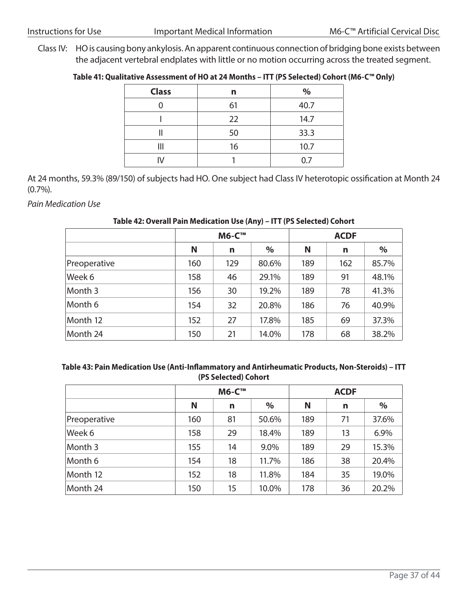Class IV: HO is causing bony ankylosis. An apparent continuous connection of bridging bone exists between the adjacent vertebral endplates with little or no motion occurring across the treated segment.

#### **Table 41: Qualitative Assessment of HO at 24 Months – ITT (PS Selected) Cohort (M6-C™ Only)**

| <b>Class</b> | n  | $\%$ |
|--------------|----|------|
|              | 61 | 40.7 |
|              | 22 | 14.7 |
|              | 50 | 33.3 |
| Ш            | 16 | 10.7 |
|              |    | 0.7  |

At 24 months, 59.3% (89/150) of subjects had HO. One subject had Class IV heterotopic ossification at Month 24 (0.7%).

*Pain Medication Use*

|              |     | <b>M6-C™</b> |       |     | <b>ACDF</b> |               |  |  |
|--------------|-----|--------------|-------|-----|-------------|---------------|--|--|
|              | N   | n            | $\%$  | N   | n           | $\frac{0}{0}$ |  |  |
| Preoperative | 160 | 129          | 80.6% | 189 | 162         | 85.7%         |  |  |
| Week 6       | 158 | 46           | 29.1% | 189 | 91          | 48.1%         |  |  |
| Month 3      | 156 | 30           | 19.2% | 189 | 78          | 41.3%         |  |  |
| Month 6      | 154 | 32           | 20.8% | 186 | 76          | 40.9%         |  |  |
| Month 12     | 152 | 27           | 17.8% | 185 | 69          | 37.3%         |  |  |
| Month 24     | 150 | 21           | 14.0% | 178 | 68          | 38.2%         |  |  |

#### **Table 42: Overall Pain Medication Use (Any) – ITT (PS Selected) Cohort**

#### **Table 43: Pain Medication Use (Anti-Inflammatory and Antirheumatic Products, Non-Steroids) – ITT (PS Selected) Cohort**

|              |     | <b>M6-C™</b> |       | <b>ACDF</b> |    |       |  |
|--------------|-----|--------------|-------|-------------|----|-------|--|
|              | N   | n            | $\%$  | N           | n  | %     |  |
| Preoperative | 160 | 81           | 50.6% | 189         | 71 | 37.6% |  |
| Week 6       | 158 | 29           | 18.4% | 189         | 13 | 6.9%  |  |
| Month 3      | 155 | 14           | 9.0%  | 189         | 29 | 15.3% |  |
| Month 6      | 154 | 18           | 11.7% | 186         | 38 | 20.4% |  |
| Month 12     | 152 | 18           | 11.8% | 184         | 35 | 19.0% |  |
| Month 24     | 150 | 15           | 10.0% | 178         | 36 | 20.2% |  |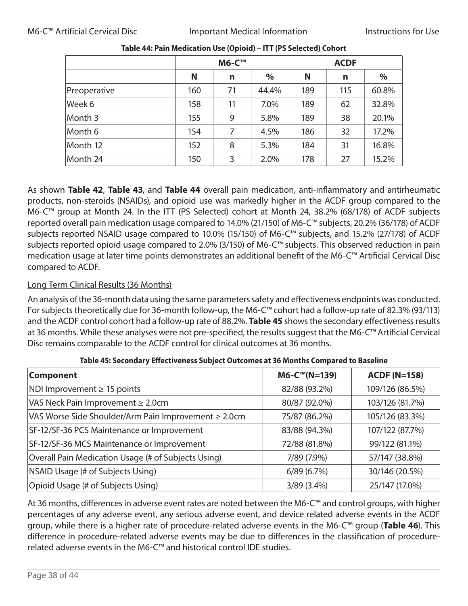| <b>M6-C™</b> |    |       | <b>ACDF</b> |     |       |  |
|--------------|----|-------|-------------|-----|-------|--|
| N            | n  | $\%$  | N           | n   | $\%$  |  |
| 160          | 71 | 44.4% | 189         | 115 | 60.8% |  |
| 158          | 11 | 7.0%  | 189         | 62  | 32.8% |  |
| 155          | 9  | 5.8%  | 189         | 38  | 20.1% |  |
| 154          | 7  | 4.5%  | 186         | 32  | 17.2% |  |
| 152          | 8  | 5.3%  | 184         | 31  | 16.8% |  |
| 150          | 3  | 2.0%  | 178         | 27  | 15.2% |  |
|              |    |       |             |     |       |  |

| Table 44: Pain Medication Use (Opioid) - ITT (PS Selected) Cohort |  |
|-------------------------------------------------------------------|--|
|-------------------------------------------------------------------|--|

As shown **Table 42**, **Table 43**, and **Table 44** overall pain medication, anti-inflammatory and antirheumatic products, non-steroids (NSAIDs), and opioid use was markedly higher in the ACDF group compared to the M6-C™ group at Month 24. In the ITT (PS Selected) cohort at Month 24, 38.2% (68/178) of ACDF subjects reported overall pain medication usage compared to 14.0% (21/150) of M6-C™ subjects, 20.2% (36/178) of ACDF subjects reported NSAID usage compared to 10.0% (15/150) of M6-C™ subjects, and 15.2% (27/178) of ACDF subjects reported opioid usage compared to 2.0% (3/150) of M6-C™ subjects. This observed reduction in pain medication usage at later time points demonstrates an additional benefit of the M6-C™ Artificial Cervical Disc compared to ACDF.

#### Long Term Clinical Results (36 Months)

An analysis of the 36-month data using the same parameters safety and effectiveness endpoints was conducted. For subjects theoretically due for 36-month follow-up, the M6-C™ cohort had a follow-up rate of 82.3% (93/113) and the ACDF control cohort had a follow-up rate of 88.2%. **Table 45** shows the secondary effectiveness results at 36 months. While these analyses were not pre-specified, the results suggest that the M6-C™ Artificial Cervical Disc remains comparable to the ACDF control for clinical outcomes at 36 months.

| <b>Component</b>                                     | $M6$ -C™(N=139) | <b>ACDF (N=158)</b> |  |
|------------------------------------------------------|-----------------|---------------------|--|
| $NDI$ Improvement $\geq 15$ points                   | 82/88 (93.2%)   | 109/126 (86.5%)     |  |
| VAS Neck Pain Improvement $\geq 2.0$ cm              | 80/87 (92.0%)   | 103/126 (81.7%)     |  |
| VAS Worse Side Shoulder/Arm Pain Improvement ≥ 2.0cm | 75/87 (86.2%)   | 105/126 (83.3%)     |  |
| SF-12/SF-36 PCS Maintenance or Improvement           | 83/88 (94.3%)   | 107/122 (87.7%)     |  |
| SF-12/SF-36 MCS Maintenance or Improvement           | 72/88 (81.8%)   | 99/122 (81.1%)      |  |
| Overall Pain Medication Usage (# of Subjects Using)  | 7/89 (7.9%)     | 57/147 (38.8%)      |  |
| NSAID Usage (# of Subjects Using)                    | 6/89(6.7%)      | 30/146 (20.5%)      |  |
| Opioid Usage (# of Subjects Using)                   | $3/89$ (3.4%)   | 25/147 (17.0%)      |  |

**Table 45: Secondary Effectiveness Subject Outcomes at 36 Months Compared to Baseline**

At 36 months, differences in adverse event rates are noted between the M6-C™ and control groups, with higher percentages of any adverse event, any serious adverse event, and device related adverse events in the ACDF group, while there is a higher rate of procedure-related adverse events in the M6-C™ group (**Table 46**). This difference in procedure-related adverse events may be due to differences in the classification of procedurerelated adverse events in the M6-C™ and historical control IDE studies.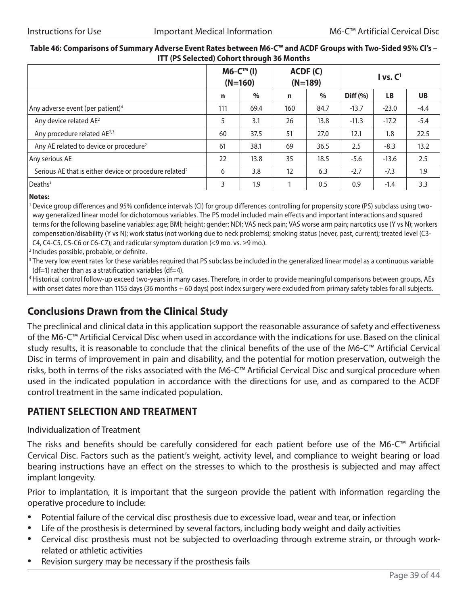#### **Table 46: Comparisons of Summary Adverse Event Rates between M6-C™ and ACDF Groups with Two-Sided 95% CI's – ITT (PS Selected) Cohort through 36 Months**

|                                                                    | $MG-CTM$ (I)<br>$(N=160)$ |      | ACDF(C)<br>$(N=189)$ |      | I vs. C <sup>1</sup> |           |           |
|--------------------------------------------------------------------|---------------------------|------|----------------------|------|----------------------|-----------|-----------|
|                                                                    | $\mathbf n$               | $\%$ | n                    | $\%$ | Diff (%)             | <b>LB</b> | <b>UB</b> |
| Any adverse event (per patient) <sup>4</sup>                       | 111                       | 69.4 | 160                  | 84.7 | $-13.7$              | $-23.0$   | $-4.4$    |
| Any device related AE <sup>2</sup>                                 | 5                         | 3.1  | 26                   | 13.8 | $-11.3$              | $-17.2$   | $-5.4$    |
| Any procedure related AE <sup>2,3</sup>                            | 60                        | 37.5 | 51                   | 27.0 | 12.1                 | 1.8       | 22.5      |
| Any AE related to device or procedure <sup>2</sup>                 | 61                        | 38.1 | 69                   | 36.5 | 2.5                  | $-8.3$    | 13.2      |
| Any serious AE                                                     | 22                        | 13.8 | 35                   | 18.5 | $-5.6$               | $-13.6$   | 2.5       |
| Serious AE that is either device or procedure related <sup>2</sup> | 6                         | 3.8  | 12                   | 6.3  | $-2.7$               | $-7.3$    | 1.9       |
| Deaths <sup>3</sup>                                                | 3                         | 1.9  |                      | 0.5  | 0.9                  | $-1.4$    | 3.3       |

**Notes:** 

<sup>1</sup> Device group differences and 95% confidence intervals (CI) for group differences controlling for propensity score (PS) subclass using twoway generalized linear model for dichotomous variables. The PS model included main effects and important interactions and squared terms for the following baseline variables: age; BMI; height; gender; NDI; VAS neck pain; VAS worse arm pain; narcotics use (Y vs N); workers compensation/disability (Y vs N); work status (not working due to neck problems); smoking status (never, past, current); treated level (C3- C4, C4-C5, C5-C6 or C6-C7); and radicular symptom duration  $\leq$ 9 mo. vs.  $\geq$ 9 mo.).

<sup>2</sup> Includes possible, probable, or definite.

<sup>3</sup> The very low event rates for these variables required that PS subclass be included in the generalized linear model as a continuous variable  $(df=1)$  rather than as a stratification variables (df=4).

<sup>4</sup> Historical control follow-up exceed two-years in many cases. Therefore, in order to provide meaningful comparisons between groups, AEs with onset dates more than 1155 days (36 months + 60 days) post index surgery were excluded from primary safety tables for all subjects.

### **Conclusions Drawn from the Clinical Study**

The preclinical and clinical data in this application support the reasonable assurance of safety and effectiveness of the M6-C™ Artificial Cervical Disc when used in accordance with the indications for use. Based on the clinical study results, it is reasonable to conclude that the clinical benefits of the use of the M6-C™ Artificial Cervical Disc in terms of improvement in pain and disability, and the potential for motion preservation, outweigh the risks, both in terms of the risks associated with the M6-C™ Artificial Cervical Disc and surgical procedure when used in the indicated population in accordance with the directions for use, and as compared to the ACDF control treatment in the same indicated population.

### **PATIENT SELECTION AND TREATMENT**

#### Individualization of Treatment

The risks and benefits should be carefully considered for each patient before use of the M6-C™ Artificial Cervical Disc. Factors such as the patient's weight, activity level, and compliance to weight bearing or load bearing instructions have an effect on the stresses to which to the prosthesis is subjected and may affect implant longevity.

Prior to implantation, it is important that the surgeon provide the patient with information regarding the operative procedure to include:

- Potential failure of the cervical disc prosthesis due to excessive load, wear and tear, or infection
- Life of the prosthesis is determined by several factors, including body weight and daily activities
- Cervical disc prosthesis must not be subjected to overloading through extreme strain, or through workrelated or athletic activities
- Revision surgery may be necessary if the prosthesis fails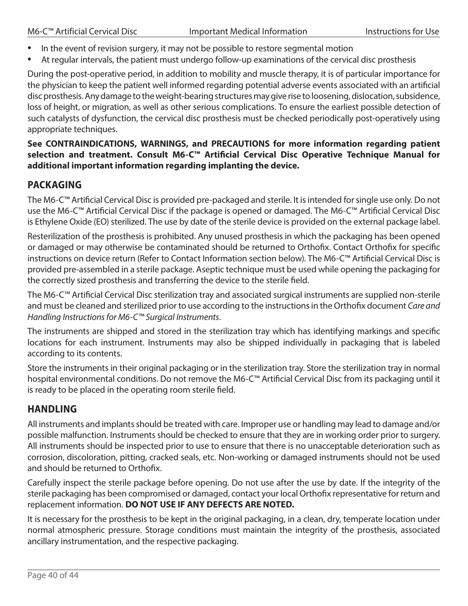- In the event of revision surgery, it may not be possible to restore segmental motion
- At regular intervals, the patient must undergo follow-up examinations of the cervical disc prosthesis

During the post-operative period, in addition to mobility and muscle therapy, it is of particular importance for the physician to keep the patient well informed regarding potential adverse events associated with an artificial disc prosthesis. Any damage to the weight-bearing structures may give rise to loosening, dislocation, subsidence, loss of height, or migration, as well as other serious complications. To ensure the earliest possible detection of such catalysts of dysfunction, the cervical disc prosthesis must be checked periodically post-operatively using appropriate techniques.

#### **See CONTRAINDICATIONS, WARNINGS, and PRECAUTIONS for more information regarding patient selection and treatment. Consult M6‑C™ Artificial Cervical Disc Operative Technique Manual for additional important information regarding implanting the device.**

### **PACKAGING**

The M6-C™ Artificial Cervical Disc is provided pre-packaged and sterile. It is intended for single use only. Do not use the M6-C™ Artificial Cervical Disc if the package is opened or damaged. The M6-C™ Artificial Cervical Disc is Ethylene Oxide (EO) sterilized. The use by date of the sterile device is provided on the external package label.

Resterilization of the prosthesis is prohibited. Any unused prosthesis in which the packaging has been opened or damaged or may otherwise be contaminated should be returned to Orthofix. Contact Orthofix for specific instructions on device return (Refer to Contact Information section below). The M6-C™ Artificial Cervical Disc is provided pre-assembled in a sterile package. Aseptic technique must be used while opening the packaging for the correctly sized prosthesis and transferring the device to the sterile field.

The M6-C™ Artificial Cervical Disc sterilization tray and associated surgical instruments are supplied non-sterile and must be cleaned and sterilized prior to use according to the instructions in the Orthofix document *Care and Handling Instructions for M6‑C™ Surgical Instruments*.

The instruments are shipped and stored in the sterilization tray which has identifying markings and specific locations for each instrument. Instruments may also be shipped individually in packaging that is labeled according to its contents.

Store the instruments in their original packaging or in the sterilization tray. Store the sterilization tray in normal hospital environmental conditions. Do not remove the M6-C™ Artificial Cervical Disc from its packaging until it is ready to be placed in the operating room sterile field.

### **HANDLING**

All instruments and implants should be treated with care. Improper use or handling may lead to damage and/or possible malfunction. Instruments should be checked to ensure that they are in working order prior to surgery. All instruments should be inspected prior to use to ensure that there is no unacceptable deterioration such as corrosion, discoloration, pitting, cracked seals, etc. Non-working or damaged instruments should not be used and should be returned to Orthofix.

Carefully inspect the sterile package before opening. Do not use after the use by date. If the integrity of the sterile packaging has been compromised or damaged, contact your local Orthofix representative for return and replacement information. **DO NOT USE IF ANY DEFECTS ARE NOTED.**

It is necessary for the prosthesis to be kept in the original packaging, in a clean, dry, temperate location under normal atmospheric pressure. Storage conditions must maintain the integrity of the prosthesis, associated ancillary instrumentation, and the respective packaging.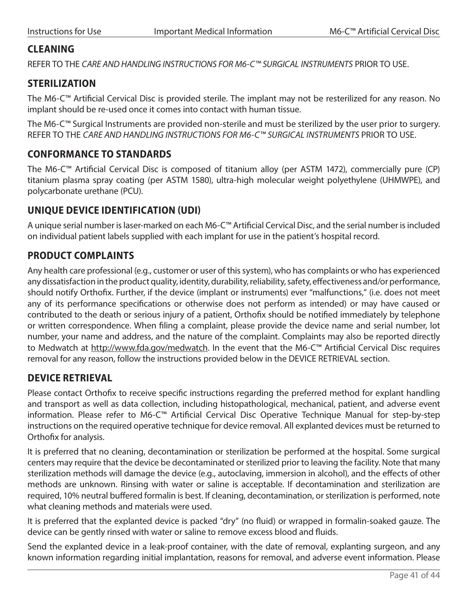### **CLEANING**

REFER TO THE *CARE AND HANDLING INSTRUCTIONS FOR M6‑C™ SURGICAL INSTRUMENTS* PRIOR TO USE.

### **STERILIZATION**

The M6-C™ Artificial Cervical Disc is provided sterile. The implant may not be resterilized for any reason. No implant should be re-used once it comes into contact with human tissue.

The M6-C™ Surgical Instruments are provided non-sterile and must be sterilized by the user prior to surgery. REFER TO THE *CARE AND HANDLING INSTRUCTIONS FOR M6‑C™ SURGICAL INSTRUMENTS* PRIOR TO USE.

### **CONFORMANCE TO STANDARDS**

The M6-C™ Artificial Cervical Disc is composed of titanium alloy (per ASTM 1472), commercially pure (CP) titanium plasma spray coating (per ASTM 1580), ultra-high molecular weight polyethylene (UHMWPE), and polycarbonate urethane (PCU).

### **UNIQUE DEVICE IDENTIFICATION (UDI)**

A unique serial number is laser-marked on each M6-C™ Artificial Cervical Disc, and the serial number is included on individual patient labels supplied with each implant for use in the patient's hospital record.

### **PRODUCT COMPLAINTS**

Any health care professional (e.g., customer or user of this system), who has complaints or who has experienced any dissatisfaction in the product quality, identity, durability, reliability, safety, effectiveness and/or performance, should notify Orthofix. Further, if the device (implant or instruments) ever "malfunctions," (i.e. does not meet any of its performance specifications or otherwise does not perform as intended) or may have caused or contributed to the death or serious injury of a patient, Orthofix should be notified immediately by telephone or written correspondence. When filing a complaint, please provide the device name and serial number, lot number, your name and address, and the nature of the complaint. Complaints may also be reported directly to Medwatch at http://www.fda.gov/medwatch. In the event that the M6-C™ Artificial Cervical Disc requires removal for any reason, follow the instructions provided below in the DEVICE RETRIEVAL section.

### **DEVICE RETRIEVAL**

Please contact Orthofix to receive specific instructions regarding the preferred method for explant handling and transport as well as data collection, including histopathological, mechanical, patient, and adverse event information. Please refer to M6-C™ Artificial Cervical Disc Operative Technique Manual for step-by-step instructions on the required operative technique for device removal. All explanted devices must be returned to Orthofix for analysis.

It is preferred that no cleaning, decontamination or sterilization be performed at the hospital. Some surgical centers may require that the device be decontaminated or sterilized prior to leaving the facility. Note that many sterilization methods will damage the device (e.g., autoclaving, immersion in alcohol), and the effects of other methods are unknown. Rinsing with water or saline is acceptable. If decontamination and sterilization are required, 10% neutral buffered formalin is best. If cleaning, decontamination, or sterilization is performed, note what cleaning methods and materials were used.

It is preferred that the explanted device is packed "dry" (no fluid) or wrapped in formalin-soaked gauze. The device can be gently rinsed with water or saline to remove excess blood and fluids.

Send the explanted device in a leak-proof container, with the date of removal, explanting surgeon, and any known information regarding initial implantation, reasons for removal, and adverse event information. Please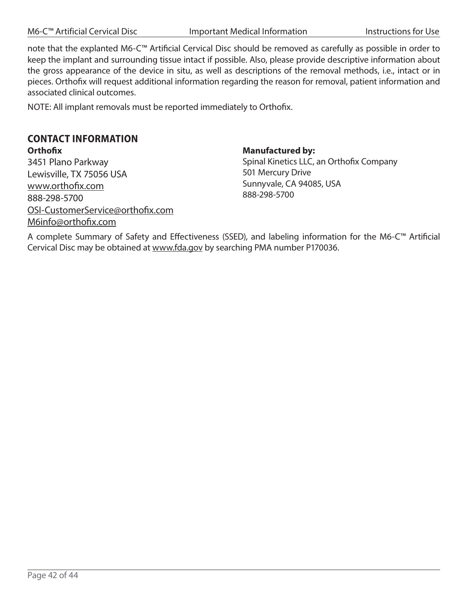M6-C™ Artificial Cervical Disc **Important Medical Information** Instructions for Use

note that the explanted M6-C™ Artificial Cervical Disc should be removed as carefully as possible in order to keep the implant and surrounding tissue intact if possible. Also, please provide descriptive information about the gross appearance of the device in situ, as well as descriptions of the removal methods, i.e., intact or in pieces. Orthofix will request additional information regarding the reason for removal, patient information and associated clinical outcomes.

NOTE: All implant removals must be reported immediately to Orthofix.

### **CONTACT INFORMATION**

**Orthofix** 3451 Plano Parkway Lewisville, TX 75056 USA www.orthofix.com 888-298-5700 OSI-CustomerService@orthofix.com M6info@orthofix.com

#### **Manufactured by:**

Spinal Kinetics LLC, an Orthofix Company 501 Mercury Drive Sunnyvale, CA 94085, USA 888-298-5700

A complete Summary of Safety and Effectiveness (SSED), and labeling information for the M6-C™ Artificial Cervical Disc may be obtained at www.fda.gov by searching PMA number P170036.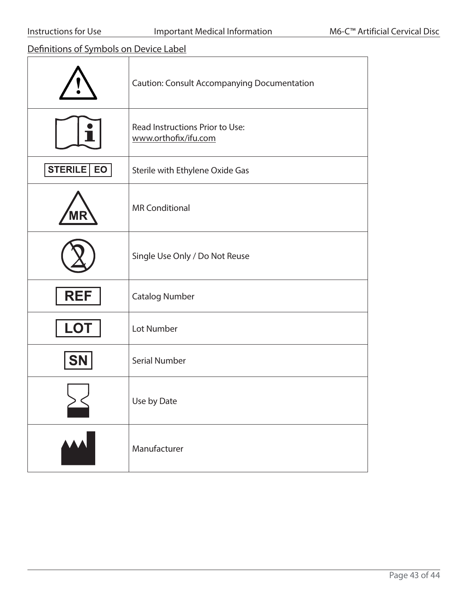Definitions of Symbols on Device Label

|                      | <b>Caution: Consult Accompanying Documentation</b>      |
|----------------------|---------------------------------------------------------|
|                      | Read Instructions Prior to Use:<br>www.orthofix/ifu.com |
| <b>STERILE</b><br>EO | Sterile with Ethylene Oxide Gas                         |
|                      | <b>MR Conditional</b>                                   |
|                      | Single Use Only / Do Not Reuse                          |
| <b>REF</b>           | <b>Catalog Number</b>                                   |
| <b>LOT</b>           | Lot Number                                              |
| <b>SN</b>            | <b>Serial Number</b>                                    |
|                      | Use by Date                                             |
|                      | Manufacturer                                            |